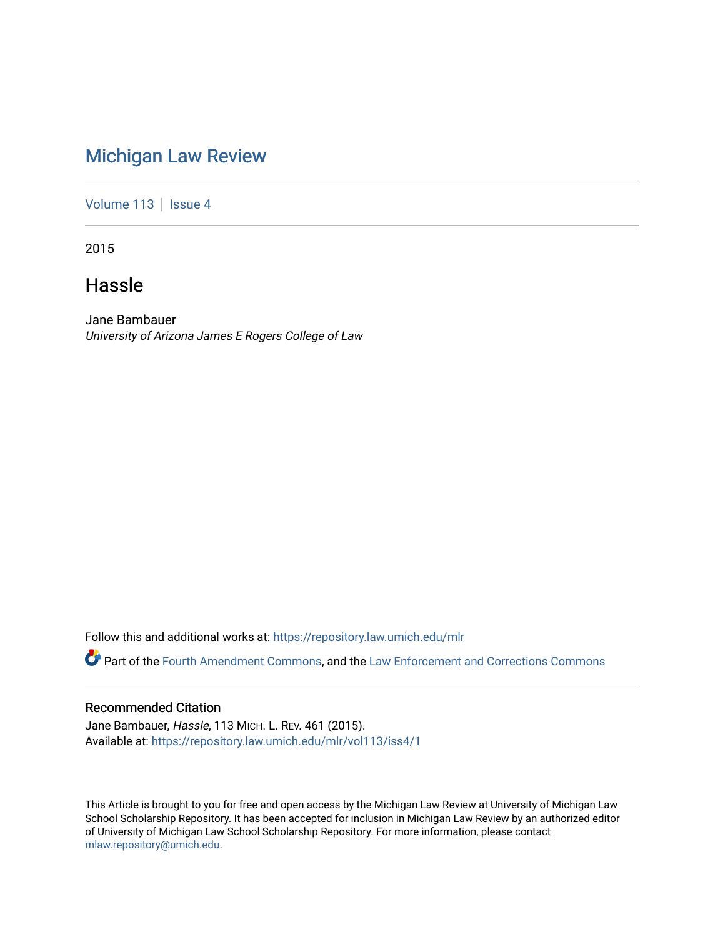# [Michigan Law Review](https://repository.law.umich.edu/mlr)

[Volume 113](https://repository.law.umich.edu/mlr/vol113) | [Issue 4](https://repository.law.umich.edu/mlr/vol113/iss4)

2015

# Hassle

Jane Bambauer University of Arizona James E Rogers College of Law

Follow this and additional works at: [https://repository.law.umich.edu/mlr](https://repository.law.umich.edu/mlr?utm_source=repository.law.umich.edu%2Fmlr%2Fvol113%2Fiss4%2F1&utm_medium=PDF&utm_campaign=PDFCoverPages) 

Part of the [Fourth Amendment Commons,](http://network.bepress.com/hgg/discipline/1180?utm_source=repository.law.umich.edu%2Fmlr%2Fvol113%2Fiss4%2F1&utm_medium=PDF&utm_campaign=PDFCoverPages) and the [Law Enforcement and Corrections Commons](http://network.bepress.com/hgg/discipline/854?utm_source=repository.law.umich.edu%2Fmlr%2Fvol113%2Fiss4%2F1&utm_medium=PDF&utm_campaign=PDFCoverPages)

## Recommended Citation

Jane Bambauer, Hassle, 113 MICH. L. REV. 461 (2015). Available at: [https://repository.law.umich.edu/mlr/vol113/iss4/1](https://repository.law.umich.edu/mlr/vol113/iss4/1?utm_source=repository.law.umich.edu%2Fmlr%2Fvol113%2Fiss4%2F1&utm_medium=PDF&utm_campaign=PDFCoverPages) 

This Article is brought to you for free and open access by the Michigan Law Review at University of Michigan Law School Scholarship Repository. It has been accepted for inclusion in Michigan Law Review by an authorized editor of University of Michigan Law School Scholarship Repository. For more information, please contact [mlaw.repository@umich.edu.](mailto:mlaw.repository@umich.edu)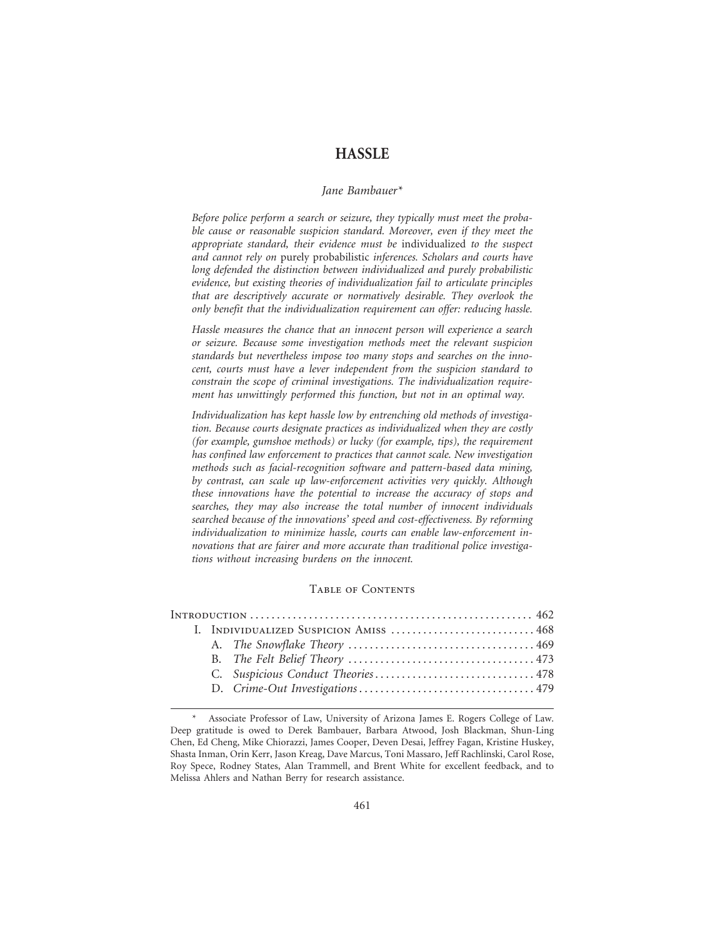### **HASSLE**

#### *Jane Bambauer\**

*Before police perform a search or seizure, they typically must meet the probable cause or reasonable suspicion standard. Moreover, even if they meet the appropriate standard, their evidence must be* individualized *to the suspect and cannot rely on* purely probabilistic *inferences. Scholars and courts have long defended the distinction between individualized and purely probabilistic evidence, but existing theories of individualization fail to articulate principles that are descriptively accurate or normatively desirable. They overlook the only benefit that the individualization requirement can offer: reducing hassle.*

*Hassle measures the chance that an innocent person will experience a search or seizure. Because some investigation methods meet the relevant suspicion standards but nevertheless impose too many stops and searches on the innocent, courts must have a lever independent from the suspicion standard to constrain the scope of criminal investigations. The individualization requirement has unwittingly performed this function, but not in an optimal way.*

*Individualization has kept hassle low by entrenching old methods of investigation. Because courts designate practices as individualized when they are costly (for example, gumshoe methods) or lucky (for example, tips), the requirement has confined law enforcement to practices that cannot scale. New investigation methods such as facial-recognition software and pattern-based data mining, by contrast, can scale up law-enforcement activities very quickly. Although these innovations have the potential to increase the accuracy of stops and searches, they may also increase the total number of innocent individuals searched because of the innovations' speed and cost-effectiveness. By reforming individualization to minimize hassle, courts can enable law-enforcement innovations that are fairer and more accurate than traditional police investigations without increasing burdens on the innocent.*

#### Table of Contents

|  | I. INDIVIDUALIZED SUSPICION AMISS  468 |
|--|----------------------------------------|
|  |                                        |
|  |                                        |
|  |                                        |
|  |                                        |
|  |                                        |

Associate Professor of Law, University of Arizona James E. Rogers College of Law. Deep gratitude is owed to Derek Bambauer, Barbara Atwood, Josh Blackman, Shun-Ling Chen, Ed Cheng, Mike Chiorazzi, James Cooper, Deven Desai, Jeffrey Fagan, Kristine Huskey, Shasta Inman, Orin Kerr, Jason Kreag, Dave Marcus, Toni Massaro, Jeff Rachlinski, Carol Rose, Roy Spece, Rodney States, Alan Trammell, and Brent White for excellent feedback, and to Melissa Ahlers and Nathan Berry for research assistance.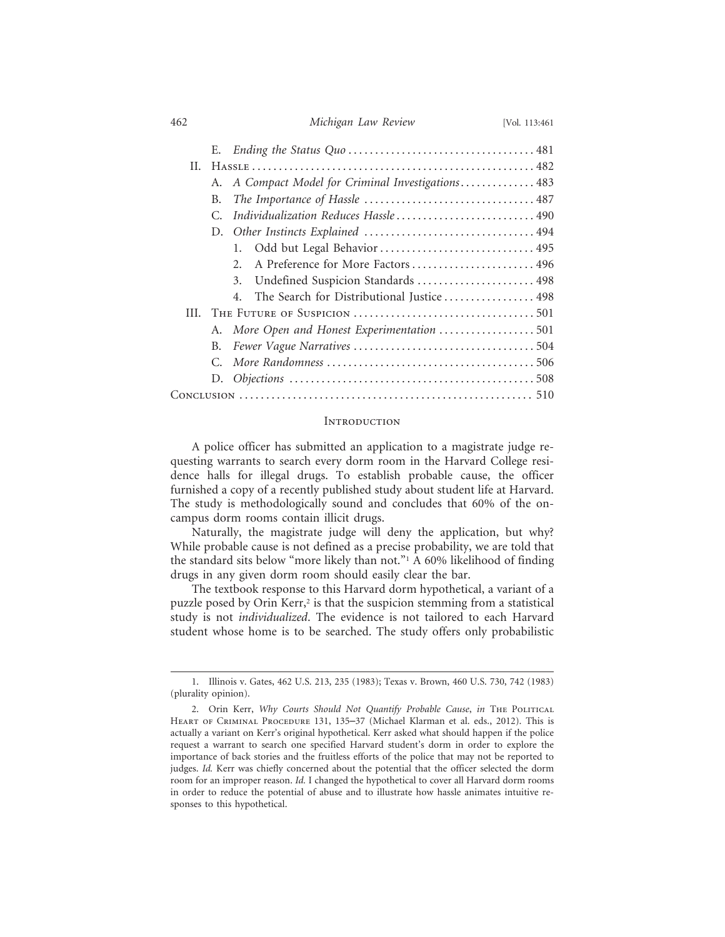| 462 | Michigan Law Review | [Vol. 113:461 |
|-----|---------------------|---------------|
|-----|---------------------|---------------|

| II. |    |                                                                                                                                                             |  |
|-----|----|-------------------------------------------------------------------------------------------------------------------------------------------------------------|--|
|     |    | A. A Compact Model for Criminal Investigations 483                                                                                                          |  |
|     | B. |                                                                                                                                                             |  |
|     | С. | Individualization Reduces Hassle  490                                                                                                                       |  |
|     |    |                                                                                                                                                             |  |
|     |    | Odd but Legal Behavior  495                                                                                                                                 |  |
|     |    | A Preference for More Factors  496                                                                                                                          |  |
|     |    | 3. Undefined Suspicion Standards  498                                                                                                                       |  |
|     |    | The Search for Distributional Justice  498                                                                                                                  |  |
| HL. |    |                                                                                                                                                             |  |
|     |    | A. More Open and Honest Experimentation 501                                                                                                                 |  |
|     | B. |                                                                                                                                                             |  |
|     |    |                                                                                                                                                             |  |
|     |    |                                                                                                                                                             |  |
|     |    | $Conve$ $\ldots$ $\ldots$ $\ldots$ $\ldots$ $\ldots$ $\ldots$ $\ldots$ $\ldots$ $\ldots$ $\ldots$ $\ldots$ $\ldots$ $\ldots$ $\ldots$ $\ldots$ $\ldots$ 510 |  |

#### **INTRODUCTION**

A police officer has submitted an application to a magistrate judge requesting warrants to search every dorm room in the Harvard College residence halls for illegal drugs. To establish probable cause, the officer furnished a copy of a recently published study about student life at Harvard. The study is methodologically sound and concludes that 60% of the oncampus dorm rooms contain illicit drugs.

Naturally, the magistrate judge will deny the application, but why? While probable cause is not defined as a precise probability, we are told that the standard sits below "more likely than not."1 A 60% likelihood of finding drugs in any given dorm room should easily clear the bar.

The textbook response to this Harvard dorm hypothetical, a variant of a puzzle posed by Orin Kerr,<sup>2</sup> is that the suspicion stemming from a statistical study is not *individualized*. The evidence is not tailored to each Harvard student whose home is to be searched. The study offers only probabilistic

<sup>1.</sup> Illinois v. Gates, 462 U.S. 213, 235 (1983); Texas v. Brown, 460 U.S. 730, 742 (1983) (plurality opinion).

<sup>2.</sup> Orin Kerr, *Why Courts Should Not Quantify Probable Cause*, *in* THE POLITICAL HEART OF CRIMINAL PROCEDURE 131, 135-37 (Michael Klarman et al. eds., 2012). This is actually a variant on Kerr's original hypothetical. Kerr asked what should happen if the police request a warrant to search one specified Harvard student's dorm in order to explore the importance of back stories and the fruitless efforts of the police that may not be reported to judges. *Id.* Kerr was chiefly concerned about the potential that the officer selected the dorm room for an improper reason. *Id.* I changed the hypothetical to cover all Harvard dorm rooms in order to reduce the potential of abuse and to illustrate how hassle animates intuitive responses to this hypothetical.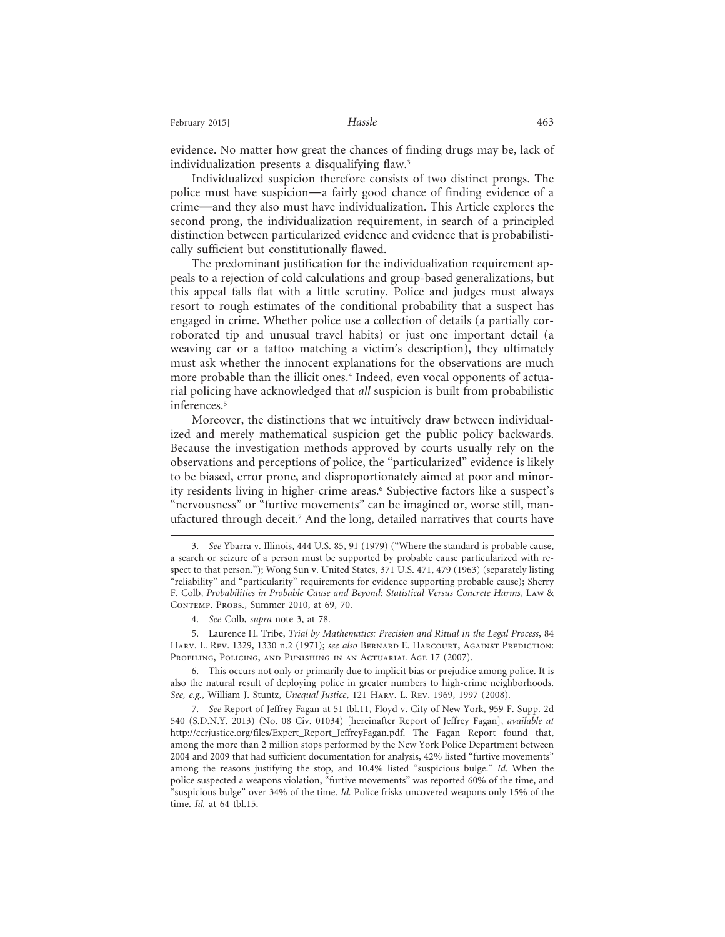February 2015] **Hassle Hassle Hassle Hassle** 

evidence. No matter how great the chances of finding drugs may be, lack of individualization presents a disqualifying flaw.3

Individualized suspicion therefore consists of two distinct prongs. The police must have suspicion—a fairly good chance of finding evidence of a crime—and they also must have individualization. This Article explores the second prong, the individualization requirement, in search of a principled distinction between particularized evidence and evidence that is probabilistically sufficient but constitutionally flawed.

The predominant justification for the individualization requirement appeals to a rejection of cold calculations and group-based generalizations, but this appeal falls flat with a little scrutiny. Police and judges must always resort to rough estimates of the conditional probability that a suspect has engaged in crime. Whether police use a collection of details (a partially corroborated tip and unusual travel habits) or just one important detail (a weaving car or a tattoo matching a victim's description), they ultimately must ask whether the innocent explanations for the observations are much more probable than the illicit ones.4 Indeed, even vocal opponents of actuarial policing have acknowledged that *all* suspicion is built from probabilistic inferences.<sup>5</sup>

Moreover, the distinctions that we intuitively draw between individualized and merely mathematical suspicion get the public policy backwards. Because the investigation methods approved by courts usually rely on the observations and perceptions of police, the "particularized" evidence is likely to be biased, error prone, and disproportionately aimed at poor and minority residents living in higher-crime areas.<sup>6</sup> Subjective factors like a suspect's "nervousness" or "furtive movements" can be imagined or, worse still, manufactured through deceit.7 And the long, detailed narratives that courts have

5. Laurence H. Tribe, *Trial by Mathematics: Precision and Ritual in the Legal Process*, 84 Harv. L. Rev. 1329, 1330 n.2 (1971); *see also* Bernard E. Harcourt, Against Prediction: Profiling, Policing, and Punishing in an Actuarial Age 17 (2007).

6. This occurs not only or primarily due to implicit bias or prejudice among police. It is also the natural result of deploying police in greater numbers to high-crime neighborhoods. *See, e.g.*, William J. Stuntz, *Unequal Justice*, 121 Harv. L. Rev. 1969, 1997 (2008).

7. *See* Report of Jeffrey Fagan at 51 tbl.11, Floyd v. City of New York, 959 F. Supp. 2d 540 (S.D.N.Y. 2013) (No. 08 Civ. 01034) [hereinafter Report of Jeffrey Fagan], *available at* http://ccrjustice.org/files/Expert\_Report\_JeffreyFagan.pdf. The Fagan Report found that, among the more than 2 million stops performed by the New York Police Department between 2004 and 2009 that had sufficient documentation for analysis, 42% listed "furtive movements" among the reasons justifying the stop, and 10.4% listed "suspicious bulge." *Id.* When the police suspected a weapons violation, "furtive movements" was reported 60% of the time, and "suspicious bulge" over 34% of the time. *Id.* Police frisks uncovered weapons only 15% of the time. *Id.* at 64 tbl.15.

<sup>3.</sup> *See* Ybarra v. Illinois, 444 U.S. 85, 91 (1979) ("Where the standard is probable cause, a search or seizure of a person must be supported by probable cause particularized with respect to that person."); Wong Sun v. United States, 371 U.S. 471, 479 (1963) (separately listing "reliability" and "particularity" requirements for evidence supporting probable cause); Sherry F. Colb, *Probabilities in Probable Cause and Beyond: Statistical Versus Concrete Harms*, Law & CONTEMP. PROBS., Summer 2010, at 69, 70.

<sup>4.</sup> *See* Colb, *supra* note 3, at 78.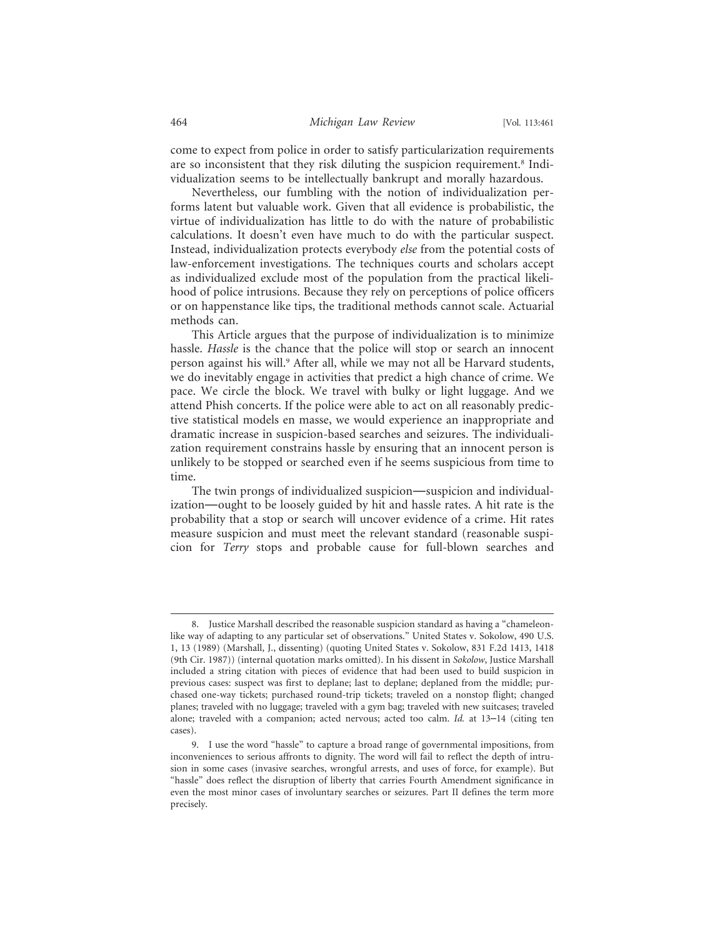come to expect from police in order to satisfy particularization requirements are so inconsistent that they risk diluting the suspicion requirement.<sup>8</sup> Individualization seems to be intellectually bankrupt and morally hazardous.

Nevertheless, our fumbling with the notion of individualization performs latent but valuable work. Given that all evidence is probabilistic, the virtue of individualization has little to do with the nature of probabilistic calculations. It doesn't even have much to do with the particular suspect. Instead, individualization protects everybody *else* from the potential costs of law-enforcement investigations. The techniques courts and scholars accept as individualized exclude most of the population from the practical likelihood of police intrusions. Because they rely on perceptions of police officers or on happenstance like tips, the traditional methods cannot scale. Actuarial methods can.

This Article argues that the purpose of individualization is to minimize hassle. *Hassle* is the chance that the police will stop or search an innocent person against his will.<sup>9</sup> After all, while we may not all be Harvard students, we do inevitably engage in activities that predict a high chance of crime. We pace. We circle the block. We travel with bulky or light luggage. And we attend Phish concerts. If the police were able to act on all reasonably predictive statistical models en masse, we would experience an inappropriate and dramatic increase in suspicion-based searches and seizures. The individualization requirement constrains hassle by ensuring that an innocent person is unlikely to be stopped or searched even if he seems suspicious from time to time.

The twin prongs of individualized suspicion—suspicion and individualization—ought to be loosely guided by hit and hassle rates. A hit rate is the probability that a stop or search will uncover evidence of a crime. Hit rates measure suspicion and must meet the relevant standard (reasonable suspicion for *Terry* stops and probable cause for full-blown searches and

<sup>8.</sup> Justice Marshall described the reasonable suspicion standard as having a "chameleonlike way of adapting to any particular set of observations." United States v. Sokolow, 490 U.S. 1, 13 (1989) (Marshall, J., dissenting) (quoting United States v. Sokolow, 831 F.2d 1413, 1418 (9th Cir. 1987)) (internal quotation marks omitted). In his dissent in *Sokolow*, Justice Marshall included a string citation with pieces of evidence that had been used to build suspicion in previous cases: suspect was first to deplane; last to deplane; deplaned from the middle; purchased one-way tickets; purchased round-trip tickets; traveled on a nonstop flight; changed planes; traveled with no luggage; traveled with a gym bag; traveled with new suitcases; traveled alone; traveled with a companion; acted nervous; acted too calm. *Id.* at 13–14 (citing ten cases).

<sup>9.</sup> I use the word "hassle" to capture a broad range of governmental impositions, from inconveniences to serious affronts to dignity. The word will fail to reflect the depth of intrusion in some cases (invasive searches, wrongful arrests, and uses of force, for example). But "hassle" does reflect the disruption of liberty that carries Fourth Amendment significance in even the most minor cases of involuntary searches or seizures. Part II defines the term more precisely.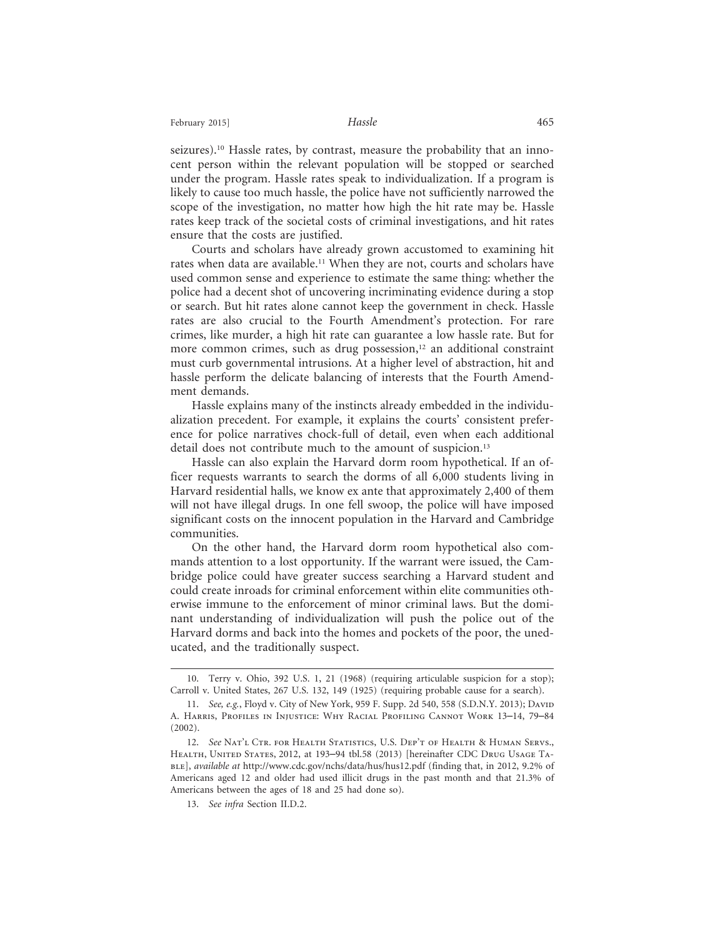seizures).10 Hassle rates, by contrast, measure the probability that an innocent person within the relevant population will be stopped or searched under the program. Hassle rates speak to individualization. If a program is likely to cause too much hassle, the police have not sufficiently narrowed the scope of the investigation, no matter how high the hit rate may be. Hassle rates keep track of the societal costs of criminal investigations, and hit rates ensure that the costs are justified.

Courts and scholars have already grown accustomed to examining hit rates when data are available.<sup>11</sup> When they are not, courts and scholars have used common sense and experience to estimate the same thing: whether the police had a decent shot of uncovering incriminating evidence during a stop or search. But hit rates alone cannot keep the government in check. Hassle rates are also crucial to the Fourth Amendment's protection. For rare crimes, like murder, a high hit rate can guarantee a low hassle rate. But for more common crimes, such as drug possession,<sup>12</sup> an additional constraint must curb governmental intrusions. At a higher level of abstraction, hit and hassle perform the delicate balancing of interests that the Fourth Amendment demands.

Hassle explains many of the instincts already embedded in the individualization precedent. For example, it explains the courts' consistent preference for police narratives chock-full of detail, even when each additional detail does not contribute much to the amount of suspicion.<sup>13</sup>

Hassle can also explain the Harvard dorm room hypothetical. If an officer requests warrants to search the dorms of all 6,000 students living in Harvard residential halls, we know ex ante that approximately 2,400 of them will not have illegal drugs. In one fell swoop, the police will have imposed significant costs on the innocent population in the Harvard and Cambridge communities.

On the other hand, the Harvard dorm room hypothetical also commands attention to a lost opportunity. If the warrant were issued, the Cambridge police could have greater success searching a Harvard student and could create inroads for criminal enforcement within elite communities otherwise immune to the enforcement of minor criminal laws. But the dominant understanding of individualization will push the police out of the Harvard dorms and back into the homes and pockets of the poor, the uneducated, and the traditionally suspect.

<sup>10.</sup> Terry v. Ohio, 392 U.S. 1, 21 (1968) (requiring articulable suspicion for a stop); Carroll v. United States, 267 U.S. 132, 149 (1925) (requiring probable cause for a search).

<sup>11.</sup> *See, e.g.*, Floyd v. City of New York, 959 F. Supp. 2d 540, 558 (S.D.N.Y. 2013); David A. Harris, Profiles in Injustice: Why Racial Profiling Cannot Work 13–14, 79–84 (2002).

<sup>12.</sup> *See* Nat'l Ctr. for Health Statistics, U.S. Dep't of Health & Human Servs., HEALTH, UNITED STATES, 2012, at 193-94 tbl.58 (2013) [hereinafter CDC DRUG USAGE TAble], *available at* http://www.cdc.gov/nchs/data/hus/hus12.pdf (finding that, in 2012, 9.2% of Americans aged 12 and older had used illicit drugs in the past month and that 21.3% of Americans between the ages of 18 and 25 had done so).

<sup>13.</sup> *See infra* Section II.D.2.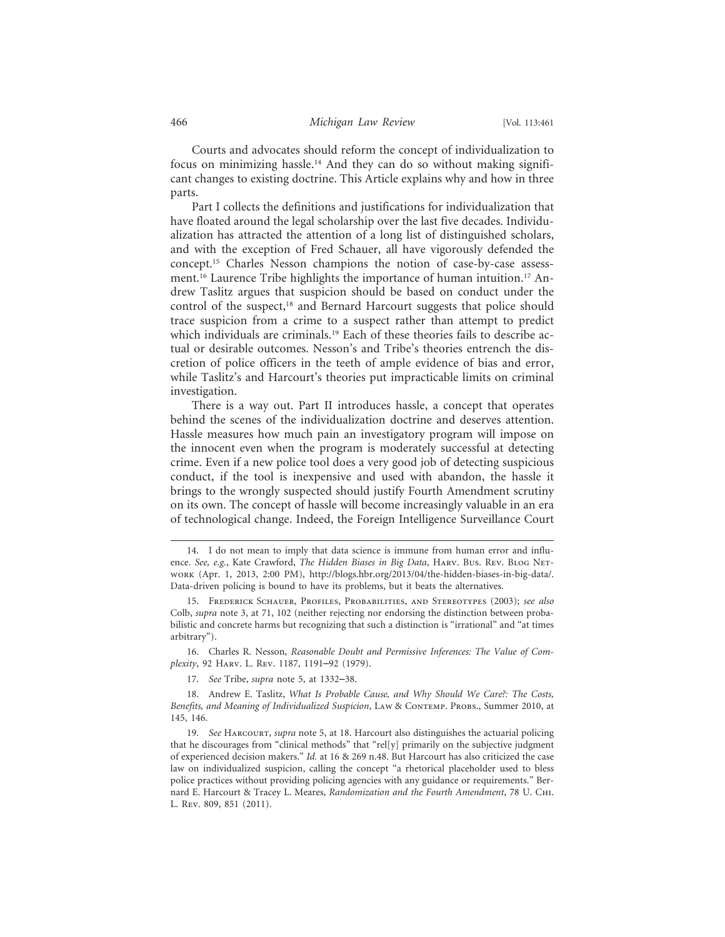Courts and advocates should reform the concept of individualization to focus on minimizing hassle.<sup>14</sup> And they can do so without making significant changes to existing doctrine. This Article explains why and how in three parts.

Part I collects the definitions and justifications for individualization that have floated around the legal scholarship over the last five decades. Individualization has attracted the attention of a long list of distinguished scholars, and with the exception of Fred Schauer, all have vigorously defended the concept.15 Charles Nesson champions the notion of case-by-case assessment.<sup>16</sup> Laurence Tribe highlights the importance of human intuition.<sup>17</sup> Andrew Taslitz argues that suspicion should be based on conduct under the control of the suspect,<sup>18</sup> and Bernard Harcourt suggests that police should trace suspicion from a crime to a suspect rather than attempt to predict which individuals are criminals.<sup>19</sup> Each of these theories fails to describe actual or desirable outcomes. Nesson's and Tribe's theories entrench the discretion of police officers in the teeth of ample evidence of bias and error, while Taslitz's and Harcourt's theories put impracticable limits on criminal investigation.

There is a way out. Part II introduces hassle, a concept that operates behind the scenes of the individualization doctrine and deserves attention. Hassle measures how much pain an investigatory program will impose on the innocent even when the program is moderately successful at detecting crime. Even if a new police tool does a very good job of detecting suspicious conduct, if the tool is inexpensive and used with abandon, the hassle it brings to the wrongly suspected should justify Fourth Amendment scrutiny on its own. The concept of hassle will become increasingly valuable in an era of technological change. Indeed, the Foreign Intelligence Surveillance Court

16. Charles R. Nesson, *Reasonable Doubt and Permissive Inferences: The Value of Complexity*, 92 Harv. L. Rev. 1187, 1191–92 (1979).

17. *See* Tribe, *supra* note 5, at 1332–38.

18. Andrew E. Taslitz, *What Is Probable Cause, and Why Should We Care?: The Costs, Benefits, and Meaning of Individualized Suspicion*, Law & Contemp. Probs., Summer 2010, at 145, 146.

19. *See* Harcourt, *supra* note 5, at 18. Harcourt also distinguishes the actuarial policing that he discourages from "clinical methods" that "rel[y] primarily on the subjective judgment of experienced decision makers." *Id.* at 16 & 269 n.48. But Harcourt has also criticized the case law on individualized suspicion, calling the concept "a rhetorical placeholder used to bless police practices without providing policing agencies with any guidance or requirements." Bernard E. Harcourt & Tracey L. Meares, *Randomization and the Fourth Amendment*, 78 U. Chi. L. Rev. 809, 851 (2011).

<sup>14.</sup> I do not mean to imply that data science is immune from human error and influence. *See, e.g.*, Kate Crawford, *The Hidden Biases in Big Data*, Harv. Bus. Rev. Blog Network (Apr. 1, 2013, 2:00 PM), http://blogs.hbr.org/2013/04/the-hidden-biases-in-big-data/. Data-driven policing is bound to have its problems, but it beats the alternatives.

<sup>15.</sup> Frederick Schauer, Profiles, Probabilities, and Stereotypes (2003); *see also* Colb, *supra* note 3, at 71, 102 (neither rejecting nor endorsing the distinction between probabilistic and concrete harms but recognizing that such a distinction is "irrational" and "at times arbitrary").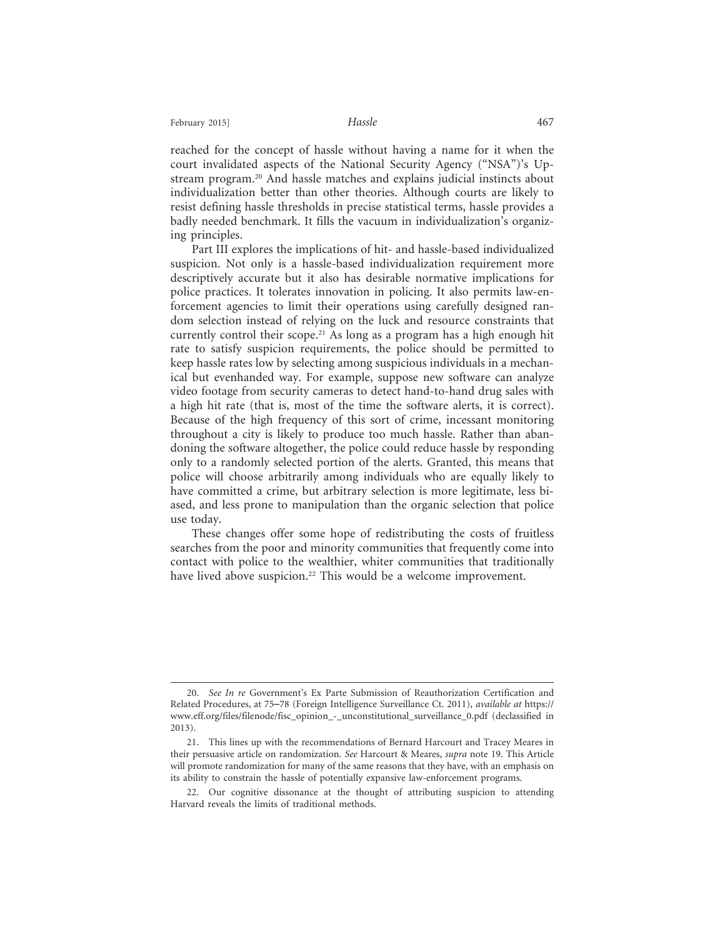reached for the concept of hassle without having a name for it when the court invalidated aspects of the National Security Agency ("NSA")'s Upstream program.20 And hassle matches and explains judicial instincts about individualization better than other theories. Although courts are likely to resist defining hassle thresholds in precise statistical terms, hassle provides a badly needed benchmark. It fills the vacuum in individualization's organizing principles.

Part III explores the implications of hit- and hassle-based individualized suspicion. Not only is a hassle-based individualization requirement more descriptively accurate but it also has desirable normative implications for police practices. It tolerates innovation in policing. It also permits law-enforcement agencies to limit their operations using carefully designed random selection instead of relying on the luck and resource constraints that currently control their scope.<sup>21</sup> As long as a program has a high enough hit rate to satisfy suspicion requirements, the police should be permitted to keep hassle rates low by selecting among suspicious individuals in a mechanical but evenhanded way. For example, suppose new software can analyze video footage from security cameras to detect hand-to-hand drug sales with a high hit rate (that is, most of the time the software alerts, it is correct). Because of the high frequency of this sort of crime, incessant monitoring throughout a city is likely to produce too much hassle. Rather than abandoning the software altogether, the police could reduce hassle by responding only to a randomly selected portion of the alerts. Granted, this means that police will choose arbitrarily among individuals who are equally likely to have committed a crime, but arbitrary selection is more legitimate, less biased, and less prone to manipulation than the organic selection that police use today.

These changes offer some hope of redistributing the costs of fruitless searches from the poor and minority communities that frequently come into contact with police to the wealthier, whiter communities that traditionally have lived above suspicion.<sup>22</sup> This would be a welcome improvement.

<sup>20.</sup> *See In re* Government's Ex Parte Submission of Reauthorization Certification and Related Procedures, at 75–78 (Foreign Intelligence Surveillance Ct. 2011), *available at* https:// www.eff.org/files/filenode/fisc\_opinion\_-\_unconstitutional\_surveillance\_0.pdf (declassified in 2013).

<sup>21.</sup> This lines up with the recommendations of Bernard Harcourt and Tracey Meares in their persuasive article on randomization. *See* Harcourt & Meares, *supra* note 19. This Article will promote randomization for many of the same reasons that they have, with an emphasis on its ability to constrain the hassle of potentially expansive law-enforcement programs.

<sup>22.</sup> Our cognitive dissonance at the thought of attributing suspicion to attending Harvard reveals the limits of traditional methods.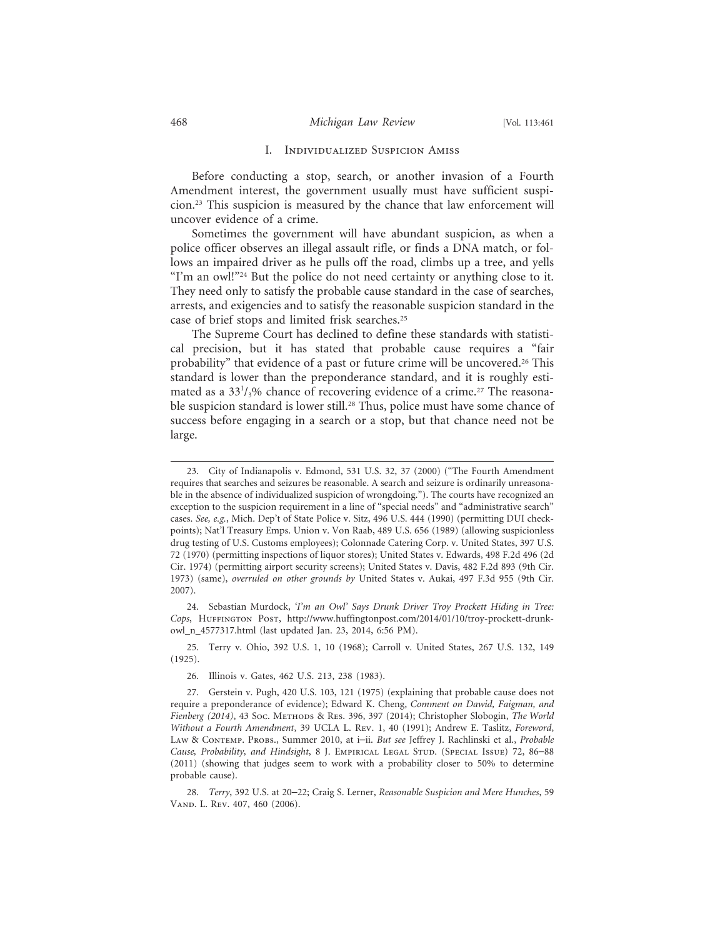#### I. Individualized Suspicion Amiss

Before conducting a stop, search, or another invasion of a Fourth Amendment interest, the government usually must have sufficient suspicion.23 This suspicion is measured by the chance that law enforcement will uncover evidence of a crime.

Sometimes the government will have abundant suspicion, as when a police officer observes an illegal assault rifle, or finds a DNA match, or follows an impaired driver as he pulls off the road, climbs up a tree, and yells "I'm an owl!"<sup>24</sup> But the police do not need certainty or anything close to it. They need only to satisfy the probable cause standard in the case of searches, arrests, and exigencies and to satisfy the reasonable suspicion standard in the case of brief stops and limited frisk searches.25

The Supreme Court has declined to define these standards with statistical precision, but it has stated that probable cause requires a "fair probability" that evidence of a past or future crime will be uncovered.<sup>26</sup> This standard is lower than the preponderance standard, and it is roughly estimated as a 33<sup>1</sup>/<sub>3</sub>% chance of recovering evidence of a crime.<sup>27</sup> The reasonable suspicion standard is lower still.<sup>28</sup> Thus, police must have some chance of success before engaging in a search or a stop, but that chance need not be large.

24. Sebastian Murdock, *'I'm an Owl' Says Drunk Driver Troy Prockett Hiding in Tree: Cops*, Huffington Post, http://www.huffingtonpost.com/2014/01/10/troy-prockett-drunkowl\_n\_4577317.html (last updated Jan. 23, 2014, 6:56 PM).

25. Terry v. Ohio, 392 U.S. 1, 10 (1968); Carroll v. United States, 267 U.S. 132, 149 (1925).

<sup>23.</sup> City of Indianapolis v. Edmond, 531 U.S. 32, 37 (2000) ("The Fourth Amendment requires that searches and seizures be reasonable. A search and seizure is ordinarily unreasonable in the absence of individualized suspicion of wrongdoing."). The courts have recognized an exception to the suspicion requirement in a line of "special needs" and "administrative search" cases. *See, e.g.*, Mich. Dep't of State Police v. Sitz, 496 U.S. 444 (1990) (permitting DUI checkpoints); Nat'l Treasury Emps. Union v. Von Raab, 489 U.S. 656 (1989) (allowing suspicionless drug testing of U.S. Customs employees); Colonnade Catering Corp. v. United States, 397 U.S. 72 (1970) (permitting inspections of liquor stores); United States v. Edwards, 498 F.2d 496 (2d Cir. 1974) (permitting airport security screens); United States v. Davis, 482 F.2d 893 (9th Cir. 1973) (same), *overruled on other grounds by* United States v. Aukai, 497 F.3d 955 (9th Cir. 2007).

<sup>26.</sup> Illinois v. Gates, 462 U.S. 213, 238 (1983).

<sup>27.</sup> Gerstein v. Pugh, 420 U.S. 103, 121 (1975) (explaining that probable cause does not require a preponderance of evidence); Edward K. Cheng, *Comment on Dawid, Faigman, and Fienberg (2014)*, 43 Soc. Methods & Res. 396, 397 (2014); Christopher Slobogin, *The World Without a Fourth Amendment*, 39 UCLA L. Rev. 1, 40 (1991); Andrew E. Taslitz, *Foreword*, Law & Contemp. Probs., Summer 2010, at i–ii. *But see* Jeffrey J. Rachlinski et al., *Probable Cause, Probability, and Hindsight*, 8 J. Empirical Legal Stud. (Special Issue) 72, 86–88 (2011) (showing that judges seem to work with a probability closer to 50% to determine probable cause).

<sup>28.</sup> *Terry*, 392 U.S. at 20–22; Craig S. Lerner, *Reasonable Suspicion and Mere Hunches*, 59 Vand. L. Rev. 407, 460 (2006).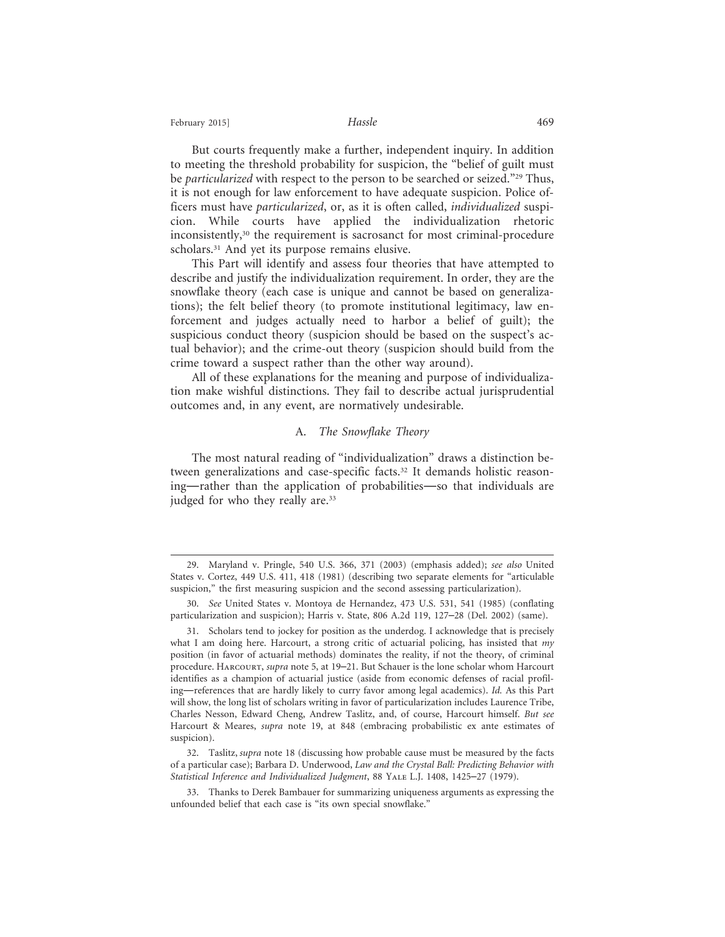But courts frequently make a further, independent inquiry. In addition to meeting the threshold probability for suspicion, the "belief of guilt must be *particularized* with respect to the person to be searched or seized."29 Thus, it is not enough for law enforcement to have adequate suspicion. Police officers must have *particularized*, or, as it is often called, *individualized* suspicion. While courts have applied the individualization rhetoric inconsistently,<sup>30</sup> the requirement is sacrosanct for most criminal-procedure scholars.<sup>31</sup> And yet its purpose remains elusive.

This Part will identify and assess four theories that have attempted to describe and justify the individualization requirement. In order, they are the snowflake theory (each case is unique and cannot be based on generalizations); the felt belief theory (to promote institutional legitimacy, law enforcement and judges actually need to harbor a belief of guilt); the suspicious conduct theory (suspicion should be based on the suspect's actual behavior); and the crime-out theory (suspicion should build from the crime toward a suspect rather than the other way around).

All of these explanations for the meaning and purpose of individualization make wishful distinctions. They fail to describe actual jurisprudential outcomes and, in any event, are normatively undesirable.

#### A. *The Snowflake Theory*

The most natural reading of "individualization" draws a distinction between generalizations and case-specific facts.<sup>32</sup> It demands holistic reasoning—rather than the application of probabilities—so that individuals are judged for who they really are.<sup>33</sup>

<sup>29.</sup> Maryland v. Pringle, 540 U.S. 366, 371 (2003) (emphasis added); *see also* United States v. Cortez, 449 U.S. 411, 418 (1981) (describing two separate elements for "articulable suspicion," the first measuring suspicion and the second assessing particularization).

<sup>30.</sup> *See* United States v. Montoya de Hernandez, 473 U.S. 531, 541 (1985) (conflating particularization and suspicion); Harris v. State, 806 A.2d 119, 127–28 (Del. 2002) (same).

<sup>31.</sup> Scholars tend to jockey for position as the underdog. I acknowledge that is precisely what I am doing here. Harcourt, a strong critic of actuarial policing, has insisted that *my* position (in favor of actuarial methods) dominates the reality, if not the theory, of criminal procedure. Harcourt, *supra* note 5, at 19–21. But Schauer is the lone scholar whom Harcourt identifies as a champion of actuarial justice (aside from economic defenses of racial profiling—references that are hardly likely to curry favor among legal academics). *Id.* As this Part will show, the long list of scholars writing in favor of particularization includes Laurence Tribe, Charles Nesson, Edward Cheng, Andrew Taslitz, and, of course, Harcourt himself. *But see* Harcourt & Meares, *supra* note 19, at 848 (embracing probabilistic ex ante estimates of suspicion).

<sup>32.</sup> Taslitz, *supra* note 18 (discussing how probable cause must be measured by the facts of a particular case); Barbara D. Underwood, *Law and the Crystal Ball: Predicting Behavior with Statistical Inference and Individualized Judgment*, 88 Yale L.J. 1408, 1425–27 (1979).

<sup>33.</sup> Thanks to Derek Bambauer for summarizing uniqueness arguments as expressing the unfounded belief that each case is "its own special snowflake."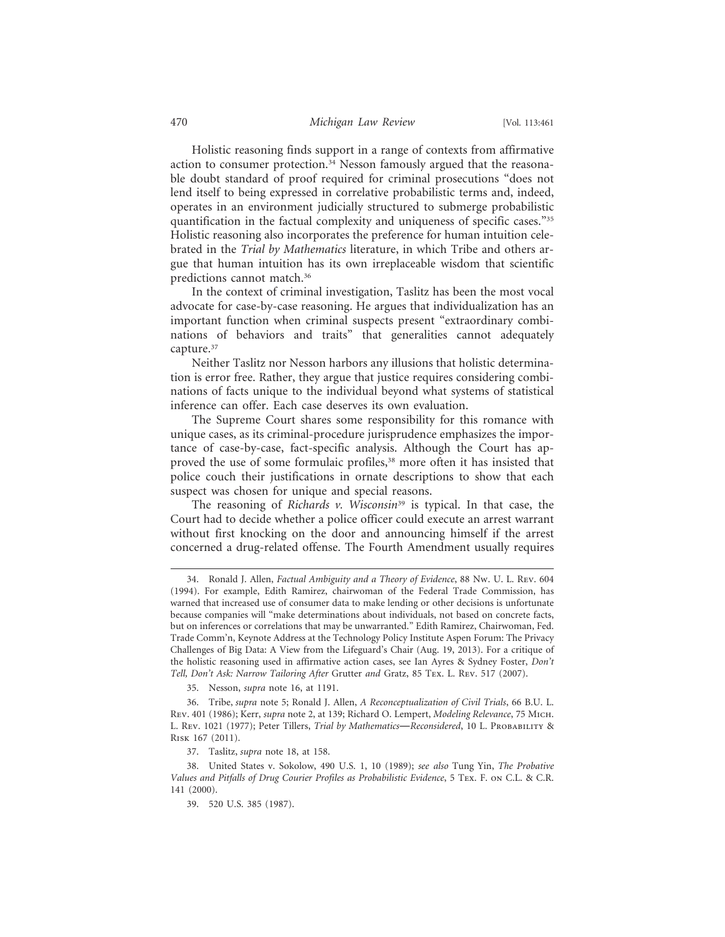Holistic reasoning finds support in a range of contexts from affirmative action to consumer protection.34 Nesson famously argued that the reasonable doubt standard of proof required for criminal prosecutions "does not lend itself to being expressed in correlative probabilistic terms and, indeed, operates in an environment judicially structured to submerge probabilistic quantification in the factual complexity and uniqueness of specific cases."35 Holistic reasoning also incorporates the preference for human intuition celebrated in the *Trial by Mathematics* literature, in which Tribe and others argue that human intuition has its own irreplaceable wisdom that scientific predictions cannot match.36

In the context of criminal investigation, Taslitz has been the most vocal advocate for case-by-case reasoning. He argues that individualization has an important function when criminal suspects present "extraordinary combinations of behaviors and traits" that generalities cannot adequately capture.<sup>37</sup>

Neither Taslitz nor Nesson harbors any illusions that holistic determination is error free. Rather, they argue that justice requires considering combinations of facts unique to the individual beyond what systems of statistical inference can offer. Each case deserves its own evaluation.

The Supreme Court shares some responsibility for this romance with unique cases, as its criminal-procedure jurisprudence emphasizes the importance of case-by-case, fact-specific analysis. Although the Court has approved the use of some formulaic profiles,<sup>38</sup> more often it has insisted that police couch their justifications in ornate descriptions to show that each suspect was chosen for unique and special reasons.

The reasoning of *Richards v. Wisconsin*<sup>39</sup> is typical. In that case, the Court had to decide whether a police officer could execute an arrest warrant without first knocking on the door and announcing himself if the arrest concerned a drug-related offense. The Fourth Amendment usually requires

35. Nesson, *supra* note 16, at 1191.

<sup>34.</sup> Ronald J. Allen, *Factual Ambiguity and a Theory of Evidence*, 88 Nw. U. L. Rev. 604 (1994). For example, Edith Ramirez, chairwoman of the Federal Trade Commission, has warned that increased use of consumer data to make lending or other decisions is unfortunate because companies will "make determinations about individuals, not based on concrete facts, but on inferences or correlations that may be unwarranted." Edith Ramirez, Chairwoman, Fed. Trade Comm'n, Keynote Address at the Technology Policy Institute Aspen Forum: The Privacy Challenges of Big Data: A View from the Lifeguard's Chair (Aug. 19, 2013). For a critique of the holistic reasoning used in affirmative action cases, see Ian Ayres & Sydney Foster, *Don't Tell, Don't Ask: Narrow Tailoring After* Grutter *and* Gratz, 85 Tex. L. Rev. 517 (2007).

<sup>36.</sup> Tribe, *supra* note 5; Ronald J. Allen, *A Reconceptualization of Civil Trials*, 66 B.U. L. Rev. 401 (1986); Kerr, *supra* note 2, at 139; Richard O. Lempert, *Modeling Relevance*, 75 Mich. L. Rev. 1021 (1977); Peter Tillers, *Trial by Mathematics*—*Reconsidered*, 10 L. Probability & Risk 167 (2011).

<sup>37.</sup> Taslitz, *supra* note 18, at 158.

<sup>38.</sup> United States v. Sokolow, 490 U.S. 1, 10 (1989); *see also* Tung Yin, *The Probative Values and Pitfalls of Drug Courier Profiles as Probabilistic Evidence*, 5 Tex. F. on C.L. & C.R. 141 (2000).

<sup>39. 520</sup> U.S. 385 (1987).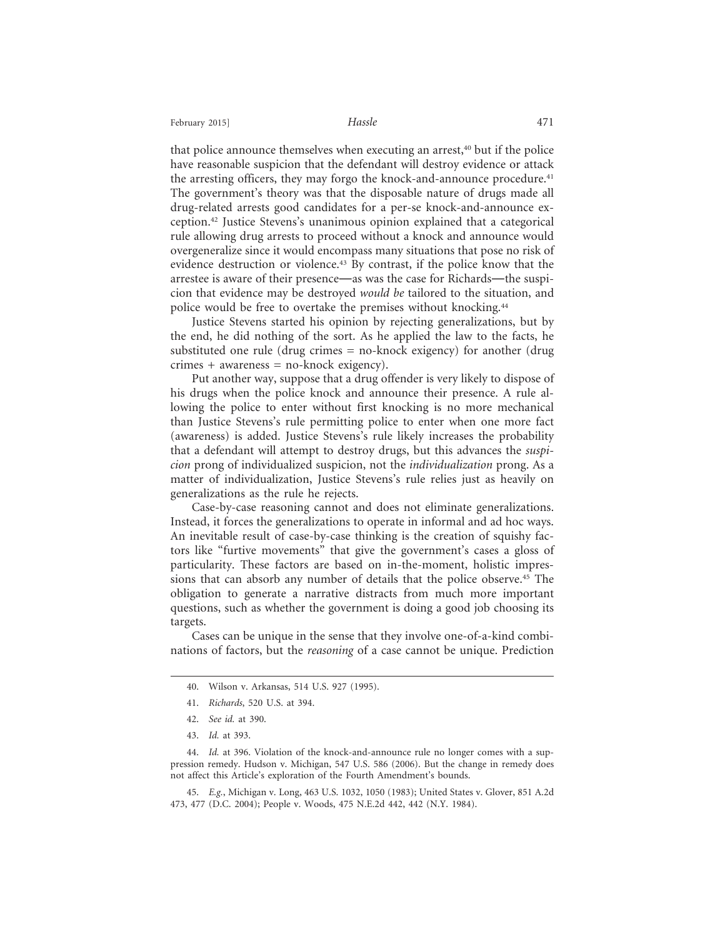February 2015] **Hassle Hassle Hassle A** 

that police announce themselves when executing an arrest,<sup>40</sup> but if the police have reasonable suspicion that the defendant will destroy evidence or attack the arresting officers, they may forgo the knock-and-announce procedure.<sup>41</sup> The government's theory was that the disposable nature of drugs made all drug-related arrests good candidates for a per-se knock-and-announce exception.42 Justice Stevens's unanimous opinion explained that a categorical rule allowing drug arrests to proceed without a knock and announce would overgeneralize since it would encompass many situations that pose no risk of evidence destruction or violence.43 By contrast, if the police know that the arrestee is aware of their presence—as was the case for Richards—the suspicion that evidence may be destroyed *would be* tailored to the situation, and police would be free to overtake the premises without knocking.<sup>44</sup>

Justice Stevens started his opinion by rejecting generalizations, but by the end, he did nothing of the sort. As he applied the law to the facts, he substituted one rule (drug crimes = no-knock exigency) for another (drug crimes + awareness = no-knock exigency).

Put another way, suppose that a drug offender is very likely to dispose of his drugs when the police knock and announce their presence. A rule allowing the police to enter without first knocking is no more mechanical than Justice Stevens's rule permitting police to enter when one more fact (awareness) is added. Justice Stevens's rule likely increases the probability that a defendant will attempt to destroy drugs, but this advances the *suspicion* prong of individualized suspicion, not the *individualization* prong. As a matter of individualization, Justice Stevens's rule relies just as heavily on generalizations as the rule he rejects.

Case-by-case reasoning cannot and does not eliminate generalizations. Instead, it forces the generalizations to operate in informal and ad hoc ways. An inevitable result of case-by-case thinking is the creation of squishy factors like "furtive movements" that give the government's cases a gloss of particularity. These factors are based on in-the-moment, holistic impressions that can absorb any number of details that the police observe.<sup>45</sup> The obligation to generate a narrative distracts from much more important questions, such as whether the government is doing a good job choosing its targets.

Cases can be unique in the sense that they involve one-of-a-kind combinations of factors, but the *reasoning* of a case cannot be unique. Prediction

<sup>40.</sup> Wilson v. Arkansas, 514 U.S. 927 (1995).

<sup>41.</sup> *Richards*, 520 U.S. at 394.

<sup>42.</sup> *See id.* at 390.

<sup>43.</sup> *Id.* at 393.

<sup>44.</sup> *Id.* at 396. Violation of the knock-and-announce rule no longer comes with a suppression remedy. Hudson v. Michigan, 547 U.S. 586 (2006). But the change in remedy does not affect this Article's exploration of the Fourth Amendment's bounds.

<sup>45.</sup> *E.g.*, Michigan v. Long, 463 U.S. 1032, 1050 (1983); United States v. Glover, 851 A.2d 473, 477 (D.C. 2004); People v. Woods, 475 N.E.2d 442, 442 (N.Y. 1984).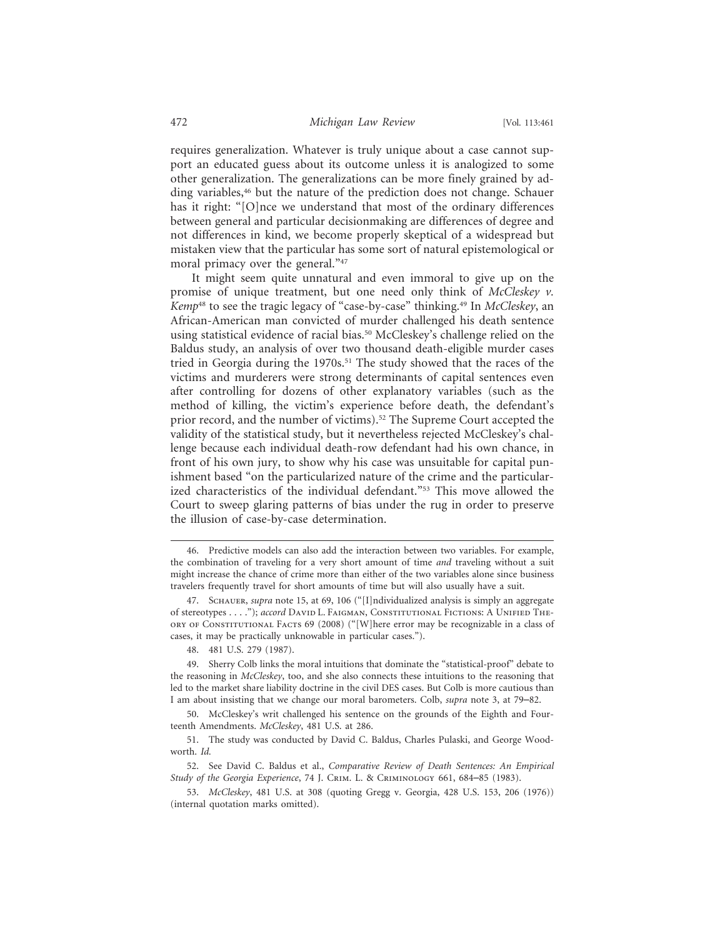requires generalization. Whatever is truly unique about a case cannot support an educated guess about its outcome unless it is analogized to some other generalization. The generalizations can be more finely grained by adding variables,<sup>46</sup> but the nature of the prediction does not change. Schauer has it right: "[O]nce we understand that most of the ordinary differences between general and particular decisionmaking are differences of degree and not differences in kind, we become properly skeptical of a widespread but mistaken view that the particular has some sort of natural epistemological or moral primacy over the general."47

It might seem quite unnatural and even immoral to give up on the promise of unique treatment, but one need only think of *McCleskey v. Kemp*48 to see the tragic legacy of "case-by-case" thinking.49 In *McCleskey*, an African-American man convicted of murder challenged his death sentence using statistical evidence of racial bias.<sup>50</sup> McCleskey's challenge relied on the Baldus study, an analysis of over two thousand death-eligible murder cases tried in Georgia during the 1970s.<sup>51</sup> The study showed that the races of the victims and murderers were strong determinants of capital sentences even after controlling for dozens of other explanatory variables (such as the method of killing, the victim's experience before death, the defendant's prior record, and the number of victims).52 The Supreme Court accepted the validity of the statistical study, but it nevertheless rejected McCleskey's challenge because each individual death-row defendant had his own chance, in front of his own jury, to show why his case was unsuitable for capital punishment based "on the particularized nature of the crime and the particularized characteristics of the individual defendant."<sup>53</sup> This move allowed the Court to sweep glaring patterns of bias under the rug in order to preserve the illusion of case-by-case determination.

<sup>46.</sup> Predictive models can also add the interaction between two variables. For example, the combination of traveling for a very short amount of time *and* traveling without a suit might increase the chance of crime more than either of the two variables alone since business travelers frequently travel for short amounts of time but will also usually have a suit.

<sup>47.</sup> Schauer, *supra* note 15, at 69, 106 ("[I]ndividualized analysis is simply an aggregate of stereotypes . . . ."); *accord* DAVID L. FAIGMAN, CONSTITUTIONAL FICTIONS: A UNIFIED THEory of Constitutional Facts 69 (2008) ("[W]here error may be recognizable in a class of cases, it may be practically unknowable in particular cases.").

<sup>48. 481</sup> U.S. 279 (1987).

<sup>49.</sup> Sherry Colb links the moral intuitions that dominate the "statistical-proof" debate to the reasoning in *McCleskey*, too, and she also connects these intuitions to the reasoning that led to the market share liability doctrine in the civil DES cases. But Colb is more cautious than I am about insisting that we change our moral barometers. Colb, *supra* note 3, at 79–82.

<sup>50.</sup> McCleskey's writ challenged his sentence on the grounds of the Eighth and Fourteenth Amendments. *McCleskey*, 481 U.S. at 286.

<sup>51.</sup> The study was conducted by David C. Baldus, Charles Pulaski, and George Woodworth. *Id.*

<sup>52.</sup> See David C. Baldus et al., *Comparative Review of Death Sentences: An Empirical Study of the Georgia Experience*, 74 J. Crim. L. & Criminology 661, 684–85 (1983).

<sup>53.</sup> *McCleskey*, 481 U.S. at 308 (quoting Gregg v. Georgia, 428 U.S. 153, 206 (1976)) (internal quotation marks omitted).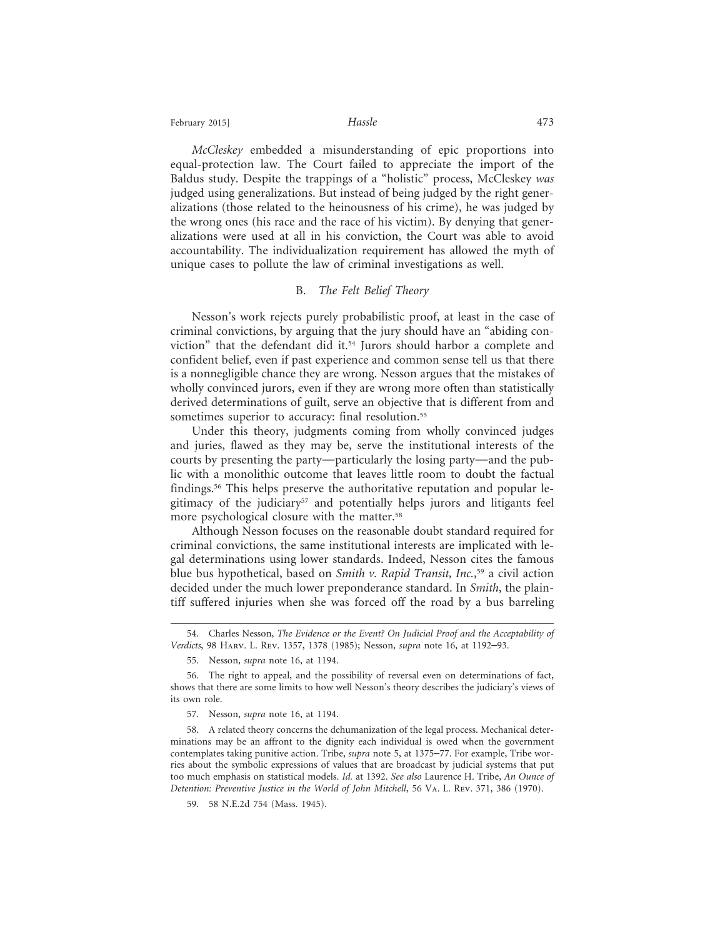February 2015] **Hassle Hassle Hassle AT3** 

*McCleskey* embedded a misunderstanding of epic proportions into equal-protection law. The Court failed to appreciate the import of the Baldus study. Despite the trappings of a "holistic" process, McCleskey *was* judged using generalizations. But instead of being judged by the right generalizations (those related to the heinousness of his crime), he was judged by the wrong ones (his race and the race of his victim). By denying that generalizations were used at all in his conviction, the Court was able to avoid accountability. The individualization requirement has allowed the myth of unique cases to pollute the law of criminal investigations as well.

#### B. *The Felt Belief Theory*

Nesson's work rejects purely probabilistic proof, at least in the case of criminal convictions, by arguing that the jury should have an "abiding conviction" that the defendant did it.<sup>54</sup> Jurors should harbor a complete and confident belief, even if past experience and common sense tell us that there is a nonnegligible chance they are wrong. Nesson argues that the mistakes of wholly convinced jurors, even if they are wrong more often than statistically derived determinations of guilt, serve an objective that is different from and sometimes superior to accuracy: final resolution.<sup>55</sup>

Under this theory, judgments coming from wholly convinced judges and juries, flawed as they may be, serve the institutional interests of the courts by presenting the party—particularly the losing party—and the public with a monolithic outcome that leaves little room to doubt the factual findings.<sup>56</sup> This helps preserve the authoritative reputation and popular legitimacy of the judiciary<sup>57</sup> and potentially helps jurors and litigants feel more psychological closure with the matter.<sup>58</sup>

Although Nesson focuses on the reasonable doubt standard required for criminal convictions, the same institutional interests are implicated with legal determinations using lower standards. Indeed, Nesson cites the famous blue bus hypothetical, based on *Smith v. Rapid Transit, Inc.*, 59 a civil action decided under the much lower preponderance standard. In *Smith*, the plaintiff suffered injuries when she was forced off the road by a bus barreling

<sup>54.</sup> Charles Nesson, *The Evidence or the Event? On Judicial Proof and the Acceptability of Verdicts*, 98 Harv. L. Rev. 1357, 1378 (1985); Nesson, *supra* note 16, at 1192–93.

<sup>55.</sup> Nesson, *supra* note 16, at 1194.

<sup>56.</sup> The right to appeal, and the possibility of reversal even on determinations of fact, shows that there are some limits to how well Nesson's theory describes the judiciary's views of its own role.

<sup>57.</sup> Nesson, *supra* note 16, at 1194.

<sup>58.</sup> A related theory concerns the dehumanization of the legal process. Mechanical determinations may be an affront to the dignity each individual is owed when the government contemplates taking punitive action. Tribe, *supra* note 5, at 1375–77. For example, Tribe worries about the symbolic expressions of values that are broadcast by judicial systems that put too much emphasis on statistical models. *Id.* at 1392. *See also* Laurence H. Tribe, *An Ounce of Detention: Preventive Justice in the World of John Mitchell*, 56 Va. L. Rev. 371, 386 (1970).

<sup>59. 58</sup> N.E.2d 754 (Mass. 1945).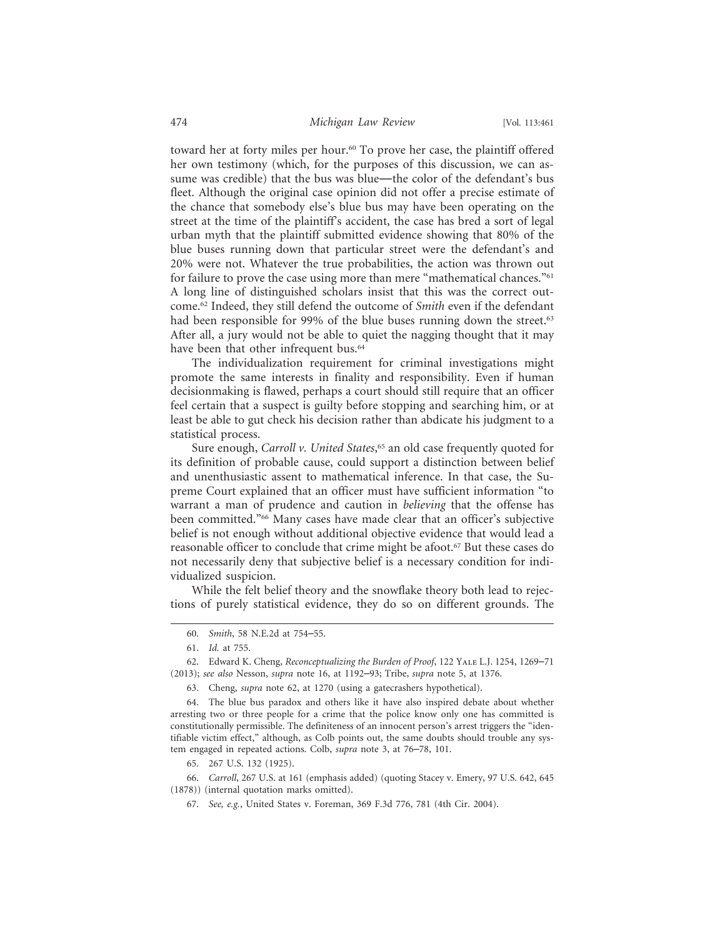toward her at forty miles per hour.<sup>60</sup> To prove her case, the plaintiff offered her own testimony (which, for the purposes of this discussion, we can assume was credible) that the bus was blue—the color of the defendant's bus fleet. Although the original case opinion did not offer a precise estimate of the chance that somebody else's blue bus may have been operating on the street at the time of the plaintiff's accident, the case has bred a sort of legal urban myth that the plaintiff submitted evidence showing that 80% of the blue buses running down that particular street were the defendant's and 20% were not. Whatever the true probabilities, the action was thrown out for failure to prove the case using more than mere "mathematical chances."<sup>61</sup> A long line of distinguished scholars insist that this was the correct outcome.62 Indeed, they still defend the outcome of *Smith* even if the defendant had been responsible for 99% of the blue buses running down the street.<sup>63</sup> After all, a jury would not be able to quiet the nagging thought that it may have been that other infrequent bus.<sup>64</sup>

The individualization requirement for criminal investigations might promote the same interests in finality and responsibility. Even if human decisionmaking is flawed, perhaps a court should still require that an officer feel certain that a suspect is guilty before stopping and searching him, or at least be able to gut check his decision rather than abdicate his judgment to a statistical process.

Sure enough, *Carroll v. United States*, 65 an old case frequently quoted for its definition of probable cause, could support a distinction between belief and unenthusiastic assent to mathematical inference. In that case, the Supreme Court explained that an officer must have sufficient information "to warrant a man of prudence and caution in *believing* that the offense has been committed."66 Many cases have made clear that an officer's subjective belief is not enough without additional objective evidence that would lead a reasonable officer to conclude that crime might be afoot.<sup>67</sup> But these cases do not necessarily deny that subjective belief is a necessary condition for individualized suspicion.

While the felt belief theory and the snowflake theory both lead to rejections of purely statistical evidence, they do so on different grounds. The

67. *See, e.g.*, United States v. Foreman, 369 F.3d 776, 781 (4th Cir. 2004).

<sup>60.</sup> *Smith*, 58 N.E.2d at 754–55.

<sup>61.</sup> *Id.* at 755.

<sup>62.</sup> Edward K. Cheng, *Reconceptualizing the Burden of Proof*, 122 Yale L.J. 1254, 1269–71 (2013); *see also* Nesson, *supra* note 16, at 1192–93; Tribe, *supra* note 5, at 1376.

<sup>63.</sup> Cheng, *supra* note 62, at 1270 (using a gatecrashers hypothetical).

<sup>64.</sup> The blue bus paradox and others like it have also inspired debate about whether arresting two or three people for a crime that the police know only one has committed is constitutionally permissible. The definiteness of an innocent person's arrest triggers the "identifiable victim effect," although, as Colb points out, the same doubts should trouble any system engaged in repeated actions. Colb, *supra* note 3, at 76–78, 101.

<sup>65. 267</sup> U.S. 132 (1925).

<sup>66.</sup> *Carroll*, 267 U.S. at 161 (emphasis added) (quoting Stacey v. Emery, 97 U.S. 642, 645 (1878)) (internal quotation marks omitted).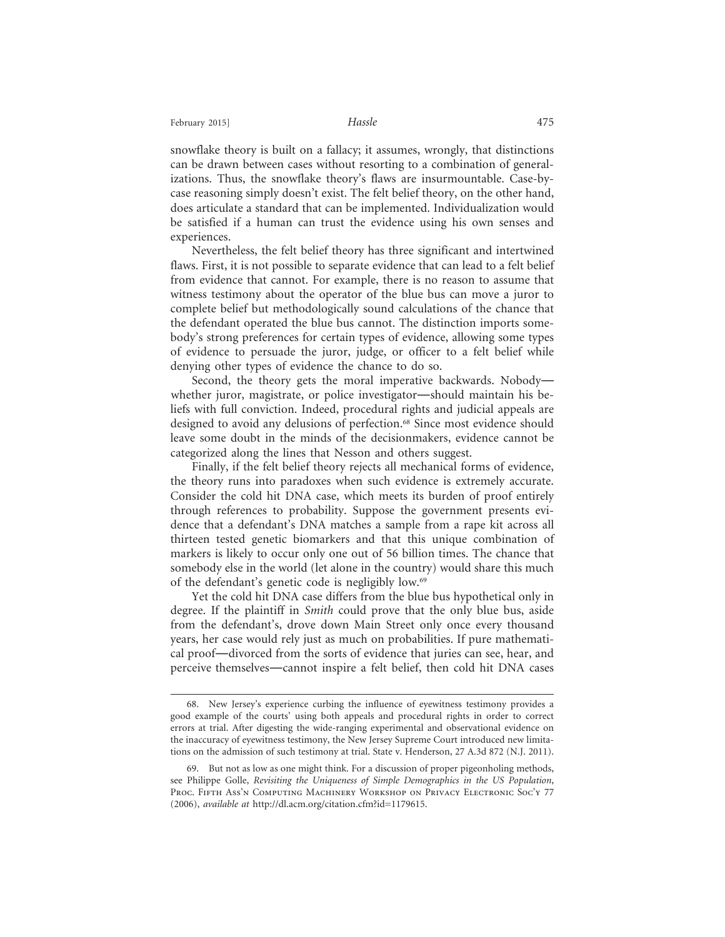snowflake theory is built on a fallacy; it assumes, wrongly, that distinctions can be drawn between cases without resorting to a combination of generalizations. Thus, the snowflake theory's flaws are insurmountable. Case-bycase reasoning simply doesn't exist. The felt belief theory, on the other hand, does articulate a standard that can be implemented. Individualization would be satisfied if a human can trust the evidence using his own senses and experiences.

Nevertheless, the felt belief theory has three significant and intertwined flaws. First, it is not possible to separate evidence that can lead to a felt belief from evidence that cannot. For example, there is no reason to assume that witness testimony about the operator of the blue bus can move a juror to complete belief but methodologically sound calculations of the chance that the defendant operated the blue bus cannot. The distinction imports somebody's strong preferences for certain types of evidence, allowing some types of evidence to persuade the juror, judge, or officer to a felt belief while denying other types of evidence the chance to do so.

Second, the theory gets the moral imperative backwards. Nobody whether juror, magistrate, or police investigator—should maintain his beliefs with full conviction. Indeed, procedural rights and judicial appeals are designed to avoid any delusions of perfection.<sup>68</sup> Since most evidence should leave some doubt in the minds of the decisionmakers, evidence cannot be categorized along the lines that Nesson and others suggest.

Finally, if the felt belief theory rejects all mechanical forms of evidence, the theory runs into paradoxes when such evidence is extremely accurate. Consider the cold hit DNA case, which meets its burden of proof entirely through references to probability. Suppose the government presents evidence that a defendant's DNA matches a sample from a rape kit across all thirteen tested genetic biomarkers and that this unique combination of markers is likely to occur only one out of 56 billion times. The chance that somebody else in the world (let alone in the country) would share this much of the defendant's genetic code is negligibly low.69

Yet the cold hit DNA case differs from the blue bus hypothetical only in degree. If the plaintiff in *Smith* could prove that the only blue bus, aside from the defendant's, drove down Main Street only once every thousand years, her case would rely just as much on probabilities. If pure mathematical proof—divorced from the sorts of evidence that juries can see, hear, and perceive themselves—cannot inspire a felt belief, then cold hit DNA cases

<sup>68.</sup> New Jersey's experience curbing the influence of eyewitness testimony provides a good example of the courts' using both appeals and procedural rights in order to correct errors at trial. After digesting the wide-ranging experimental and observational evidence on the inaccuracy of eyewitness testimony, the New Jersey Supreme Court introduced new limitations on the admission of such testimony at trial. State v. Henderson, 27 A.3d 872 (N.J. 2011).

<sup>69.</sup> But not as low as one might think. For a discussion of proper pigeonholing methods, see Philippe Golle, *Revisiting the Uniqueness of Simple Demographics in the US Population*, PROC. FIFTH ASS'N COMPUTING MACHINERY WORKSHOP ON PRIVACY ELECTRONIC SOC'Y 77 (2006), *available at* http://dl.acm.org/citation.cfm?id=1179615.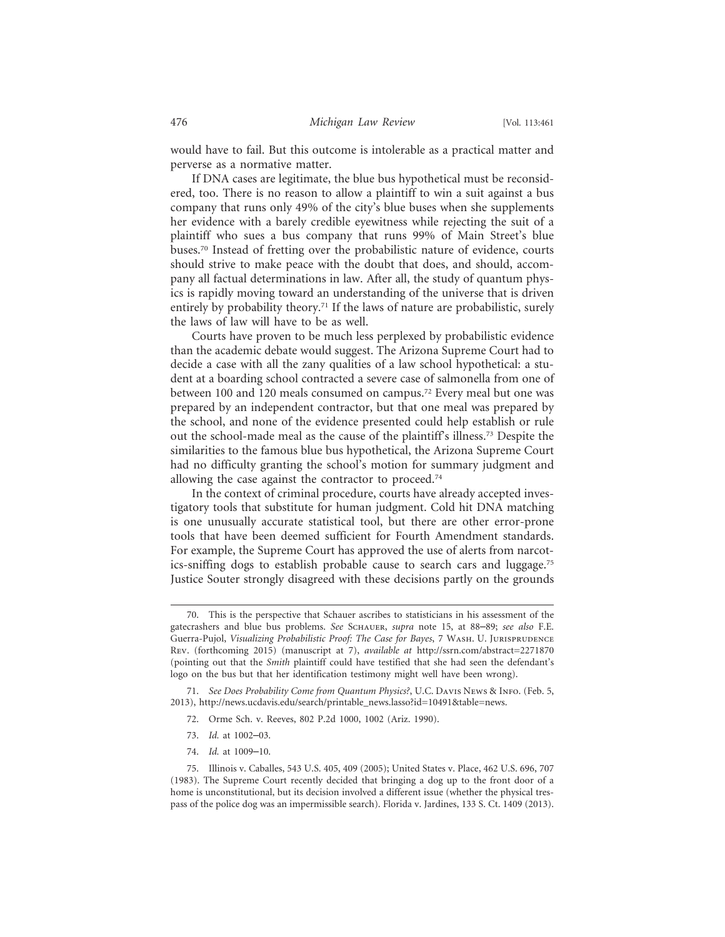would have to fail. But this outcome is intolerable as a practical matter and perverse as a normative matter.

If DNA cases are legitimate, the blue bus hypothetical must be reconsidered, too. There is no reason to allow a plaintiff to win a suit against a bus company that runs only 49% of the city's blue buses when she supplements her evidence with a barely credible eyewitness while rejecting the suit of a plaintiff who sues a bus company that runs 99% of Main Street's blue buses.70 Instead of fretting over the probabilistic nature of evidence, courts should strive to make peace with the doubt that does, and should, accompany all factual determinations in law. After all, the study of quantum physics is rapidly moving toward an understanding of the universe that is driven entirely by probability theory.<sup>71</sup> If the laws of nature are probabilistic, surely the laws of law will have to be as well.

Courts have proven to be much less perplexed by probabilistic evidence than the academic debate would suggest. The Arizona Supreme Court had to decide a case with all the zany qualities of a law school hypothetical: a student at a boarding school contracted a severe case of salmonella from one of between 100 and 120 meals consumed on campus.72 Every meal but one was prepared by an independent contractor, but that one meal was prepared by the school, and none of the evidence presented could help establish or rule out the school-made meal as the cause of the plaintiff's illness.73 Despite the similarities to the famous blue bus hypothetical, the Arizona Supreme Court had no difficulty granting the school's motion for summary judgment and allowing the case against the contractor to proceed.<sup>74</sup>

In the context of criminal procedure, courts have already accepted investigatory tools that substitute for human judgment. Cold hit DNA matching is one unusually accurate statistical tool, but there are other error-prone tools that have been deemed sufficient for Fourth Amendment standards. For example, the Supreme Court has approved the use of alerts from narcotics-sniffing dogs to establish probable cause to search cars and luggage.75 Justice Souter strongly disagreed with these decisions partly on the grounds

- 73. *Id.* at 1002–03.
- 74. *Id.* at 1009–10.

<sup>70.</sup> This is the perspective that Schauer ascribes to statisticians in his assessment of the gatecrashers and blue bus problems. *See* Schauer, *supra* note 15, at 88–89; *see also* F.E. Guerra-Pujol, Visualizing Probabilistic Proof: The Case for Bayes, 7 WASH. U. JURISPRUDENCE Rev. (forthcoming 2015) (manuscript at 7), *available at* http://ssrn.com/abstract=2271870 (pointing out that the *Smith* plaintiff could have testified that she had seen the defendant's logo on the bus but that her identification testimony might well have been wrong).

<sup>71.</sup> *See Does Probability Come from Quantum Physics?*, U.C. Davis News & Info. (Feb. 5, 2013), http://news.ucdavis.edu/search/printable\_news.lasso?id=10491&table=news.

<sup>72.</sup> Orme Sch. v. Reeves, 802 P.2d 1000, 1002 (Ariz. 1990).

<sup>75.</sup> Illinois v. Caballes, 543 U.S. 405, 409 (2005); United States v. Place, 462 U.S. 696, 707 (1983). The Supreme Court recently decided that bringing a dog up to the front door of a home is unconstitutional, but its decision involved a different issue (whether the physical trespass of the police dog was an impermissible search). Florida v. Jardines, 133 S. Ct. 1409 (2013).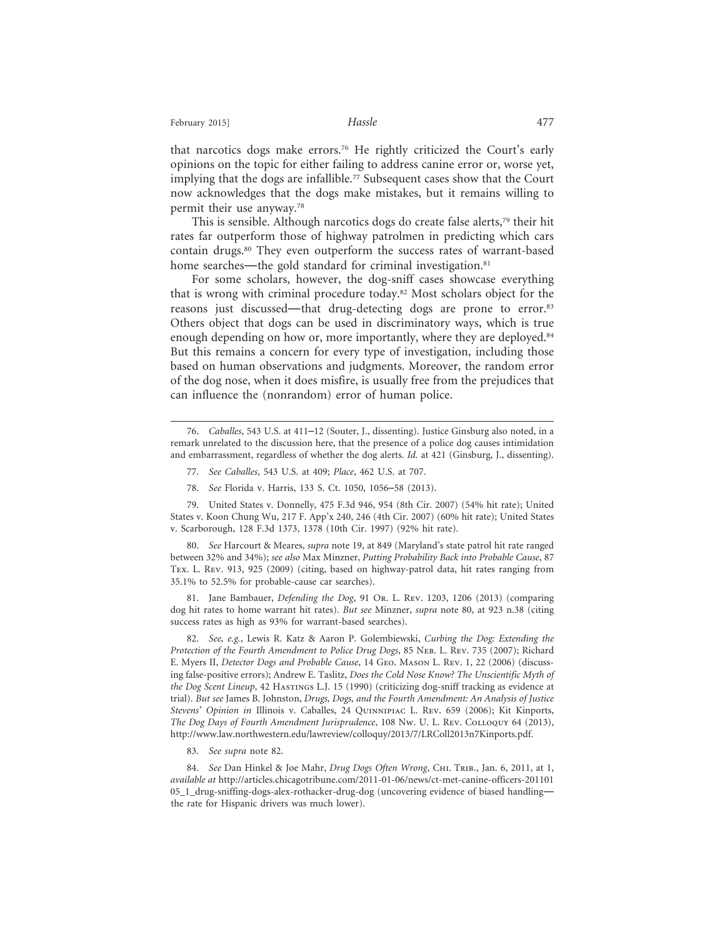that narcotics dogs make errors.76 He rightly criticized the Court's early opinions on the topic for either failing to address canine error or, worse yet, implying that the dogs are infallible.<sup>77</sup> Subsequent cases show that the Court now acknowledges that the dogs make mistakes, but it remains willing to permit their use anyway.78

This is sensible. Although narcotics dogs do create false alerts,<sup>79</sup> their hit rates far outperform those of highway patrolmen in predicting which cars contain drugs.80 They even outperform the success rates of warrant-based home searches—the gold standard for criminal investigation.<sup>81</sup>

For some scholars, however, the dog-sniff cases showcase everything that is wrong with criminal procedure today.82 Most scholars object for the reasons just discussed—that drug-detecting dogs are prone to error.83 Others object that dogs can be used in discriminatory ways, which is true enough depending on how or, more importantly, where they are deployed.<sup>84</sup> But this remains a concern for every type of investigation, including those based on human observations and judgments. Moreover, the random error of the dog nose, when it does misfire, is usually free from the prejudices that can influence the (nonrandom) error of human police.

- 77. *See Caballes*, 543 U.S. at 409; *Place*, 462 U.S. at 707.
- 78. *See* Florida v. Harris, 133 S. Ct. 1050, 1056–58 (2013).

79. United States v. Donnelly, 475 F.3d 946, 954 (8th Cir. 2007) (54% hit rate); United States v. Koon Chung Wu, 217 F. App'x 240, 246 (4th Cir. 2007) (60% hit rate); United States v. Scarborough, 128 F.3d 1373, 1378 (10th Cir. 1997) (92% hit rate).

80. *See* Harcourt & Meares, *supra* note 19, at 849 (Maryland's state patrol hit rate ranged between 32% and 34%); *see also* Max Minzner, *Putting Probability Back into Probable Cause*, 87 Tex. L. Rev. 913, 925 (2009) (citing, based on highway-patrol data, hit rates ranging from 35.1% to 52.5% for probable-cause car searches).

81. Jane Bambauer, *Defending the Dog*, 91 Or. L. Rev. 1203, 1206 (2013) (comparing dog hit rates to home warrant hit rates). *But see* Minzner, *supra* note 80, at 923 n.38 (citing success rates as high as 93% for warrant-based searches).

82. *See, e.g.*, Lewis R. Katz & Aaron P. Golembiewski, *Curbing the Dog: Extending the* Protection of the Fourth Amendment to Police Drug Dogs, 85 NEB. L. REV. 735 (2007); Richard E. Myers II, *Detector Dogs and Probable Cause*, 14 Geo. Mason L. Rev. 1, 22 (2006) (discussing false-positive errors); Andrew E. Taslitz, *Does the Cold Nose Know? The Unscientific Myth of the Dog Scent Lineup*, 42 Hastings L.J. 15 (1990) (criticizing dog-sniff tracking as evidence at trial). *But see* James B. Johnston, *Drugs, Dogs, and the Fourth Amendment: An Analysis of Justice Stevens' Opinion in* Illinois v. Caballes, 24 Quinnipiac L. Rev. 659 (2006); Kit Kinports, *The Dog Days of Fourth Amendment Jurisprudence*, 108 Nw. U. L. Rev. Colloquy 64 (2013), http://www.law.northwestern.edu/lawreview/colloquy/2013/7/LRColl2013n7Kinports.pdf.

83. *See supra* note 82.

84. *See Dan Hinkel & Joe Mahr, Drug Dogs Often Wrong*, CHI. TRIB., Jan. 6, 2011, at 1, *available at* http://articles.chicagotribune.com/2011-01-06/news/ct-met-canine-officers-201101 05\_1\_drug-sniffing-dogs-alex-rothacker-drug-dog (uncovering evidence of biased handling the rate for Hispanic drivers was much lower).

<sup>76.</sup> *Caballes*, 543 U.S. at 411–12 (Souter, J., dissenting). Justice Ginsburg also noted, in a remark unrelated to the discussion here, that the presence of a police dog causes intimidation and embarrassment, regardless of whether the dog alerts. *Id.* at 421 (Ginsburg, J., dissenting).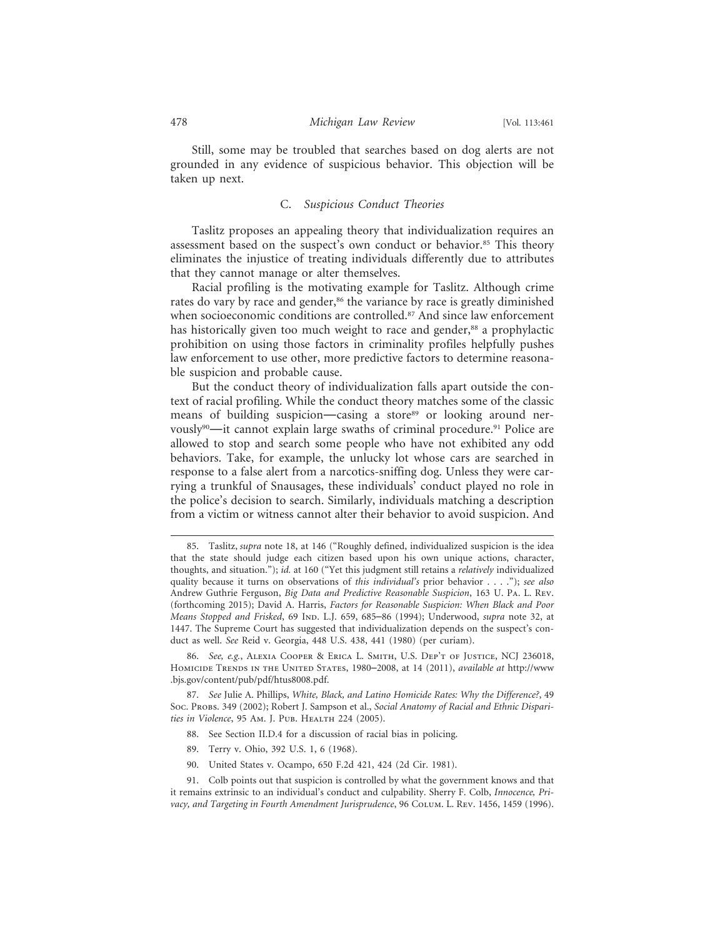Still, some may be troubled that searches based on dog alerts are not grounded in any evidence of suspicious behavior. This objection will be taken up next.

#### C. *Suspicious Conduct Theories*

Taslitz proposes an appealing theory that individualization requires an assessment based on the suspect's own conduct or behavior.<sup>85</sup> This theory eliminates the injustice of treating individuals differently due to attributes that they cannot manage or alter themselves.

Racial profiling is the motivating example for Taslitz. Although crime rates do vary by race and gender,<sup>86</sup> the variance by race is greatly diminished when socioeconomic conditions are controlled.<sup>87</sup> And since law enforcement has historically given too much weight to race and gender,<sup>88</sup> a prophylactic prohibition on using those factors in criminality profiles helpfully pushes law enforcement to use other, more predictive factors to determine reasonable suspicion and probable cause.

But the conduct theory of individualization falls apart outside the context of racial profiling. While the conduct theory matches some of the classic means of building suspicion—casing a store<sup>89</sup> or looking around nervously<sup>90</sup>—it cannot explain large swaths of criminal procedure.<sup>91</sup> Police are allowed to stop and search some people who have not exhibited any odd behaviors. Take, for example, the unlucky lot whose cars are searched in response to a false alert from a narcotics-sniffing dog. Unless they were carrying a trunkful of Snausages, these individuals' conduct played no role in the police's decision to search. Similarly, individuals matching a description from a victim or witness cannot alter their behavior to avoid suspicion. And

- 88. See Section II.D.4 for a discussion of racial bias in policing.
- 89. Terry v. Ohio, 392 U.S. 1, 6 (1968).
- 90. United States v. Ocampo, 650 F.2d 421, 424 (2d Cir. 1981).

<sup>85.</sup> Taslitz, *supra* note 18, at 146 ("Roughly defined, individualized suspicion is the idea that the state should judge each citizen based upon his own unique actions, character, thoughts, and situation."); *id.* at 160 ("Yet this judgment still retains a *relatively* individualized quality because it turns on observations of *this individual's* prior behavior . . . ."); *see also* Andrew Guthrie Ferguson, *Big Data and Predictive Reasonable Suspicion*, 163 U. Pa. L. Rev. (forthcoming 2015); David A. Harris, *Factors for Reasonable Suspicion: When Black and Poor Means Stopped and Frisked*, 69 Ind. L.J. 659, 685–86 (1994); Underwood, *supra* note 32, at 1447. The Supreme Court has suggested that individualization depends on the suspect's conduct as well. *See* Reid v. Georgia, 448 U.S. 438, 441 (1980) (per curiam).

<sup>86.</sup> *See, e.g.*, Alexia Cooper & Erica L. Smith, U.S. Dep't of Justice, NCJ 236018, Homicide Trends in the United States, 1980–2008, at 14 (2011), *available at* http://www .bjs.gov/content/pub/pdf/htus8008.pdf.

<sup>87.</sup> *See* Julie A. Phillips, *White, Black, and Latino Homicide Rates: Why the Difference?*, 49 Soc. Probs. 349 (2002); Robert J. Sampson et al., *Social Anatomy of Racial and Ethnic Disparities in Violence*, 95 Am. J. Pub. Health 224 (2005).

<sup>91.</sup> Colb points out that suspicion is controlled by what the government knows and that it remains extrinsic to an individual's conduct and culpability. Sherry F. Colb, *Innocence, Pri*vacy, and Targeting in Fourth Amendment Jurisprudence, 96 Co<sub>LUM</sub>. L. Rev. 1456, 1459 (1996).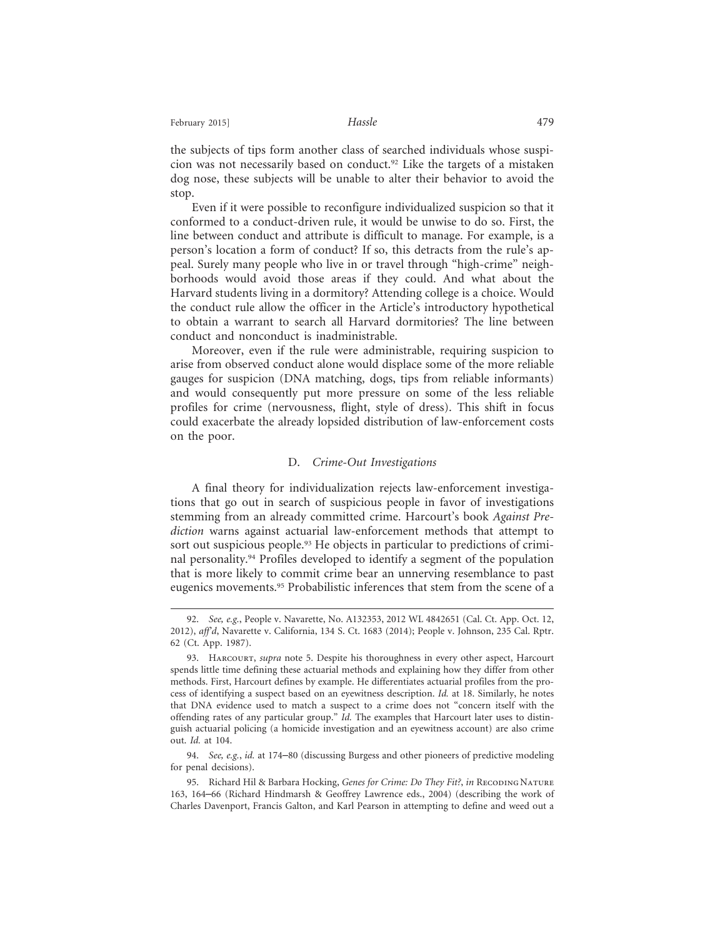February 2015] **Hassle Hassle Hassle Hassle** 

the subjects of tips form another class of searched individuals whose suspicion was not necessarily based on conduct.92 Like the targets of a mistaken dog nose, these subjects will be unable to alter their behavior to avoid the stop.

Even if it were possible to reconfigure individualized suspicion so that it conformed to a conduct-driven rule, it would be unwise to do so. First, the line between conduct and attribute is difficult to manage. For example, is a person's location a form of conduct? If so, this detracts from the rule's appeal. Surely many people who live in or travel through "high-crime" neighborhoods would avoid those areas if they could. And what about the Harvard students living in a dormitory? Attending college is a choice. Would the conduct rule allow the officer in the Article's introductory hypothetical to obtain a warrant to search all Harvard dormitories? The line between conduct and nonconduct is inadministrable.

Moreover, even if the rule were administrable, requiring suspicion to arise from observed conduct alone would displace some of the more reliable gauges for suspicion (DNA matching, dogs, tips from reliable informants) and would consequently put more pressure on some of the less reliable profiles for crime (nervousness, flight, style of dress). This shift in focus could exacerbate the already lopsided distribution of law-enforcement costs on the poor.

#### D. *Crime-Out Investigations*

A final theory for individualization rejects law-enforcement investigations that go out in search of suspicious people in favor of investigations stemming from an already committed crime. Harcourt's book *Against Prediction* warns against actuarial law-enforcement methods that attempt to sort out suspicious people.<sup>93</sup> He objects in particular to predictions of criminal personality.94 Profiles developed to identify a segment of the population that is more likely to commit crime bear an unnerving resemblance to past eugenics movements.<sup>95</sup> Probabilistic inferences that stem from the scene of a

<sup>92.</sup> *See, e.g.*, People v. Navarette, No. A132353, 2012 WL 4842651 (Cal. Ct. App. Oct. 12, 2012), *aff'd*, Navarette v. California, 134 S. Ct. 1683 (2014); People v. Johnson, 235 Cal. Rptr. 62 (Ct. App. 1987).

<sup>93.</sup> Harcourt, *supra* note 5. Despite his thoroughness in every other aspect, Harcourt spends little time defining these actuarial methods and explaining how they differ from other methods. First, Harcourt defines by example. He differentiates actuarial profiles from the process of identifying a suspect based on an eyewitness description. *Id.* at 18. Similarly, he notes that DNA evidence used to match a suspect to a crime does not "concern itself with the offending rates of any particular group." *Id.* The examples that Harcourt later uses to distinguish actuarial policing (a homicide investigation and an eyewitness account) are also crime out. *Id.* at 104.

<sup>94.</sup> *See, e.g.*, *id.* at 174–80 (discussing Burgess and other pioneers of predictive modeling for penal decisions).

<sup>95.</sup> Richard Hil & Barbara Hocking, *Genes for Crime: Do They Fit?*, *in* RECODING NATURE 163, 164–66 (Richard Hindmarsh & Geoffrey Lawrence eds., 2004) (describing the work of Charles Davenport, Francis Galton, and Karl Pearson in attempting to define and weed out a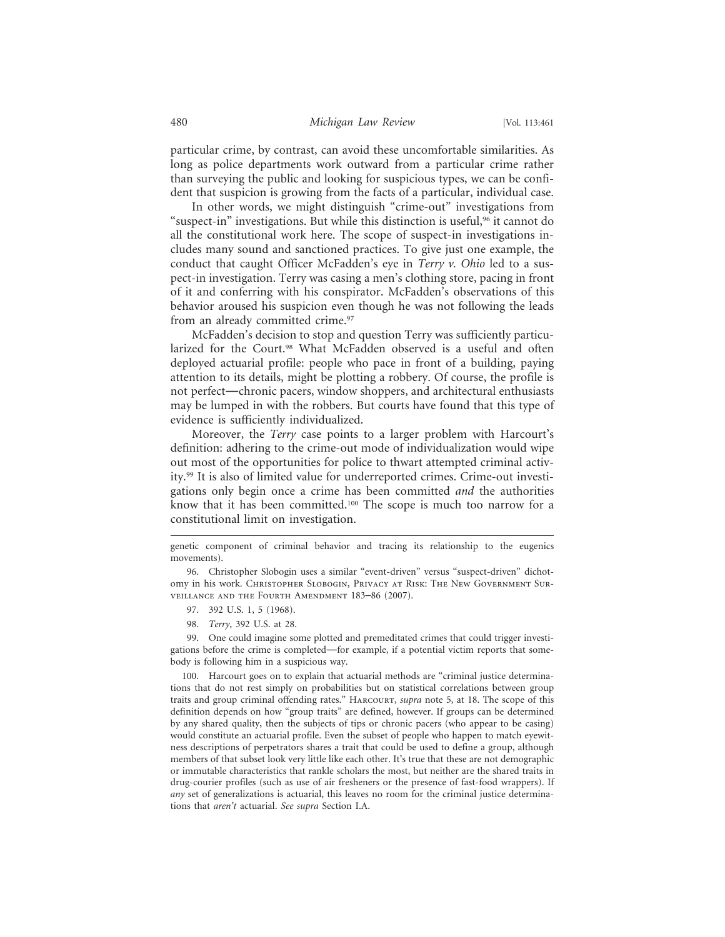particular crime, by contrast, can avoid these uncomfortable similarities. As long as police departments work outward from a particular crime rather than surveying the public and looking for suspicious types, we can be confident that suspicion is growing from the facts of a particular, individual case.

In other words, we might distinguish "crime-out" investigations from "suspect-in" investigations. But while this distinction is useful,<sup>96</sup> it cannot do all the constitutional work here. The scope of suspect-in investigations includes many sound and sanctioned practices. To give just one example, the conduct that caught Officer McFadden's eye in *Terry v. Ohio* led to a suspect-in investigation. Terry was casing a men's clothing store, pacing in front of it and conferring with his conspirator. McFadden's observations of this behavior aroused his suspicion even though he was not following the leads from an already committed crime.<sup>97</sup>

McFadden's decision to stop and question Terry was sufficiently particularized for the Court.<sup>98</sup> What McFadden observed is a useful and often deployed actuarial profile: people who pace in front of a building, paying attention to its details, might be plotting a robbery. Of course, the profile is not perfect—chronic pacers, window shoppers, and architectural enthusiasts may be lumped in with the robbers. But courts have found that this type of evidence is sufficiently individualized.

Moreover, the *Terry* case points to a larger problem with Harcourt's definition: adhering to the crime-out mode of individualization would wipe out most of the opportunities for police to thwart attempted criminal activity.99 It is also of limited value for underreported crimes. Crime-out investigations only begin once a crime has been committed *and* the authorities know that it has been committed.<sup>100</sup> The scope is much too narrow for a constitutional limit on investigation.

- 97. 392 U.S. 1, 5 (1968).
- 98. *Terry*, 392 U.S. at 28.

99. One could imagine some plotted and premeditated crimes that could trigger investigations before the crime is completed—for example, if a potential victim reports that somebody is following him in a suspicious way.

100. Harcourt goes on to explain that actuarial methods are "criminal justice determinations that do not rest simply on probabilities but on statistical correlations between group traits and group criminal offending rates." Harcourt, *supra* note 5, at 18. The scope of this definition depends on how "group traits" are defined, however. If groups can be determined by any shared quality, then the subjects of tips or chronic pacers (who appear to be casing) would constitute an actuarial profile. Even the subset of people who happen to match eyewitness descriptions of perpetrators shares a trait that could be used to define a group, although members of that subset look very little like each other. It's true that these are not demographic or immutable characteristics that rankle scholars the most, but neither are the shared traits in drug-courier profiles (such as use of air fresheners or the presence of fast-food wrappers). If *any* set of generalizations is actuarial, this leaves no room for the criminal justice determinations that *aren't* actuarial. *See supra* Section I.A.

genetic component of criminal behavior and tracing its relationship to the eugenics movements).

<sup>96.</sup> Christopher Slobogin uses a similar "event-driven" versus "suspect-driven" dichotomy in his work. Christopher Slobogin, Privacy at Risk: The New Government Surveillance and the Fourth Amendment 183–86 (2007).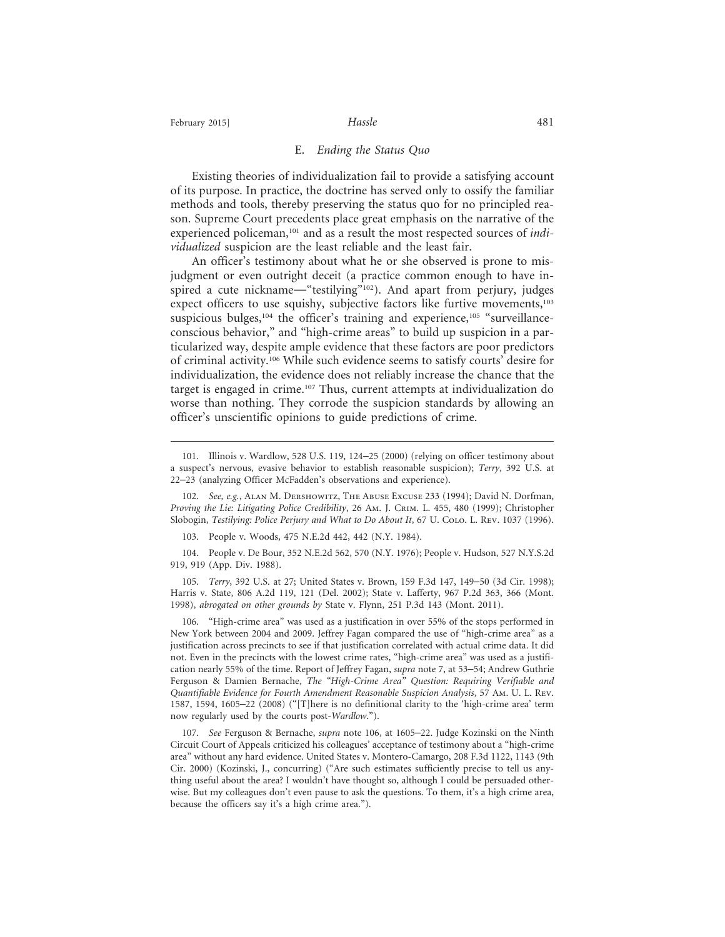#### E. *Ending the Status Quo*

Existing theories of individualization fail to provide a satisfying account of its purpose. In practice, the doctrine has served only to ossify the familiar methods and tools, thereby preserving the status quo for no principled reason. Supreme Court precedents place great emphasis on the narrative of the experienced policeman,<sup>101</sup> and as a result the most respected sources of *individualized* suspicion are the least reliable and the least fair.

An officer's testimony about what he or she observed is prone to misjudgment or even outright deceit (a practice common enough to have inspired a cute nickname—"testilying"<sup>102</sup>). And apart from perjury, judges expect officers to use squishy, subjective factors like furtive movements,<sup>103</sup> suspicious bulges,<sup>104</sup> the officer's training and experience,<sup>105</sup> "surveillanceconscious behavior," and "high-crime areas" to build up suspicion in a particularized way, despite ample evidence that these factors are poor predictors of criminal activity.106 While such evidence seems to satisfy courts' desire for individualization, the evidence does not reliably increase the chance that the target is engaged in crime.107 Thus, current attempts at individualization do worse than nothing. They corrode the suspicion standards by allowing an officer's unscientific opinions to guide predictions of crime.

103. People v. Woods, 475 N.E.2d 442, 442 (N.Y. 1984).

104. People v. De Bour, 352 N.E.2d 562, 570 (N.Y. 1976); People v. Hudson, 527 N.Y.S.2d 919, 919 (App. Div. 1988).

105. *Terry*, 392 U.S. at 27; United States v. Brown, 159 F.3d 147, 149–50 (3d Cir. 1998); Harris v. State, 806 A.2d 119, 121 (Del. 2002); State v. Lafferty, 967 P.2d 363, 366 (Mont. 1998), *abrogated on other grounds by* State v. Flynn, 251 P.3d 143 (Mont. 2011).

106. "High-crime area" was used as a justification in over 55% of the stops performed in New York between 2004 and 2009. Jeffrey Fagan compared the use of "high-crime area" as a justification across precincts to see if that justification correlated with actual crime data. It did not. Even in the precincts with the lowest crime rates, "high-crime area" was used as a justification nearly 55% of the time. Report of Jeffrey Fagan, *supra* note 7, at 53–54; Andrew Guthrie Ferguson & Damien Bernache, *The "High-Crime Area" Question: Requiring Verifiable and Quantifiable Evidence for Fourth Amendment Reasonable Suspicion Analysis*, 57 Am. U. L. Rev. 1587, 1594, 1605–22 (2008) ("[T]here is no definitional clarity to the 'high-crime area' term now regularly used by the courts post-*Wardlow*.").

107. *See* Ferguson & Bernache, *supra* note 106, at 1605–22. Judge Kozinski on the Ninth Circuit Court of Appeals criticized his colleagues' acceptance of testimony about a "high-crime area" without any hard evidence. United States v. Montero-Camargo, 208 F.3d 1122, 1143 (9th Cir. 2000) (Kozinski, J., concurring) ("Are such estimates sufficiently precise to tell us anything useful about the area? I wouldn't have thought so, although I could be persuaded otherwise. But my colleagues don't even pause to ask the questions. To them, it's a high crime area, because the officers say it's a high crime area.").

<sup>101.</sup> Illinois v. Wardlow, 528 U.S. 119, 124–25 (2000) (relying on officer testimony about a suspect's nervous, evasive behavior to establish reasonable suspicion); *Terry*, 392 U.S. at 22–23 (analyzing Officer McFadden's observations and experience).

<sup>102.</sup> *See, e.g.*, Alan M. Dershowitz, The Abuse Excuse 233 (1994); David N. Dorfman, *Proving the Lie: Litigating Police Credibility*, 26 Am. J. Crim. L. 455, 480 (1999); Christopher Slobogin, *Testilying: Police Perjury and What to Do About It*, 67 U. Colo. L. Rev. 1037 (1996).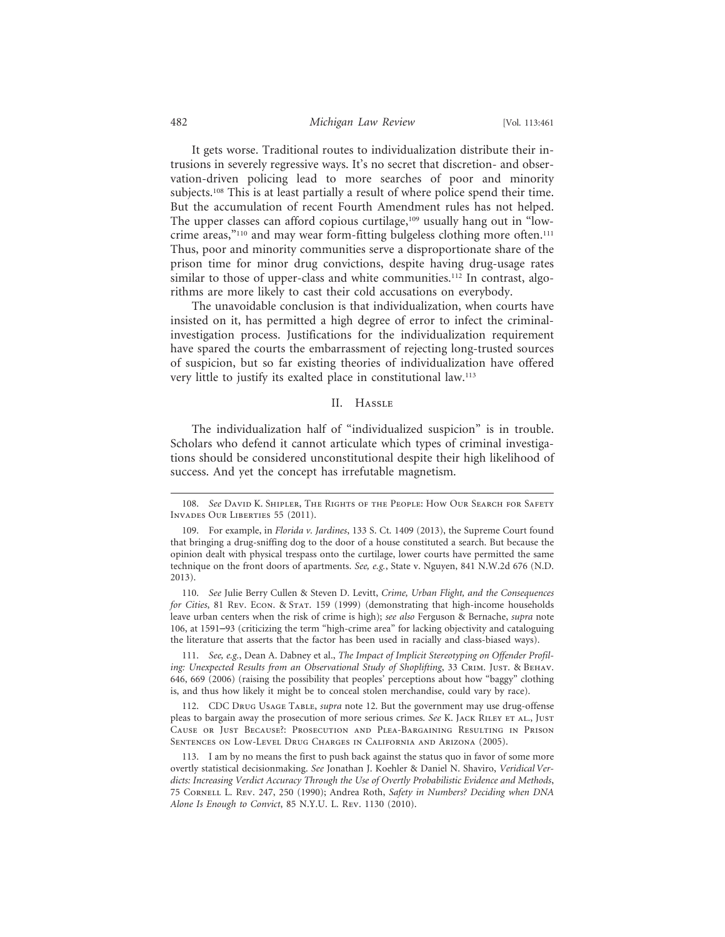#### 482 *Michigan Law Review* [Vol. 113:461

It gets worse. Traditional routes to individualization distribute their intrusions in severely regressive ways. It's no secret that discretion- and observation-driven policing lead to more searches of poor and minority subjects.108 This is at least partially a result of where police spend their time. But the accumulation of recent Fourth Amendment rules has not helped. The upper classes can afford copious curtilage,<sup>109</sup> usually hang out in "lowcrime areas,"<sup>110</sup> and may wear form-fitting bulgeless clothing more often.<sup>111</sup> Thus, poor and minority communities serve a disproportionate share of the prison time for minor drug convictions, despite having drug-usage rates similar to those of upper-class and white communities.<sup>112</sup> In contrast, algorithms are more likely to cast their cold accusations on everybody.

The unavoidable conclusion is that individualization, when courts have insisted on it, has permitted a high degree of error to infect the criminalinvestigation process. Justifications for the individualization requirement have spared the courts the embarrassment of rejecting long-trusted sources of suspicion, but so far existing theories of individualization have offered very little to justify its exalted place in constitutional law.113

#### II. Hassle

The individualization half of "individualized suspicion" is in trouble. Scholars who defend it cannot articulate which types of criminal investigations should be considered unconstitutional despite their high likelihood of success. And yet the concept has irrefutable magnetism.

111. *See, e.g.*, Dean A. Dabney et al., *The Impact of Implicit Stereotyping on Offender Profiling: Unexpected Results from an Observational Study of Shoplifting*, 33 CRIM. JUST. & BEHAV. 646, 669 (2006) (raising the possibility that peoples' perceptions about how "baggy" clothing is, and thus how likely it might be to conceal stolen merchandise, could vary by race).

112. CDC Drug Usage Table, *supra* note 12. But the government may use drug-offense pleas to bargain away the prosecution of more serious crimes. *See* K. Jack Riley et al., Just Cause or Just Because?: Prosecution and Plea-Bargaining Resulting in Prison Sentences on Low-Level Drug Charges in California and Arizona (2005).

<sup>108.</sup> *See* David K. Shipler, The Rights of the People: How Our Search for Safety Invades Our Liberties 55 (2011).

<sup>109.</sup> For example, in *Florida v. Jardines*, 133 S. Ct. 1409 (2013), the Supreme Court found that bringing a drug-sniffing dog to the door of a house constituted a search. But because the opinion dealt with physical trespass onto the curtilage, lower courts have permitted the same technique on the front doors of apartments. *See, e.g.*, State v. Nguyen, 841 N.W.2d 676 (N.D. 2013).

<sup>110.</sup> *See* Julie Berry Cullen & Steven D. Levitt, *Crime, Urban Flight, and the Consequences for Cities*, 81 Rev. Econ. & Stat. 159 (1999) (demonstrating that high-income households leave urban centers when the risk of crime is high); *see also* Ferguson & Bernache, *supra* note 106, at 1591–93 (criticizing the term "high-crime area" for lacking objectivity and cataloguing the literature that asserts that the factor has been used in racially and class-biased ways).

<sup>113.</sup> I am by no means the first to push back against the status quo in favor of some more overtly statistical decisionmaking. *See* Jonathan J. Koehler & Daniel N. Shaviro, *Veridical Verdicts: Increasing Verdict Accuracy Through the Use of Overtly Probabilistic Evidence and Methods*, 75 Cornell L. Rev. 247, 250 (1990); Andrea Roth, *Safety in Numbers? Deciding when DNA Alone Is Enough to Convict*, 85 N.Y.U. L. Rev. 1130 (2010).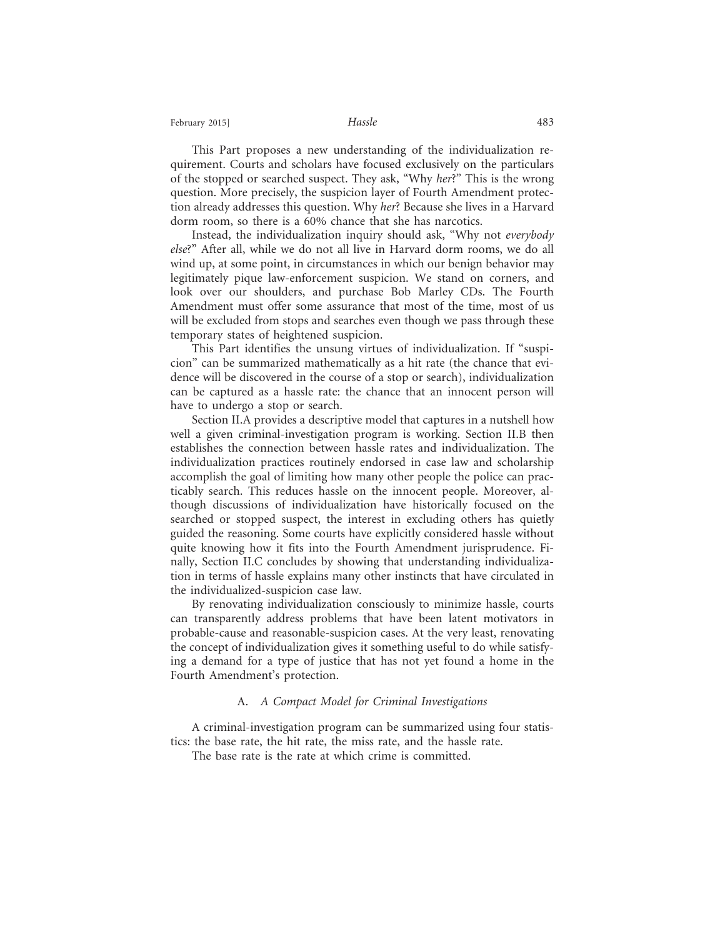#### February 2015] **Hassle Hassle Hassle Hassle**

This Part proposes a new understanding of the individualization requirement. Courts and scholars have focused exclusively on the particulars of the stopped or searched suspect. They ask, "Why *her*?" This is the wrong question. More precisely, the suspicion layer of Fourth Amendment protection already addresses this question. Why *her*? Because she lives in a Harvard dorm room, so there is a 60% chance that she has narcotics.

Instead, the individualization inquiry should ask, "Why not *everybody else*?" After all, while we do not all live in Harvard dorm rooms, we do all wind up, at some point, in circumstances in which our benign behavior may legitimately pique law-enforcement suspicion. We stand on corners, and look over our shoulders, and purchase Bob Marley CDs. The Fourth Amendment must offer some assurance that most of the time, most of us will be excluded from stops and searches even though we pass through these temporary states of heightened suspicion.

This Part identifies the unsung virtues of individualization. If "suspicion" can be summarized mathematically as a hit rate (the chance that evidence will be discovered in the course of a stop or search), individualization can be captured as a hassle rate: the chance that an innocent person will have to undergo a stop or search.

Section II.A provides a descriptive model that captures in a nutshell how well a given criminal-investigation program is working. Section II.B then establishes the connection between hassle rates and individualization. The individualization practices routinely endorsed in case law and scholarship accomplish the goal of limiting how many other people the police can practicably search. This reduces hassle on the innocent people. Moreover, although discussions of individualization have historically focused on the searched or stopped suspect, the interest in excluding others has quietly guided the reasoning. Some courts have explicitly considered hassle without quite knowing how it fits into the Fourth Amendment jurisprudence. Finally, Section II.C concludes by showing that understanding individualization in terms of hassle explains many other instincts that have circulated in the individualized-suspicion case law.

By renovating individualization consciously to minimize hassle, courts can transparently address problems that have been latent motivators in probable-cause and reasonable-suspicion cases. At the very least, renovating the concept of individualization gives it something useful to do while satisfying a demand for a type of justice that has not yet found a home in the Fourth Amendment's protection.

#### A. *A Compact Model for Criminal Investigations*

A criminal-investigation program can be summarized using four statistics: the base rate, the hit rate, the miss rate, and the hassle rate.

The base rate is the rate at which crime is committed.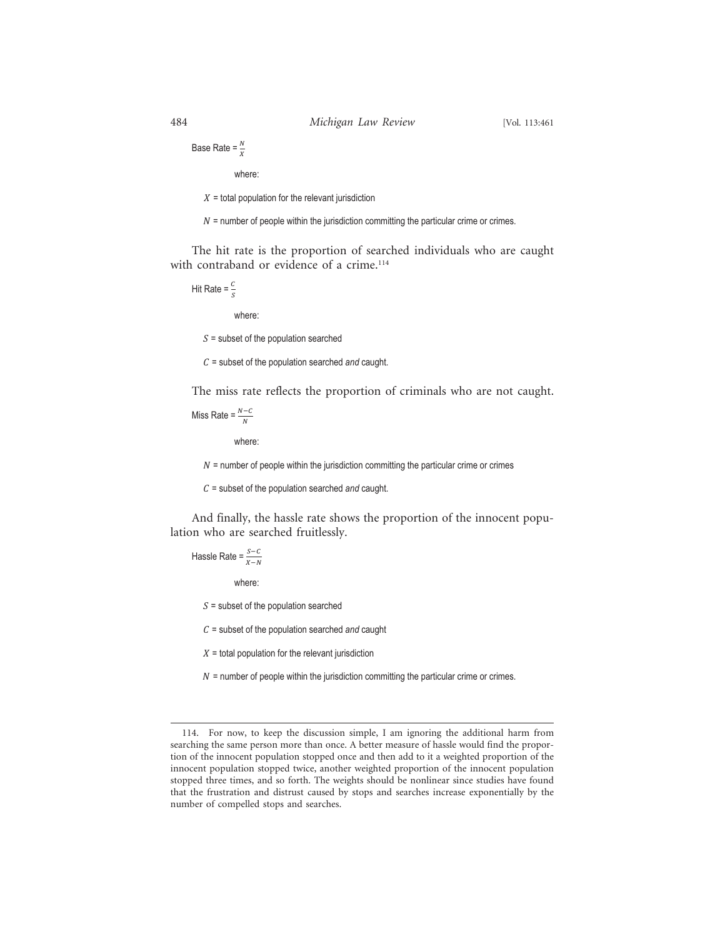Base Rate =  $\frac{N}{X}$ 

where:

 $X =$  total population for the relevant jurisdiction

 $N$  = number of people within the jurisdiction committing the particular crime or crimes.

The hit rate is the proportion of searched individuals who are caught with contraband or evidence of a crime.<sup>114</sup>

Hit Rate = 
$$
\frac{c}{s}
$$

where:

 $S =$  subset of the population searched

 $C =$  subset of the population searched *and* caught.

The miss rate reflects the proportion of criminals who are not caught.

Miss Rate =  $\frac{N-C}{N}$ 

where:

 $N$  = number of people within the jurisdiction committing the particular crime or crimes

 $C =$  subset of the population searched *and* caught.

And finally, the hassle rate shows the proportion of the innocent population who are searched fruitlessly.

Hassle Rate =  $\frac{S-C}{X-N}$ 

where:

 $S =$  subset of the population searched

 $C =$  subset of the population searched *and* caught

 $X =$  total population for the relevant jurisdiction

 $N$  = number of people within the jurisdiction committing the particular crime or crimes.

<sup>114.</sup> For now, to keep the discussion simple, I am ignoring the additional harm from searching the same person more than once. A better measure of hassle would find the proportion of the innocent population stopped once and then add to it a weighted proportion of the innocent population stopped twice, another weighted proportion of the innocent population stopped three times, and so forth. The weights should be nonlinear since studies have found that the frustration and distrust caused by stops and searches increase exponentially by the number of compelled stops and searches.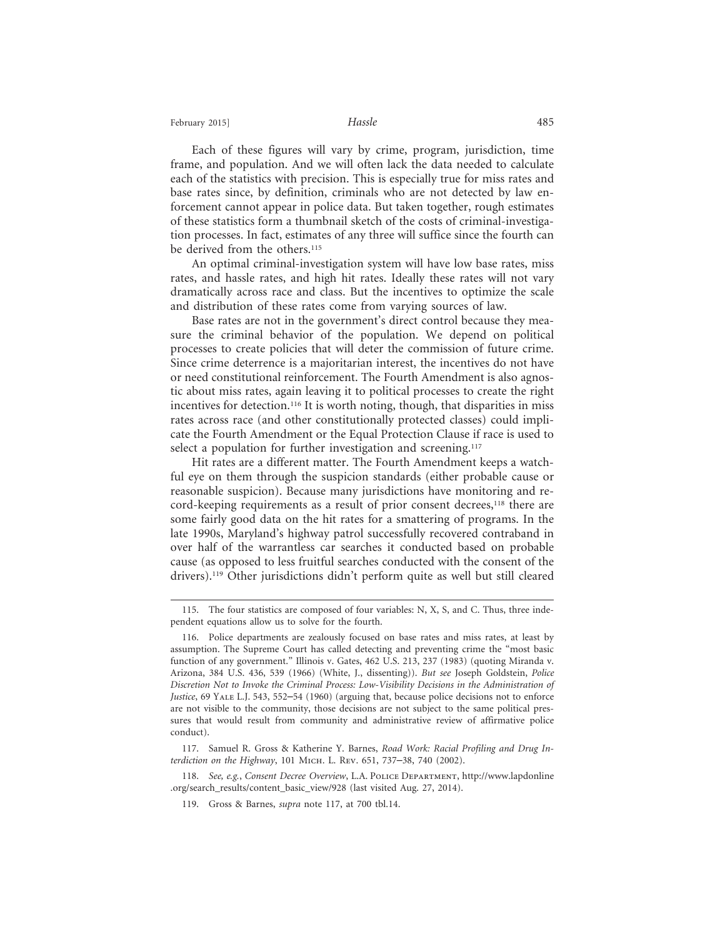Each of these figures will vary by crime, program, jurisdiction, time frame, and population. And we will often lack the data needed to calculate each of the statistics with precision. This is especially true for miss rates and base rates since, by definition, criminals who are not detected by law enforcement cannot appear in police data. But taken together, rough estimates of these statistics form a thumbnail sketch of the costs of criminal-investigation processes. In fact, estimates of any three will suffice since the fourth can be derived from the others.<sup>115</sup>

An optimal criminal-investigation system will have low base rates, miss rates, and hassle rates, and high hit rates. Ideally these rates will not vary dramatically across race and class. But the incentives to optimize the scale and distribution of these rates come from varying sources of law.

Base rates are not in the government's direct control because they measure the criminal behavior of the population. We depend on political processes to create policies that will deter the commission of future crime. Since crime deterrence is a majoritarian interest, the incentives do not have or need constitutional reinforcement. The Fourth Amendment is also agnostic about miss rates, again leaving it to political processes to create the right incentives for detection.<sup>116</sup> It is worth noting, though, that disparities in miss rates across race (and other constitutionally protected classes) could implicate the Fourth Amendment or the Equal Protection Clause if race is used to select a population for further investigation and screening.<sup>117</sup>

Hit rates are a different matter. The Fourth Amendment keeps a watchful eye on them through the suspicion standards (either probable cause or reasonable suspicion). Because many jurisdictions have monitoring and record-keeping requirements as a result of prior consent decrees,<sup>118</sup> there are some fairly good data on the hit rates for a smattering of programs. In the late 1990s, Maryland's highway patrol successfully recovered contraband in over half of the warrantless car searches it conducted based on probable cause (as opposed to less fruitful searches conducted with the consent of the drivers).<sup>119</sup> Other jurisdictions didn't perform quite as well but still cleared

<sup>115.</sup> The four statistics are composed of four variables: N, X, S, and C. Thus, three independent equations allow us to solve for the fourth.

<sup>116.</sup> Police departments are zealously focused on base rates and miss rates, at least by assumption. The Supreme Court has called detecting and preventing crime the "most basic function of any government." Illinois v. Gates, 462 U.S. 213, 237 (1983) (quoting Miranda v. Arizona, 384 U.S. 436, 539 (1966) (White, J., dissenting)). *But see* Joseph Goldstein, *Police Discretion Not to Invoke the Criminal Process: Low-Visibility Decisions in the Administration of Justice*, 69 YALE L.J. 543, 552–54 (1960) (arguing that, because police decisions not to enforce are not visible to the community, those decisions are not subject to the same political pressures that would result from community and administrative review of affirmative police conduct).

<sup>117.</sup> Samuel R. Gross & Katherine Y. Barnes, *Road Work: Racial Profiling and Drug Interdiction on the Highway*, 101 Mich. L. Rev. 651, 737–38, 740 (2002).

<sup>118.</sup> *See, e.g.*, *Consent Decree Overview*, L.A. Police Department, http://www.lapdonline .org/search\_results/content\_basic\_view/928 (last visited Aug. 27, 2014).

<sup>119.</sup> Gross & Barnes, *supra* note 117, at 700 tbl.14.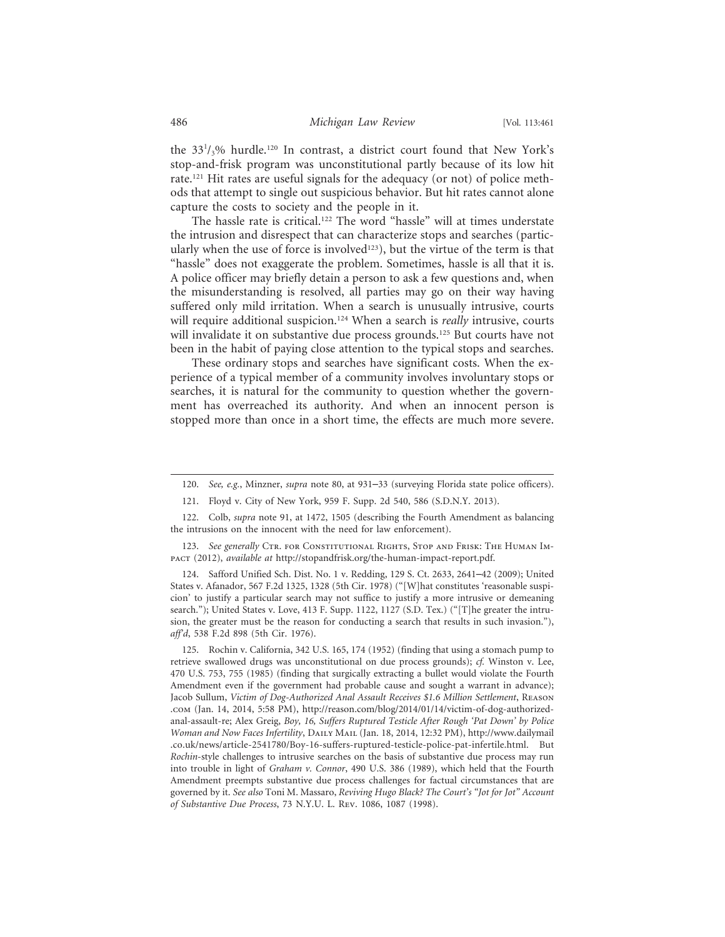the 33<sup>1</sup>/<sub>3</sub>% hurdle.<sup>120</sup> In contrast, a district court found that New York's stop-and-frisk program was unconstitutional partly because of its low hit rate.121 Hit rates are useful signals for the adequacy (or not) of police methods that attempt to single out suspicious behavior. But hit rates cannot alone capture the costs to society and the people in it.

The hassle rate is critical.122 The word "hassle" will at times understate the intrusion and disrespect that can characterize stops and searches (particularly when the use of force is involved $123$ ), but the virtue of the term is that "hassle" does not exaggerate the problem. Sometimes, hassle is all that it is. A police officer may briefly detain a person to ask a few questions and, when the misunderstanding is resolved, all parties may go on their way having suffered only mild irritation. When a search is unusually intrusive, courts will require additional suspicion.<sup>124</sup> When a search is *really* intrusive, courts will invalidate it on substantive due process grounds.<sup>125</sup> But courts have not been in the habit of paying close attention to the typical stops and searches.

These ordinary stops and searches have significant costs. When the experience of a typical member of a community involves involuntary stops or searches, it is natural for the community to question whether the government has overreached its authority. And when an innocent person is stopped more than once in a short time, the effects are much more severe.

124. Safford Unified Sch. Dist. No. 1 v. Redding, 129 S. Ct. 2633, 2641–42 (2009); United States v. Afanador, 567 F.2d 1325, 1328 (5th Cir. 1978) ("[W]hat constitutes 'reasonable suspicion' to justify a particular search may not suffice to justify a more intrusive or demeaning search."); United States v. Love, 413 F. Supp. 1122, 1127 (S.D. Tex.) ("[T]he greater the intrusion, the greater must be the reason for conducting a search that results in such invasion."), *aff'd*, 538 F.2d 898 (5th Cir. 1976).

125. Rochin v. California, 342 U.S. 165, 174 (1952) (finding that using a stomach pump to retrieve swallowed drugs was unconstitutional on due process grounds); *cf.* Winston v. Lee, 470 U.S. 753, 755 (1985) (finding that surgically extracting a bullet would violate the Fourth Amendment even if the government had probable cause and sought a warrant in advance); Jacob Sullum, *Victim of Dog-Authorized Anal Assault Receives \$1.6 Million Settlement*, Reason .com (Jan. 14, 2014, 5:58 PM), http://reason.com/blog/2014/01/14/victim-of-dog-authorizedanal-assault-re; Alex Greig, *Boy, 16, Suffers Ruptured Testicle After Rough 'Pat Down' by Police Woman and Now Faces Infertility*, Daily Mail (Jan. 18, 2014, 12:32 PM), http://www.dailymail .co.uk/news/article-2541780/Boy-16-suffers-ruptured-testicle-police-pat-infertile.html. But *Rochin*-style challenges to intrusive searches on the basis of substantive due process may run into trouble in light of *Graham v. Connor*, 490 U.S. 386 (1989), which held that the Fourth Amendment preempts substantive due process challenges for factual circumstances that are governed by it. *See also* Toni M. Massaro, *Reviving Hugo Black? The Court's "Jot for Jot" Account of Substantive Due Process*, 73 N.Y.U. L. Rev. 1086, 1087 (1998).

<sup>120.</sup> *See, e.g.*, Minzner, *supra* note 80, at 931–33 (surveying Florida state police officers).

<sup>121.</sup> Floyd v. City of New York, 959 F. Supp. 2d 540, 586 (S.D.N.Y. 2013).

<sup>122.</sup> Colb, *supra* note 91, at 1472, 1505 (describing the Fourth Amendment as balancing the intrusions on the innocent with the need for law enforcement).

<sup>123.</sup> See generally CTR. FOR CONSTITUTIONAL RIGHTS, STOP AND FRISK: THE HUMAN IMpact (2012), *available at* http://stopandfrisk.org/the-human-impact-report.pdf.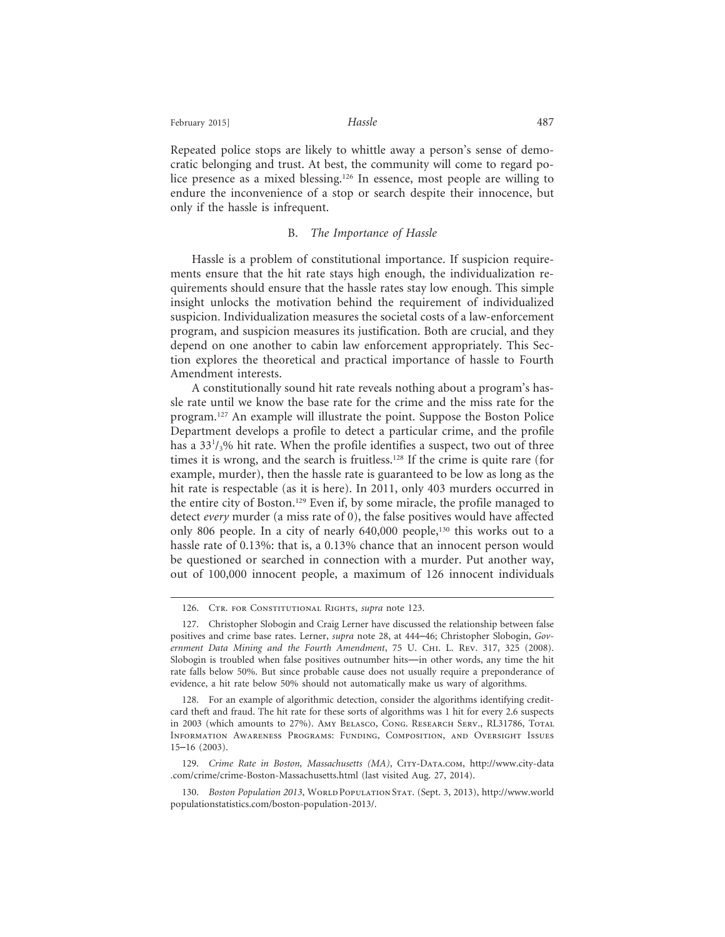February 2015] **Hassle Hassle Hassle Hassle** 

Repeated police stops are likely to whittle away a person's sense of democratic belonging and trust. At best, the community will come to regard police presence as a mixed blessing.126 In essence, most people are willing to endure the inconvenience of a stop or search despite their innocence, but only if the hassle is infrequent.

#### B. *The Importance of Hassle*

Hassle is a problem of constitutional importance. If suspicion requirements ensure that the hit rate stays high enough, the individualization requirements should ensure that the hassle rates stay low enough. This simple insight unlocks the motivation behind the requirement of individualized suspicion. Individualization measures the societal costs of a law-enforcement program, and suspicion measures its justification. Both are crucial, and they depend on one another to cabin law enforcement appropriately. This Section explores the theoretical and practical importance of hassle to Fourth Amendment interests.

A constitutionally sound hit rate reveals nothing about a program's hassle rate until we know the base rate for the crime and the miss rate for the program.127 An example will illustrate the point. Suppose the Boston Police Department develops a profile to detect a particular crime, and the profile has a 33<sup>1</sup>/<sub>3</sub>% hit rate. When the profile identifies a suspect, two out of three times it is wrong, and the search is fruitless.<sup>128</sup> If the crime is quite rare (for example, murder), then the hassle rate is guaranteed to be low as long as the hit rate is respectable (as it is here). In 2011, only 403 murders occurred in the entire city of Boston.129 Even if, by some miracle, the profile managed to detect *every* murder (a miss rate of 0), the false positives would have affected only 806 people. In a city of nearly 640,000 people,<sup>130</sup> this works out to a hassle rate of 0.13%: that is, a 0.13% chance that an innocent person would be questioned or searched in connection with a murder. Put another way, out of 100,000 innocent people, a maximum of 126 innocent individuals

129. *Crime Rate in Boston, Massachusetts (MA)*, City-Data.com, http://www.city-data .com/crime/crime-Boston-Massachusetts.html (last visited Aug. 27, 2014).

<sup>126.</sup> CTR. FOR CONSTITUTIONAL RIGHTS, *supra* note 123.

<sup>127.</sup> Christopher Slobogin and Craig Lerner have discussed the relationship between false positives and crime base rates. Lerner, *supra* note 28, at 444–46; Christopher Slobogin, *Government Data Mining and the Fourth Amendment*, 75 U. Chi. L. Rev. 317, 325 (2008). Slobogin is troubled when false positives outnumber hits—in other words, any time the hit rate falls below 50%. But since probable cause does not usually require a preponderance of evidence, a hit rate below 50% should not automatically make us wary of algorithms.

<sup>128.</sup> For an example of algorithmic detection, consider the algorithms identifying creditcard theft and fraud. The hit rate for these sorts of algorithms was 1 hit for every 2.6 suspects in 2003 (which amounts to 27%). Amy Belasco, Cong. Research Serv., RL31786, Total Information Awareness Programs: Funding, Composition, and Oversight Issues 15–16 (2003).

<sup>130.</sup> *Boston Population 2013*, WORLD POPULATION STAT. (Sept. 3, 2013), http://www.world populationstatistics.com/boston-population-2013/.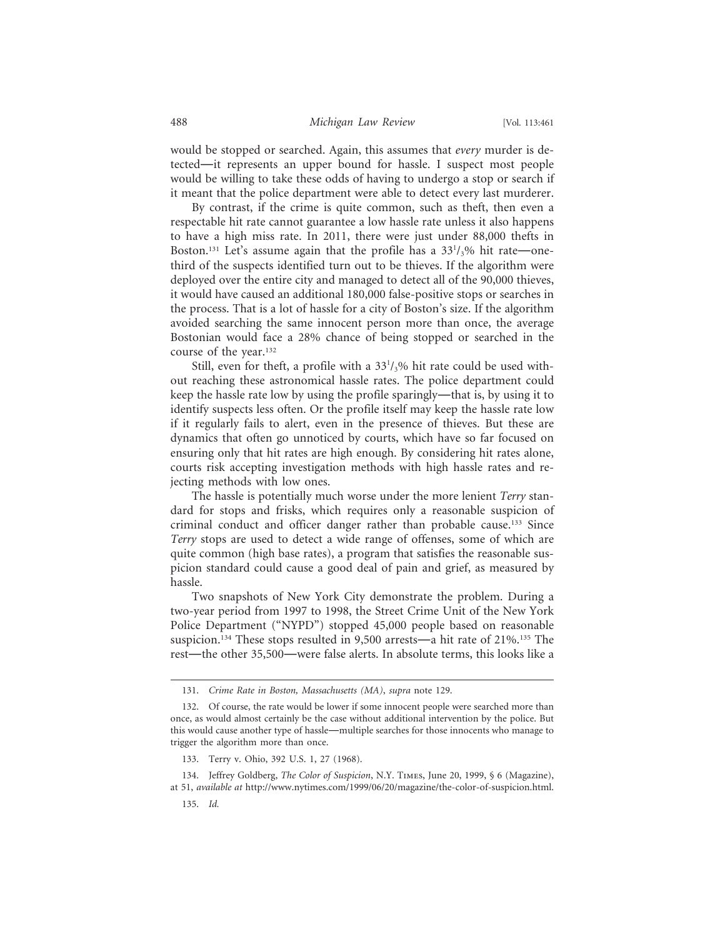would be stopped or searched. Again, this assumes that *every* murder is detected—it represents an upper bound for hassle. I suspect most people would be willing to take these odds of having to undergo a stop or search if it meant that the police department were able to detect every last murderer.

By contrast, if the crime is quite common, such as theft, then even a respectable hit rate cannot guarantee a low hassle rate unless it also happens to have a high miss rate. In 2011, there were just under 88,000 thefts in Boston.<sup>131</sup> Let's assume again that the profile has a 33<sup>1</sup>/<sub>3</sub>% hit rate—onethird of the suspects identified turn out to be thieves. If the algorithm were deployed over the entire city and managed to detect all of the 90,000 thieves, it would have caused an additional 180,000 false-positive stops or searches in the process. That is a lot of hassle for a city of Boston's size. If the algorithm avoided searching the same innocent person more than once, the average Bostonian would face a 28% chance of being stopped or searched in the course of the year.132

Still, even for theft, a profile with a  $33<sup>1</sup>/3%$  hit rate could be used without reaching these astronomical hassle rates. The police department could keep the hassle rate low by using the profile sparingly—that is, by using it to identify suspects less often. Or the profile itself may keep the hassle rate low if it regularly fails to alert, even in the presence of thieves. But these are dynamics that often go unnoticed by courts, which have so far focused on ensuring only that hit rates are high enough. By considering hit rates alone, courts risk accepting investigation methods with high hassle rates and rejecting methods with low ones.

The hassle is potentially much worse under the more lenient *Terry* standard for stops and frisks, which requires only a reasonable suspicion of criminal conduct and officer danger rather than probable cause.133 Since *Terry* stops are used to detect a wide range of offenses, some of which are quite common (high base rates), a program that satisfies the reasonable suspicion standard could cause a good deal of pain and grief, as measured by hassle.

Two snapshots of New York City demonstrate the problem. During a two-year period from 1997 to 1998, the Street Crime Unit of the New York Police Department ("NYPD") stopped 45,000 people based on reasonable suspicion.<sup>134</sup> These stops resulted in 9,500 arrests—a hit rate of 21%.<sup>135</sup> The rest—the other 35,500—were false alerts. In absolute terms, this looks like a

<sup>131.</sup> *Crime Rate in Boston, Massachusetts (MA)*, *supra* note 129.

<sup>132.</sup> Of course, the rate would be lower if some innocent people were searched more than once, as would almost certainly be the case without additional intervention by the police. But this would cause another type of hassle—multiple searches for those innocents who manage to trigger the algorithm more than once.

<sup>133.</sup> Terry v. Ohio, 392 U.S. 1, 27 (1968).

<sup>134.</sup> Jeffrey Goldberg, *The Color of Suspicion*, N.Y. Times, June 20, 1999, § 6 (Magazine), at 51, *available at* http://www.nytimes.com/1999/06/20/magazine/the-color-of-suspicion.html.

<sup>135.</sup> *Id.*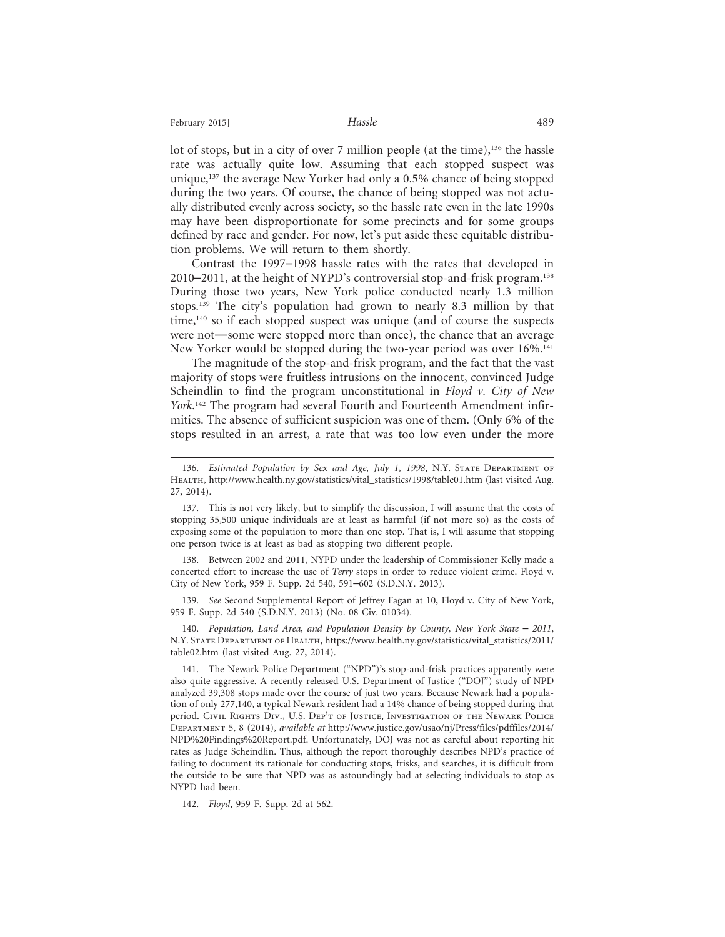lot of stops, but in a city of over 7 million people (at the time),<sup>136</sup> the hassle rate was actually quite low. Assuming that each stopped suspect was unique,137 the average New Yorker had only a 0.5% chance of being stopped during the two years. Of course, the chance of being stopped was not actually distributed evenly across society, so the hassle rate even in the late 1990s may have been disproportionate for some precincts and for some groups defined by race and gender. For now, let's put aside these equitable distribution problems. We will return to them shortly.

Contrast the 1997–1998 hassle rates with the rates that developed in 2010–2011, at the height of NYPD's controversial stop-and-frisk program.138 During those two years, New York police conducted nearly 1.3 million stops.139 The city's population had grown to nearly 8.3 million by that time, $140$  so if each stopped suspect was unique (and of course the suspects were not—some were stopped more than once), the chance that an average New Yorker would be stopped during the two-year period was over 16%.141

The magnitude of the stop-and-frisk program, and the fact that the vast majority of stops were fruitless intrusions on the innocent, convinced Judge Scheindlin to find the program unconstitutional in *Floyd v. City of New York*. 142 The program had several Fourth and Fourteenth Amendment infirmities. The absence of sufficient suspicion was one of them. (Only 6% of the stops resulted in an arrest, a rate that was too low even under the more

138. Between 2002 and 2011, NYPD under the leadership of Commissioner Kelly made a concerted effort to increase the use of *Terry* stops in order to reduce violent crime. Floyd v. City of New York, 959 F. Supp. 2d 540, 591–602 (S.D.N.Y. 2013).

139. *See* Second Supplemental Report of Jeffrey Fagan at 10, Floyd v. City of New York, 959 F. Supp. 2d 540 (S.D.N.Y. 2013) (No. 08 Civ. 01034).

140. *Population, Land Area, and Population Density by County, New York State – 2011,* N.Y. State Department of Health, https://www.health.ny.gov/statistics/vital\_statistics/2011/ table02.htm (last visited Aug. 27, 2014).

142. *Floyd*, 959 F. Supp. 2d at 562.

<sup>136.</sup> *Estimated Population by Sex and Age, July 1, 1998*, N.Y. STATE DEPARTMENT OF HEALTH, http://www.health.ny.gov/statistics/vital\_statistics/1998/table01.htm (last visited Aug. 27, 2014).

<sup>137.</sup> This is not very likely, but to simplify the discussion, I will assume that the costs of stopping 35,500 unique individuals are at least as harmful (if not more so) as the costs of exposing some of the population to more than one stop. That is, I will assume that stopping one person twice is at least as bad as stopping two different people.

<sup>141.</sup> The Newark Police Department ("NPD")'s stop-and-frisk practices apparently were also quite aggressive. A recently released U.S. Department of Justice ("DOJ") study of NPD analyzed 39,308 stops made over the course of just two years. Because Newark had a population of only 277,140, a typical Newark resident had a 14% chance of being stopped during that period. Civil Rights Div., U.S. Dep't of Justice, Investigation of the Newark Police Department 5, 8 (2014), *available at* http://www.justice.gov/usao/nj/Press/files/pdffiles/2014/ NPD%20Findings%20Report.pdf. Unfortunately, DOJ was not as careful about reporting hit rates as Judge Scheindlin. Thus, although the report thoroughly describes NPD's practice of failing to document its rationale for conducting stops, frisks, and searches, it is difficult from the outside to be sure that NPD was as astoundingly bad at selecting individuals to stop as NYPD had been.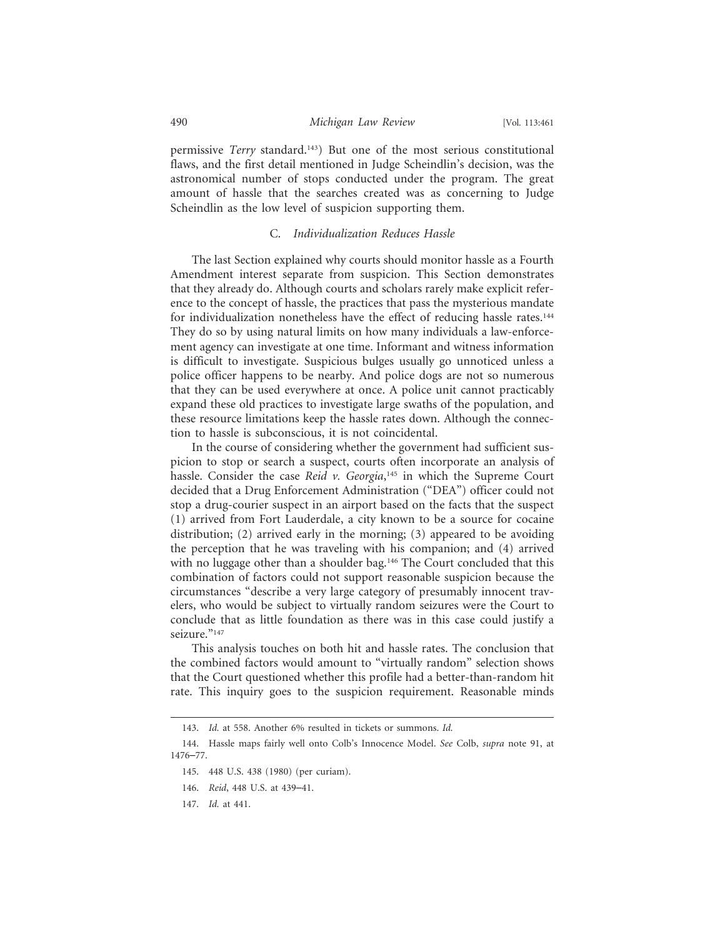permissive *Terry* standard.143) But one of the most serious constitutional flaws, and the first detail mentioned in Judge Scheindlin's decision, was the astronomical number of stops conducted under the program. The great amount of hassle that the searches created was as concerning to Judge Scheindlin as the low level of suspicion supporting them.

#### C. *Individualization Reduces Hassle*

The last Section explained why courts should monitor hassle as a Fourth Amendment interest separate from suspicion. This Section demonstrates that they already do. Although courts and scholars rarely make explicit reference to the concept of hassle, the practices that pass the mysterious mandate for individualization nonetheless have the effect of reducing hassle rates.<sup>144</sup> They do so by using natural limits on how many individuals a law-enforcement agency can investigate at one time. Informant and witness information is difficult to investigate. Suspicious bulges usually go unnoticed unless a police officer happens to be nearby. And police dogs are not so numerous that they can be used everywhere at once. A police unit cannot practicably expand these old practices to investigate large swaths of the population, and these resource limitations keep the hassle rates down. Although the connection to hassle is subconscious, it is not coincidental.

In the course of considering whether the government had sufficient suspicion to stop or search a suspect, courts often incorporate an analysis of hassle. Consider the case *Reid v. Georgia*, 145 in which the Supreme Court decided that a Drug Enforcement Administration ("DEA") officer could not stop a drug-courier suspect in an airport based on the facts that the suspect (1) arrived from Fort Lauderdale, a city known to be a source for cocaine distribution; (2) arrived early in the morning; (3) appeared to be avoiding the perception that he was traveling with his companion; and (4) arrived with no luggage other than a shoulder bag.<sup>146</sup> The Court concluded that this combination of factors could not support reasonable suspicion because the circumstances "describe a very large category of presumably innocent travelers, who would be subject to virtually random seizures were the Court to conclude that as little foundation as there was in this case could justify a seizure."<sup>147</sup>

This analysis touches on both hit and hassle rates. The conclusion that the combined factors would amount to "virtually random" selection shows that the Court questioned whether this profile had a better-than-random hit rate. This inquiry goes to the suspicion requirement. Reasonable minds

<sup>143.</sup> *Id.* at 558. Another 6% resulted in tickets or summons. *Id.*

<sup>144.</sup> Hassle maps fairly well onto Colb's Innocence Model. *See* Colb, *supra* note 91, at 1476–77.

<sup>145. 448</sup> U.S. 438 (1980) (per curiam).

<sup>146.</sup> *Reid*, 448 U.S. at 439–41.

<sup>147.</sup> *Id.* at 441.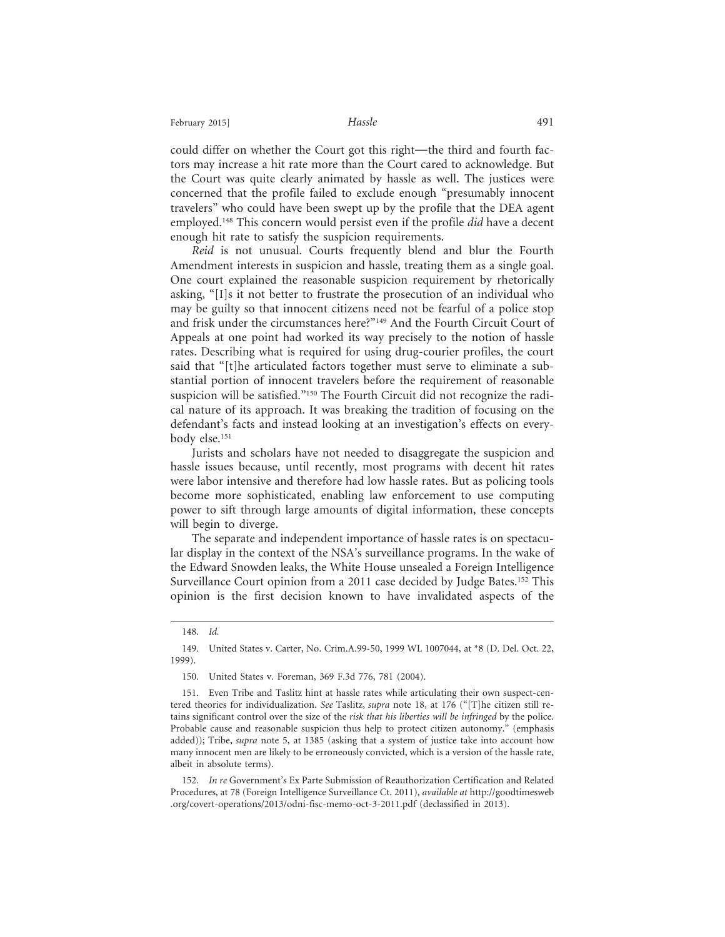could differ on whether the Court got this right—the third and fourth factors may increase a hit rate more than the Court cared to acknowledge. But the Court was quite clearly animated by hassle as well. The justices were concerned that the profile failed to exclude enough "presumably innocent travelers" who could have been swept up by the profile that the DEA agent employed.148 This concern would persist even if the profile *did* have a decent enough hit rate to satisfy the suspicion requirements.

*Reid* is not unusual. Courts frequently blend and blur the Fourth Amendment interests in suspicion and hassle, treating them as a single goal. One court explained the reasonable suspicion requirement by rhetorically asking, "[I]s it not better to frustrate the prosecution of an individual who may be guilty so that innocent citizens need not be fearful of a police stop and frisk under the circumstances here?"149 And the Fourth Circuit Court of Appeals at one point had worked its way precisely to the notion of hassle rates. Describing what is required for using drug-courier profiles, the court said that "[t]he articulated factors together must serve to eliminate a substantial portion of innocent travelers before the requirement of reasonable suspicion will be satisfied."<sup>150</sup> The Fourth Circuit did not recognize the radical nature of its approach. It was breaking the tradition of focusing on the defendant's facts and instead looking at an investigation's effects on everybody else.151

Jurists and scholars have not needed to disaggregate the suspicion and hassle issues because, until recently, most programs with decent hit rates were labor intensive and therefore had low hassle rates. But as policing tools become more sophisticated, enabling law enforcement to use computing power to sift through large amounts of digital information, these concepts will begin to diverge.

The separate and independent importance of hassle rates is on spectacular display in the context of the NSA's surveillance programs. In the wake of the Edward Snowden leaks, the White House unsealed a Foreign Intelligence Surveillance Court opinion from a 2011 case decided by Judge Bates.<sup>152</sup> This opinion is the first decision known to have invalidated aspects of the

<sup>148.</sup> *Id.*

<sup>149.</sup> United States v. Carter, No. Crim.A.99-50, 1999 WL 1007044, at \*8 (D. Del. Oct. 22, 1999).

<sup>150.</sup> United States v. Foreman, 369 F.3d 776, 781 (2004).

<sup>151.</sup> Even Tribe and Taslitz hint at hassle rates while articulating their own suspect-centered theories for individualization. *See* Taslitz, *supra* note 18, at 176 ("[T]he citizen still retains significant control over the size of the *risk that his liberties will be infringed* by the police. Probable cause and reasonable suspicion thus help to protect citizen autonomy." (emphasis added)); Tribe, *supra* note 5, at 1385 (asking that a system of justice take into account how many innocent men are likely to be erroneously convicted, which is a version of the hassle rate, albeit in absolute terms).

<sup>152.</sup> *In re* Government's Ex Parte Submission of Reauthorization Certification and Related Procedures, at 78 (Foreign Intelligence Surveillance Ct. 2011), *available at* http://goodtimesweb .org/covert-operations/2013/odni-fisc-memo-oct-3-2011.pdf (declassified in 2013).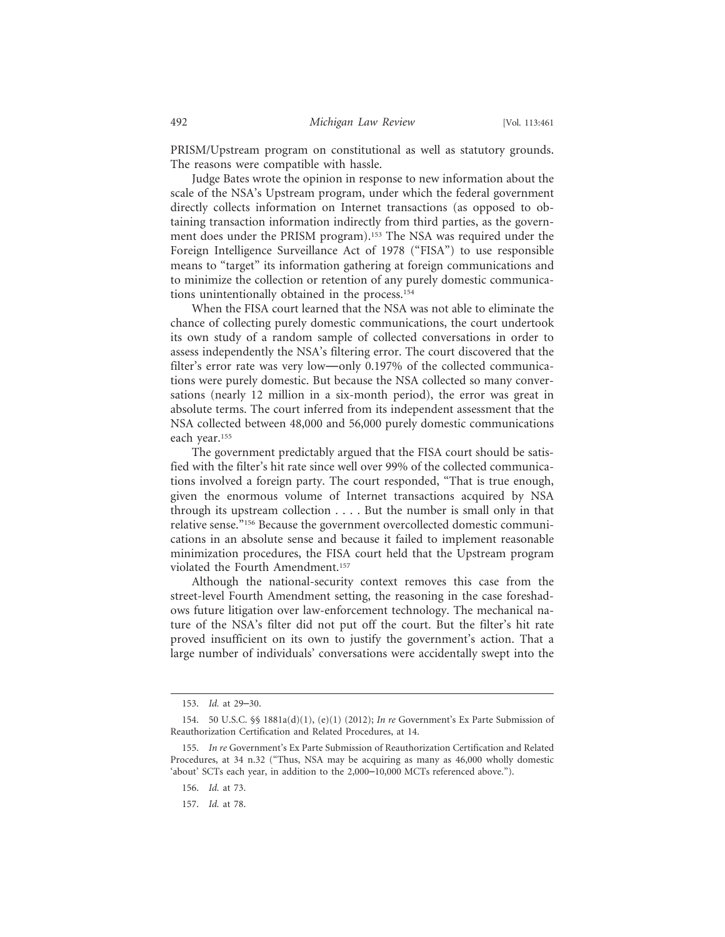PRISM/Upstream program on constitutional as well as statutory grounds. The reasons were compatible with hassle.

Judge Bates wrote the opinion in response to new information about the scale of the NSA's Upstream program, under which the federal government directly collects information on Internet transactions (as opposed to obtaining transaction information indirectly from third parties, as the government does under the PRISM program).153 The NSA was required under the Foreign Intelligence Surveillance Act of 1978 ("FISA") to use responsible means to "target" its information gathering at foreign communications and to minimize the collection or retention of any purely domestic communications unintentionally obtained in the process.154

When the FISA court learned that the NSA was not able to eliminate the chance of collecting purely domestic communications, the court undertook its own study of a random sample of collected conversations in order to assess independently the NSA's filtering error. The court discovered that the filter's error rate was very low—only 0.197% of the collected communications were purely domestic. But because the NSA collected so many conversations (nearly 12 million in a six-month period), the error was great in absolute terms. The court inferred from its independent assessment that the NSA collected between 48,000 and 56,000 purely domestic communications each year.155

The government predictably argued that the FISA court should be satisfied with the filter's hit rate since well over 99% of the collected communications involved a foreign party. The court responded, "That is true enough, given the enormous volume of Internet transactions acquired by NSA through its upstream collection . . . . But the number is small only in that relative sense."156 Because the government overcollected domestic communications in an absolute sense and because it failed to implement reasonable minimization procedures, the FISA court held that the Upstream program violated the Fourth Amendment.157

Although the national-security context removes this case from the street-level Fourth Amendment setting, the reasoning in the case foreshadows future litigation over law-enforcement technology. The mechanical nature of the NSA's filter did not put off the court. But the filter's hit rate proved insufficient on its own to justify the government's action. That a large number of individuals' conversations were accidentally swept into the

<sup>153.</sup> *Id.* at 29–30.

<sup>154. 50</sup> U.S.C. §§ 1881a(d)(1), (e)(1) (2012); *In re* Government's Ex Parte Submission of Reauthorization Certification and Related Procedures, at 14.

<sup>155.</sup> *In re* Government's Ex Parte Submission of Reauthorization Certification and Related Procedures, at 34 n.32 ("Thus, NSA may be acquiring as many as 46,000 wholly domestic 'about' SCTs each year, in addition to the 2,000–10,000 MCTs referenced above.").

<sup>156.</sup> *Id.* at 73.

<sup>157.</sup> *Id.* at 78.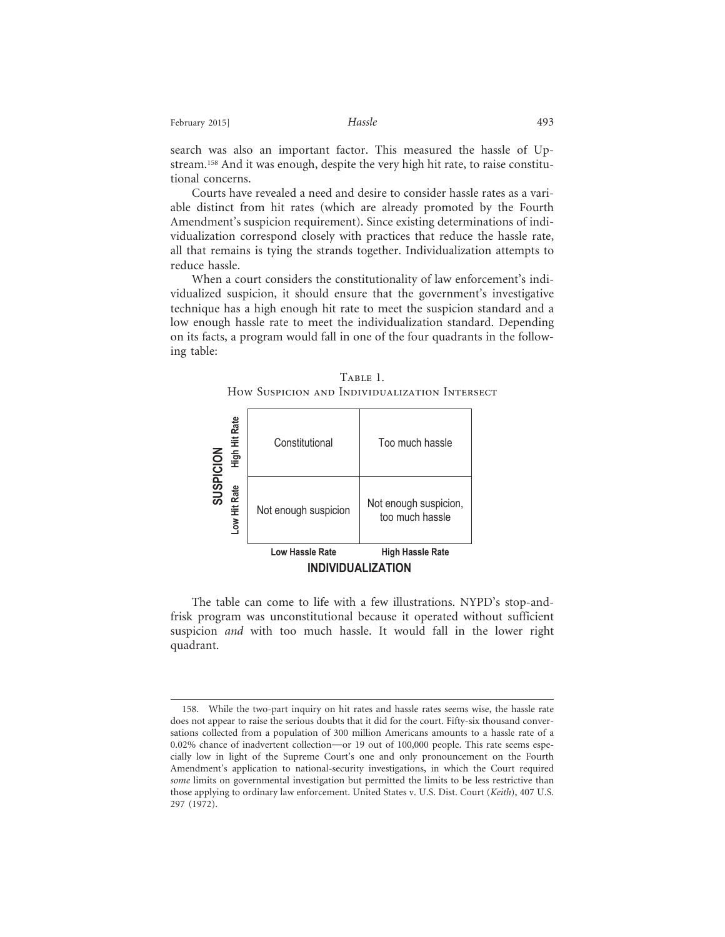search was also an important factor. This measured the hassle of Upstream.158 And it was enough, despite the very high hit rate, to raise constitutional concerns.

Courts have revealed a need and desire to consider hassle rates as a variable distinct from hit rates (which are already promoted by the Fourth Amendment's suspicion requirement). Since existing determinations of individualization correspond closely with practices that reduce the hassle rate, all that remains is tying the strands together. Individualization attempts to reduce hassle.

When a court considers the constitutionality of law enforcement's individualized suspicion, it should ensure that the government's investigative technique has a high enough hit rate to meet the suspicion standard and a low enough hassle rate to meet the individualization standard. Depending on its facts, a program would fall in one of the four quadrants in the following table:





The table can come to life with a few illustrations. NYPD's stop-andfrisk program was unconstitutional because it operated without sufficient suspicion *and* with too much hassle. It would fall in the lower right quadrant.

<sup>158.</sup> While the two-part inquiry on hit rates and hassle rates seems wise, the hassle rate does not appear to raise the serious doubts that it did for the court. Fifty-six thousand conversations collected from a population of 300 million Americans amounts to a hassle rate of a 0.02% chance of inadvertent collection—or 19 out of 100,000 people. This rate seems especially low in light of the Supreme Court's one and only pronouncement on the Fourth Amendment's application to national-security investigations, in which the Court required *some* limits on governmental investigation but permitted the limits to be less restrictive than those applying to ordinary law enforcement. United States v. U.S. Dist. Court (*Keith*), 407 U.S. 297 (1972).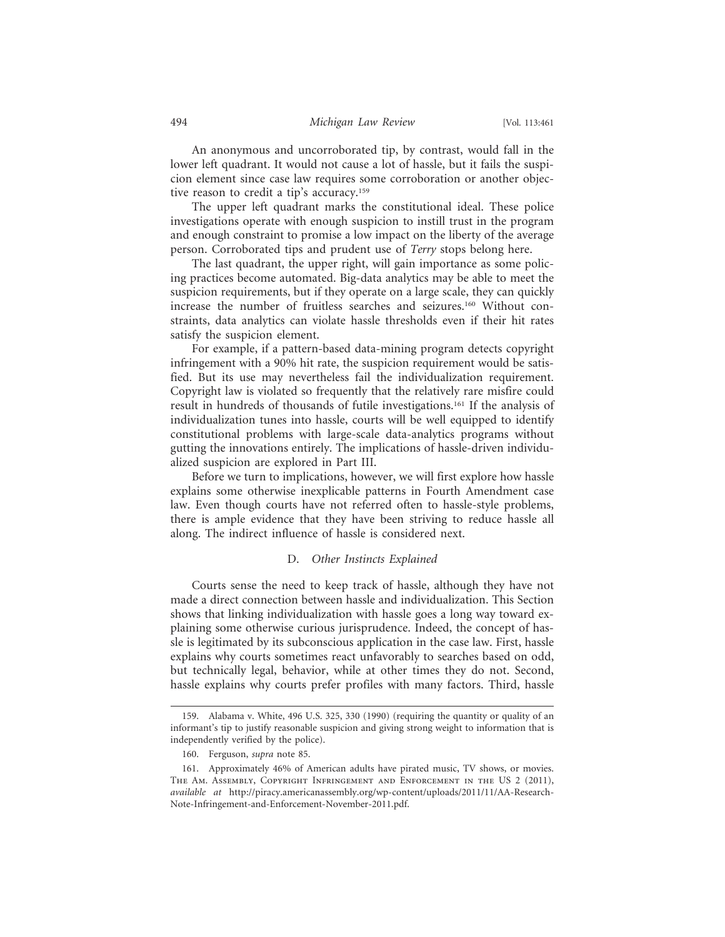An anonymous and uncorroborated tip, by contrast, would fall in the lower left quadrant. It would not cause a lot of hassle, but it fails the suspicion element since case law requires some corroboration or another objective reason to credit a tip's accuracy.159

The upper left quadrant marks the constitutional ideal. These police investigations operate with enough suspicion to instill trust in the program and enough constraint to promise a low impact on the liberty of the average person. Corroborated tips and prudent use of *Terry* stops belong here.

The last quadrant, the upper right, will gain importance as some policing practices become automated. Big-data analytics may be able to meet the suspicion requirements, but if they operate on a large scale, they can quickly increase the number of fruitless searches and seizures.160 Without constraints, data analytics can violate hassle thresholds even if their hit rates satisfy the suspicion element.

For example, if a pattern-based data-mining program detects copyright infringement with a 90% hit rate, the suspicion requirement would be satisfied. But its use may nevertheless fail the individualization requirement. Copyright law is violated so frequently that the relatively rare misfire could result in hundreds of thousands of futile investigations.161 If the analysis of individualization tunes into hassle, courts will be well equipped to identify constitutional problems with large-scale data-analytics programs without gutting the innovations entirely. The implications of hassle-driven individualized suspicion are explored in Part III.

Before we turn to implications, however, we will first explore how hassle explains some otherwise inexplicable patterns in Fourth Amendment case law. Even though courts have not referred often to hassle-style problems, there is ample evidence that they have been striving to reduce hassle all along. The indirect influence of hassle is considered next.

### D. *Other Instincts Explained*

Courts sense the need to keep track of hassle, although they have not made a direct connection between hassle and individualization. This Section shows that linking individualization with hassle goes a long way toward explaining some otherwise curious jurisprudence. Indeed, the concept of hassle is legitimated by its subconscious application in the case law. First, hassle explains why courts sometimes react unfavorably to searches based on odd, but technically legal, behavior, while at other times they do not. Second, hassle explains why courts prefer profiles with many factors. Third, hassle

<sup>159.</sup> Alabama v. White, 496 U.S. 325, 330 (1990) (requiring the quantity or quality of an informant's tip to justify reasonable suspicion and giving strong weight to information that is independently verified by the police).

<sup>160.</sup> Ferguson, *supra* note 85.

<sup>161.</sup> Approximately 46% of American adults have pirated music, TV shows, or movies. The Am. Assembly, Copyright Infringement and Enforcement in the US 2 (2011), *available at* http://piracy.americanassembly.org/wp-content/uploads/2011/11/AA-Research-Note-Infringement-and-Enforcement-November-2011.pdf.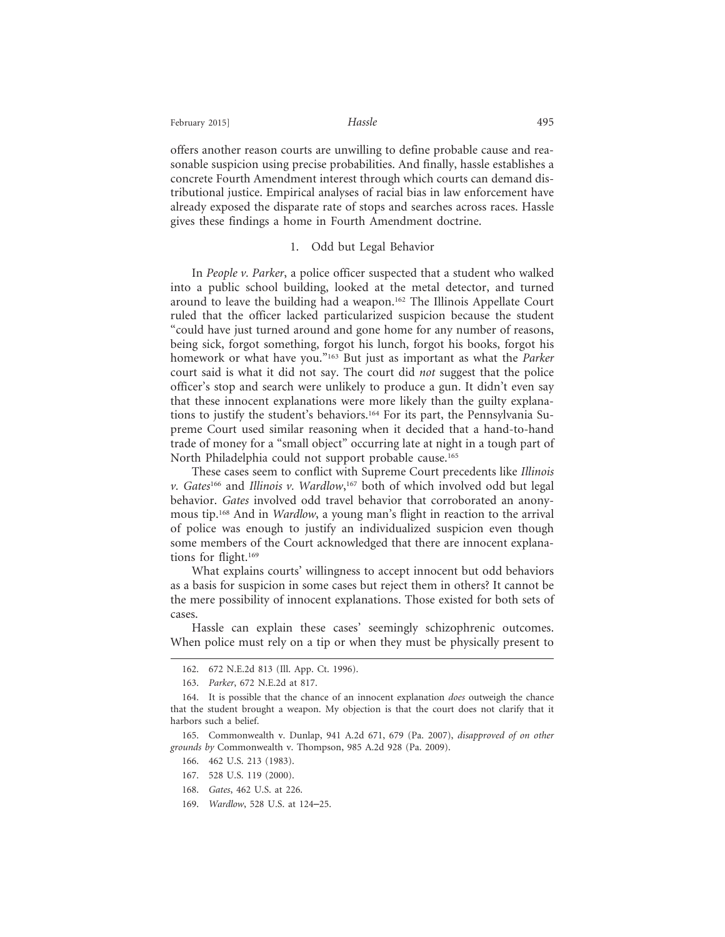February 2015] **Hassle Hassle Hassle Hassle** 

offers another reason courts are unwilling to define probable cause and reasonable suspicion using precise probabilities. And finally, hassle establishes a concrete Fourth Amendment interest through which courts can demand distributional justice. Empirical analyses of racial bias in law enforcement have already exposed the disparate rate of stops and searches across races. Hassle gives these findings a home in Fourth Amendment doctrine.

#### 1. Odd but Legal Behavior

In *People v. Parker*, a police officer suspected that a student who walked into a public school building, looked at the metal detector, and turned around to leave the building had a weapon.162 The Illinois Appellate Court ruled that the officer lacked particularized suspicion because the student "could have just turned around and gone home for any number of reasons, being sick, forgot something, forgot his lunch, forgot his books, forgot his homework or what have you."163 But just as important as what the *Parker* court said is what it did not say. The court did *not* suggest that the police officer's stop and search were unlikely to produce a gun. It didn't even say that these innocent explanations were more likely than the guilty explanations to justify the student's behaviors.164 For its part, the Pennsylvania Supreme Court used similar reasoning when it decided that a hand-to-hand trade of money for a "small object" occurring late at night in a tough part of North Philadelphia could not support probable cause.<sup>165</sup>

These cases seem to conflict with Supreme Court precedents like *Illinois v. Gates*166 and *Illinois v. Wardlow*, 167 both of which involved odd but legal behavior. *Gates* involved odd travel behavior that corroborated an anonymous tip.168 And in *Wardlow*, a young man's flight in reaction to the arrival of police was enough to justify an individualized suspicion even though some members of the Court acknowledged that there are innocent explanations for flight.169

What explains courts' willingness to accept innocent but odd behaviors as a basis for suspicion in some cases but reject them in others? It cannot be the mere possibility of innocent explanations. Those existed for both sets of cases.

Hassle can explain these cases' seemingly schizophrenic outcomes. When police must rely on a tip or when they must be physically present to

166. 462 U.S. 213 (1983).

<sup>162. 672</sup> N.E.2d 813 (Ill. App. Ct. 1996).

<sup>163.</sup> *Parker*, 672 N.E.2d at 817.

<sup>164.</sup> It is possible that the chance of an innocent explanation *does* outweigh the chance that the student brought a weapon. My objection is that the court does not clarify that it harbors such a belief.

<sup>165.</sup> Commonwealth v. Dunlap, 941 A.2d 671, 679 (Pa. 2007), *disapproved of on other grounds by* Commonwealth v. Thompson, 985 A.2d 928 (Pa. 2009).

<sup>167. 528</sup> U.S. 119 (2000).

<sup>168.</sup> *Gates*, 462 U.S. at 226.

<sup>169.</sup> *Wardlow*, 528 U.S. at 124–25.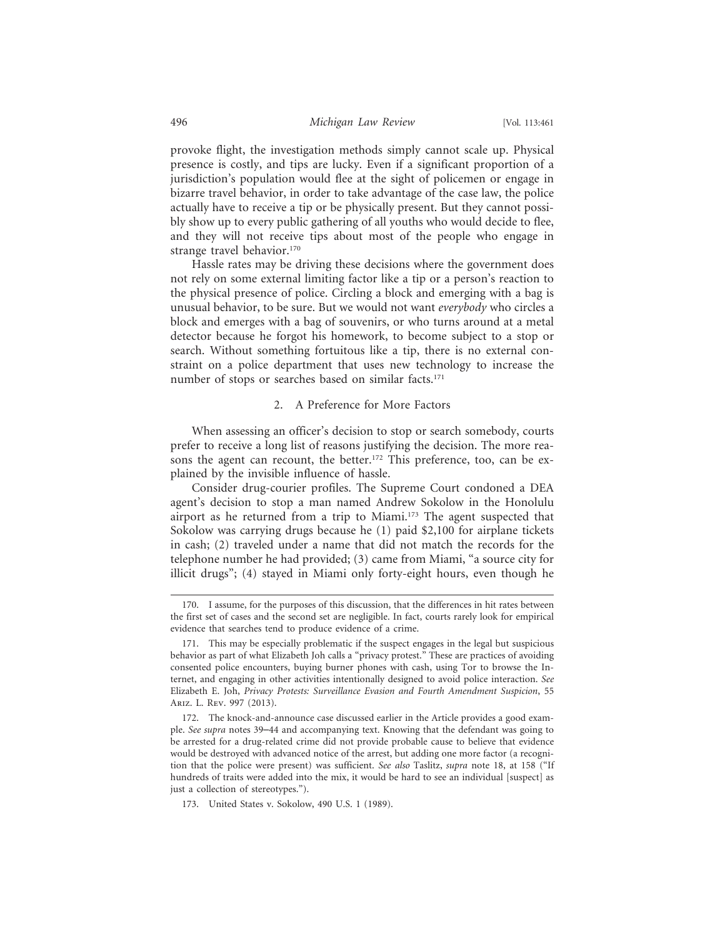provoke flight, the investigation methods simply cannot scale up. Physical presence is costly, and tips are lucky. Even if a significant proportion of a jurisdiction's population would flee at the sight of policemen or engage in bizarre travel behavior, in order to take advantage of the case law, the police actually have to receive a tip or be physically present. But they cannot possibly show up to every public gathering of all youths who would decide to flee, and they will not receive tips about most of the people who engage in strange travel behavior.<sup>170</sup>

Hassle rates may be driving these decisions where the government does not rely on some external limiting factor like a tip or a person's reaction to the physical presence of police. Circling a block and emerging with a bag is unusual behavior, to be sure. But we would not want *everybody* who circles a block and emerges with a bag of souvenirs, or who turns around at a metal detector because he forgot his homework, to become subject to a stop or search. Without something fortuitous like a tip, there is no external constraint on a police department that uses new technology to increase the number of stops or searches based on similar facts.<sup>171</sup>

#### 2. A Preference for More Factors

When assessing an officer's decision to stop or search somebody, courts prefer to receive a long list of reasons justifying the decision. The more reasons the agent can recount, the better.<sup>172</sup> This preference, too, can be explained by the invisible influence of hassle.

Consider drug-courier profiles. The Supreme Court condoned a DEA agent's decision to stop a man named Andrew Sokolow in the Honolulu airport as he returned from a trip to Miami.173 The agent suspected that Sokolow was carrying drugs because he (1) paid \$2,100 for airplane tickets in cash; (2) traveled under a name that did not match the records for the telephone number he had provided; (3) came from Miami, "a source city for illicit drugs"; (4) stayed in Miami only forty-eight hours, even though he

<sup>170.</sup> I assume, for the purposes of this discussion, that the differences in hit rates between the first set of cases and the second set are negligible. In fact, courts rarely look for empirical evidence that searches tend to produce evidence of a crime.

<sup>171.</sup> This may be especially problematic if the suspect engages in the legal but suspicious behavior as part of what Elizabeth Joh calls a "privacy protest." These are practices of avoiding consented police encounters, buying burner phones with cash, using Tor to browse the Internet, and engaging in other activities intentionally designed to avoid police interaction. *See* Elizabeth E. Joh, *Privacy Protests: Surveillance Evasion and Fourth Amendment Suspicion*, 55 Ariz. L. Rev. 997 (2013).

<sup>172.</sup> The knock-and-announce case discussed earlier in the Article provides a good example. *See supra* notes 39–44 and accompanying text. Knowing that the defendant was going to be arrested for a drug-related crime did not provide probable cause to believe that evidence would be destroyed with advanced notice of the arrest, but adding one more factor (a recognition that the police were present) was sufficient. *See also* Taslitz, *supra* note 18, at 158 ("If hundreds of traits were added into the mix, it would be hard to see an individual [suspect] as just a collection of stereotypes.").

<sup>173.</sup> United States v. Sokolow, 490 U.S. 1 (1989).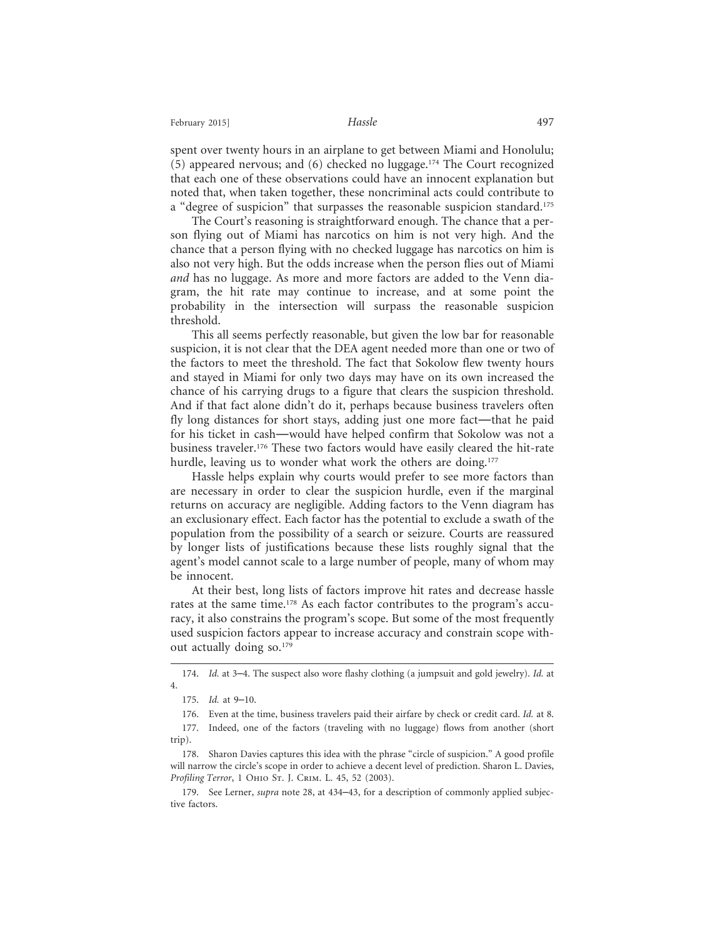spent over twenty hours in an airplane to get between Miami and Honolulu; (5) appeared nervous; and (6) checked no luggage.<sup>174</sup> The Court recognized that each one of these observations could have an innocent explanation but noted that, when taken together, these noncriminal acts could contribute to a "degree of suspicion" that surpasses the reasonable suspicion standard.<sup>175</sup>

The Court's reasoning is straightforward enough. The chance that a person flying out of Miami has narcotics on him is not very high. And the chance that a person flying with no checked luggage has narcotics on him is also not very high. But the odds increase when the person flies out of Miami *and* has no luggage. As more and more factors are added to the Venn diagram, the hit rate may continue to increase, and at some point the probability in the intersection will surpass the reasonable suspicion threshold.

This all seems perfectly reasonable, but given the low bar for reasonable suspicion, it is not clear that the DEA agent needed more than one or two of the factors to meet the threshold. The fact that Sokolow flew twenty hours and stayed in Miami for only two days may have on its own increased the chance of his carrying drugs to a figure that clears the suspicion threshold. And if that fact alone didn't do it, perhaps because business travelers often fly long distances for short stays, adding just one more fact—that he paid for his ticket in cash—would have helped confirm that Sokolow was not a business traveler.176 These two factors would have easily cleared the hit-rate hurdle, leaving us to wonder what work the others are doing.<sup>177</sup>

Hassle helps explain why courts would prefer to see more factors than are necessary in order to clear the suspicion hurdle, even if the marginal returns on accuracy are negligible. Adding factors to the Venn diagram has an exclusionary effect. Each factor has the potential to exclude a swath of the population from the possibility of a search or seizure. Courts are reassured by longer lists of justifications because these lists roughly signal that the agent's model cannot scale to a large number of people, many of whom may be innocent.

At their best, long lists of factors improve hit rates and decrease hassle rates at the same time.<sup>178</sup> As each factor contributes to the program's accuracy, it also constrains the program's scope. But some of the most frequently used suspicion factors appear to increase accuracy and constrain scope without actually doing so.<sup>179</sup>

<sup>174.</sup> *Id.* at 3–4. The suspect also wore flashy clothing (a jumpsuit and gold jewelry). *Id.* at 4.

<sup>175.</sup> *Id.* at 9–10.

<sup>176.</sup> Even at the time, business travelers paid their airfare by check or credit card. *Id.* at 8.

<sup>177.</sup> Indeed, one of the factors (traveling with no luggage) flows from another (short trip).

<sup>178.</sup> Sharon Davies captures this idea with the phrase "circle of suspicion." A good profile will narrow the circle's scope in order to achieve a decent level of prediction. Sharon L. Davies, *Profiling Terror*, 1 Ohio St. J. Crim. L. 45, 52 (2003).

<sup>179.</sup> See Lerner, *supra* note 28, at 434–43, for a description of commonly applied subjective factors.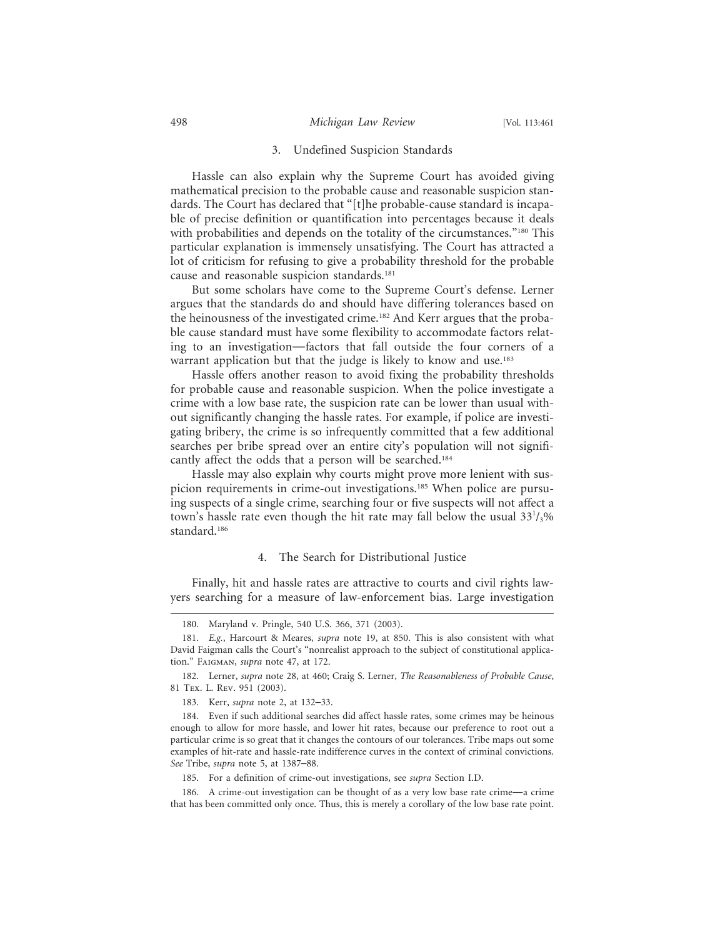#### 3. Undefined Suspicion Standards

Hassle can also explain why the Supreme Court has avoided giving mathematical precision to the probable cause and reasonable suspicion standards. The Court has declared that "[t]he probable-cause standard is incapable of precise definition or quantification into percentages because it deals with probabilities and depends on the totality of the circumstances."<sup>180</sup> This particular explanation is immensely unsatisfying. The Court has attracted a lot of criticism for refusing to give a probability threshold for the probable cause and reasonable suspicion standards.<sup>181</sup>

But some scholars have come to the Supreme Court's defense. Lerner argues that the standards do and should have differing tolerances based on the heinousness of the investigated crime.<sup>182</sup> And Kerr argues that the probable cause standard must have some flexibility to accommodate factors relating to an investigation—factors that fall outside the four corners of a warrant application but that the judge is likely to know and use.<sup>183</sup>

Hassle offers another reason to avoid fixing the probability thresholds for probable cause and reasonable suspicion. When the police investigate a crime with a low base rate, the suspicion rate can be lower than usual without significantly changing the hassle rates. For example, if police are investigating bribery, the crime is so infrequently committed that a few additional searches per bribe spread over an entire city's population will not significantly affect the odds that a person will be searched.184

Hassle may also explain why courts might prove more lenient with suspicion requirements in crime-out investigations.<sup>185</sup> When police are pursuing suspects of a single crime, searching four or five suspects will not affect a town's hassle rate even though the hit rate may fall below the usual  $33^{1}/_{3}\%$ standard.186

#### 4. The Search for Distributional Justice

Finally, hit and hassle rates are attractive to courts and civil rights lawyers searching for a measure of law-enforcement bias. Large investigation

<sup>180.</sup> Maryland v. Pringle, 540 U.S. 366, 371 (2003).

<sup>181.</sup> *E.g.*, Harcourt & Meares, *supra* note 19, at 850. This is also consistent with what David Faigman calls the Court's "nonrealist approach to the subject of constitutional application." Faigman, *supra* note 47, at 172.

<sup>182.</sup> Lerner, *supra* note 28, at 460; Craig S. Lerner, *The Reasonableness of Probable Cause*, 81 Tex. L. Rev. 951 (2003).

<sup>183.</sup> Kerr, *supra* note 2, at 132–33.

<sup>184.</sup> Even if such additional searches did affect hassle rates, some crimes may be heinous enough to allow for more hassle, and lower hit rates, because our preference to root out a particular crime is so great that it changes the contours of our tolerances. Tribe maps out some examples of hit-rate and hassle-rate indifference curves in the context of criminal convictions. *See* Tribe, *supra* note 5, at 1387–88.

<sup>185.</sup> For a definition of crime-out investigations, see *supra* Section I.D.

<sup>186.</sup> A crime-out investigation can be thought of as a very low base rate crime—a crime that has been committed only once. Thus, this is merely a corollary of the low base rate point.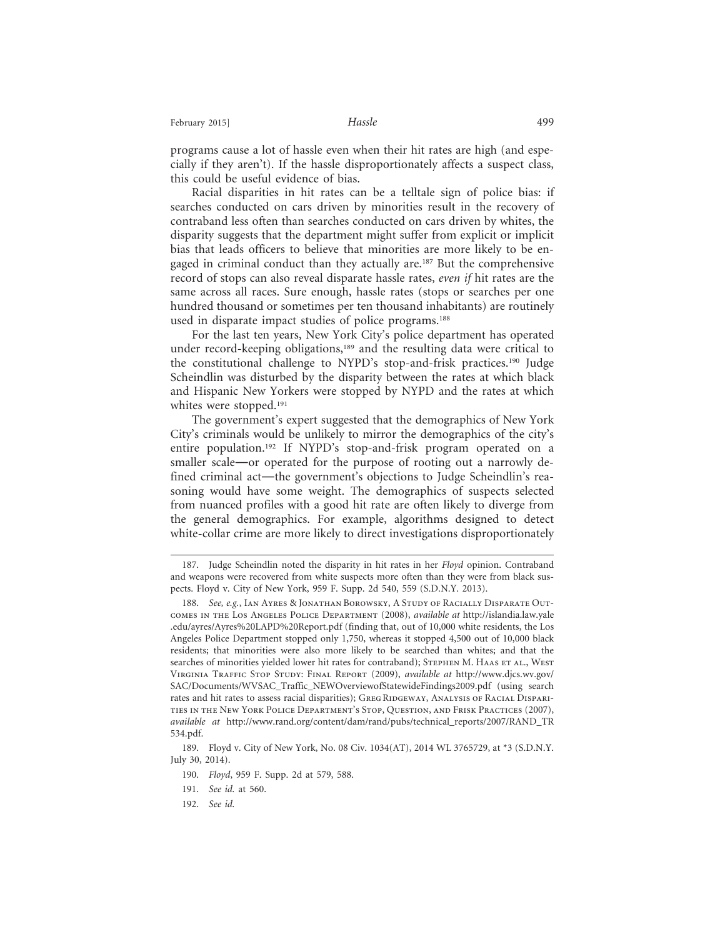February 2015] **Hassle Hassle Hassle Hassle** 

programs cause a lot of hassle even when their hit rates are high (and especially if they aren't). If the hassle disproportionately affects a suspect class, this could be useful evidence of bias.

Racial disparities in hit rates can be a telltale sign of police bias: if searches conducted on cars driven by minorities result in the recovery of contraband less often than searches conducted on cars driven by whites, the disparity suggests that the department might suffer from explicit or implicit bias that leads officers to believe that minorities are more likely to be engaged in criminal conduct than they actually are.<sup>187</sup> But the comprehensive record of stops can also reveal disparate hassle rates, *even if* hit rates are the same across all races. Sure enough, hassle rates (stops or searches per one hundred thousand or sometimes per ten thousand inhabitants) are routinely used in disparate impact studies of police programs.<sup>188</sup>

For the last ten years, New York City's police department has operated under record-keeping obligations,<sup>189</sup> and the resulting data were critical to the constitutional challenge to NYPD's stop-and-frisk practices.190 Judge Scheindlin was disturbed by the disparity between the rates at which black and Hispanic New Yorkers were stopped by NYPD and the rates at which whites were stopped.<sup>191</sup>

The government's expert suggested that the demographics of New York City's criminals would be unlikely to mirror the demographics of the city's entire population.192 If NYPD's stop-and-frisk program operated on a smaller scale—or operated for the purpose of rooting out a narrowly defined criminal act—the government's objections to Judge Scheindlin's reasoning would have some weight. The demographics of suspects selected from nuanced profiles with a good hit rate are often likely to diverge from the general demographics. For example, algorithms designed to detect white-collar crime are more likely to direct investigations disproportionately

<sup>187.</sup> Judge Scheindlin noted the disparity in hit rates in her *Floyd* opinion. Contraband and weapons were recovered from white suspects more often than they were from black suspects. Floyd v. City of New York, 959 F. Supp. 2d 540, 559 (S.D.N.Y. 2013).

<sup>188.</sup> *See, e.g.*, Ian Ayres & Jonathan Borowsky, A Study of Racially Disparate Outcomes in the Los Angeles Police Department (2008), *available at* http://islandia.law.yale .edu/ayres/Ayres%20LAPD%20Report.pdf (finding that, out of 10,000 white residents, the Los Angeles Police Department stopped only 1,750, whereas it stopped 4,500 out of 10,000 black residents; that minorities were also more likely to be searched than whites; and that the searches of minorities yielded lower hit rates for contraband); STEPHEN M. HAAS ET AL., WEST Virginia Traffic Stop Study: Final Report (2009), *available at* http://www.djcs.wv.gov/ SAC/Documents/WVSAC\_Traffic\_NEWOverviewofStatewideFindings2009.pdf (using search rates and hit rates to assess racial disparities); GREG RIDGEWAY, ANALYSIS OF RACIAL DISPARIties in the New York Police Department's Stop, Question, and Frisk Practices (2007), *available at* http://www.rand.org/content/dam/rand/pubs/technical\_reports/2007/RAND\_TR 534.pdf.

<sup>189.</sup> Floyd v. City of New York, No. 08 Civ. 1034(AT), 2014 WL 3765729, at \*3 (S.D.N.Y. July 30, 2014).

<sup>190.</sup> *Floyd*, 959 F. Supp. 2d at 579, 588.

<sup>191.</sup> *See id.* at 560.

<sup>192.</sup> *See id.*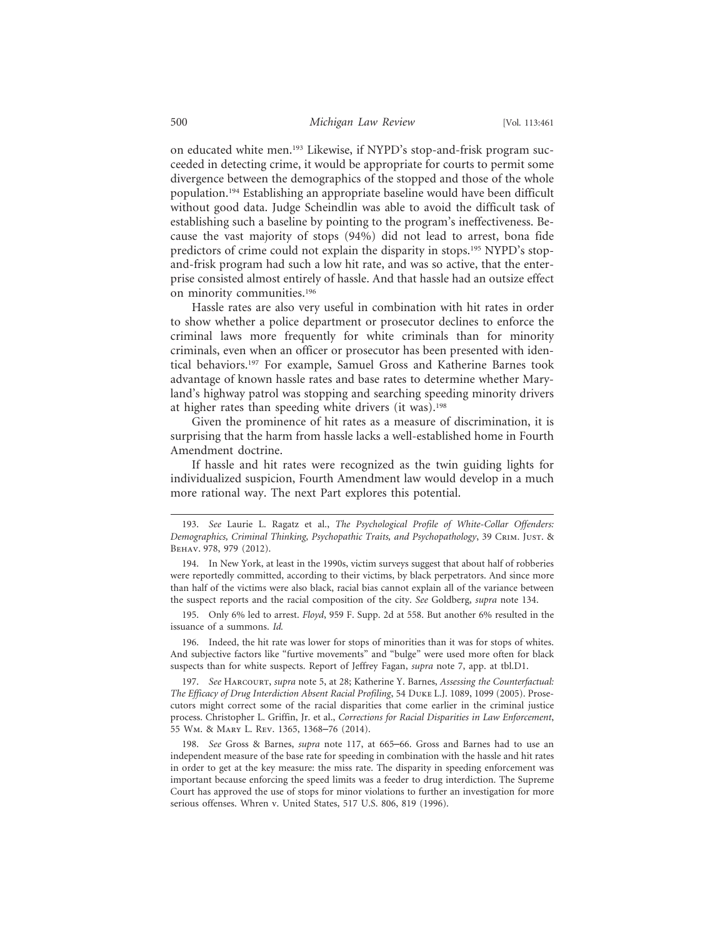on educated white men.193 Likewise, if NYPD's stop-and-frisk program succeeded in detecting crime, it would be appropriate for courts to permit some divergence between the demographics of the stopped and those of the whole population.194 Establishing an appropriate baseline would have been difficult without good data. Judge Scheindlin was able to avoid the difficult task of establishing such a baseline by pointing to the program's ineffectiveness. Because the vast majority of stops (94%) did not lead to arrest, bona fide predictors of crime could not explain the disparity in stops.<sup>195</sup> NYPD's stopand-frisk program had such a low hit rate, and was so active, that the enterprise consisted almost entirely of hassle. And that hassle had an outsize effect on minority communities.196

Hassle rates are also very useful in combination with hit rates in order to show whether a police department or prosecutor declines to enforce the criminal laws more frequently for white criminals than for minority criminals, even when an officer or prosecutor has been presented with identical behaviors.197 For example, Samuel Gross and Katherine Barnes took advantage of known hassle rates and base rates to determine whether Maryland's highway patrol was stopping and searching speeding minority drivers at higher rates than speeding white drivers (it was).198

Given the prominence of hit rates as a measure of discrimination, it is surprising that the harm from hassle lacks a well-established home in Fourth Amendment doctrine.

If hassle and hit rates were recognized as the twin guiding lights for individualized suspicion, Fourth Amendment law would develop in a much more rational way. The next Part explores this potential.

195. Only 6% led to arrest. *Floyd*, 959 F. Supp. 2d at 558. But another 6% resulted in the issuance of a summons. *Id.*

196. Indeed, the hit rate was lower for stops of minorities than it was for stops of whites. And subjective factors like "furtive movements" and "bulge" were used more often for black suspects than for white suspects. Report of Jeffrey Fagan, *supra* note 7, app. at tbl.D1.

197. *See* Harcourt, *supra* note 5, at 28; Katherine Y. Barnes, *Assessing the Counterfactual: The Efficacy of Drug Interdiction Absent Racial Profiling*, 54 Duke L.J. 1089, 1099 (2005). Prosecutors might correct some of the racial disparities that come earlier in the criminal justice process. Christopher L. Griffin, Jr. et al., *Corrections for Racial Disparities in Law Enforcement*, 55 Wm. & Mary L. Rev. 1365, 1368–76 (2014).

198. *See* Gross & Barnes, *supra* note 117, at 665–66. Gross and Barnes had to use an independent measure of the base rate for speeding in combination with the hassle and hit rates in order to get at the key measure: the miss rate. The disparity in speeding enforcement was important because enforcing the speed limits was a feeder to drug interdiction. The Supreme Court has approved the use of stops for minor violations to further an investigation for more serious offenses. Whren v. United States, 517 U.S. 806, 819 (1996).

<sup>193.</sup> *See* Laurie L. Ragatz et al., *The Psychological Profile of White-Collar Offenders: Demographics, Criminal Thinking, Psychopathic Traits, and Psychopathology*, 39 Crim. Just. & Behav. 978, 979 (2012).

<sup>194.</sup> In New York, at least in the 1990s, victim surveys suggest that about half of robberies were reportedly committed, according to their victims, by black perpetrators. And since more than half of the victims were also black, racial bias cannot explain all of the variance between the suspect reports and the racial composition of the city. *See* Goldberg, *supra* note 134.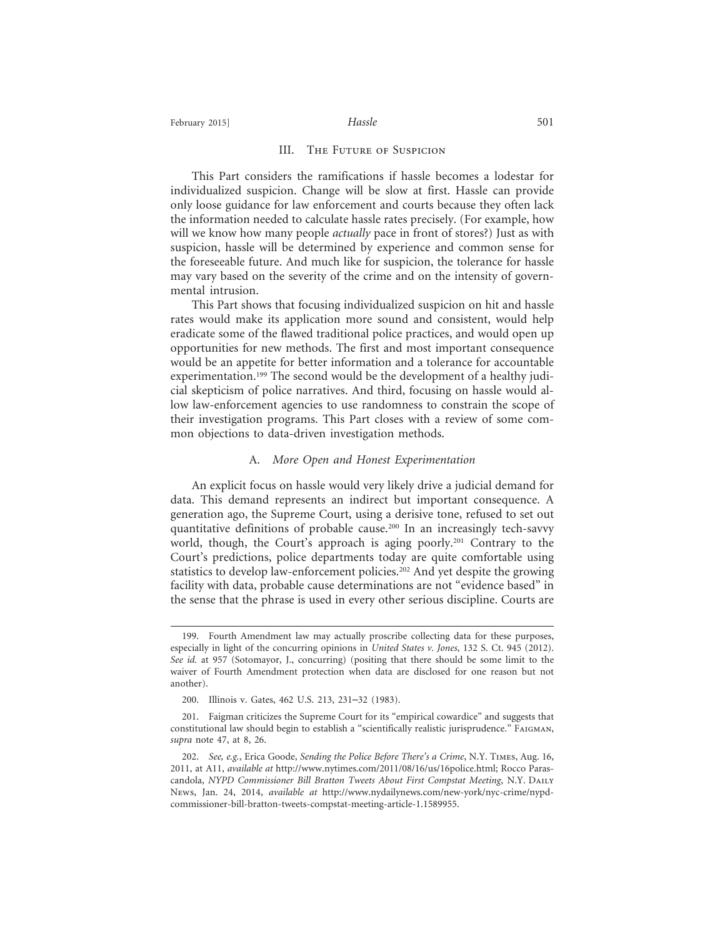#### III. The Future of Suspicion

This Part considers the ramifications if hassle becomes a lodestar for individualized suspicion. Change will be slow at first. Hassle can provide only loose guidance for law enforcement and courts because they often lack the information needed to calculate hassle rates precisely. (For example, how will we know how many people *actually* pace in front of stores?) Just as with suspicion, hassle will be determined by experience and common sense for the foreseeable future. And much like for suspicion, the tolerance for hassle may vary based on the severity of the crime and on the intensity of governmental intrusion.

This Part shows that focusing individualized suspicion on hit and hassle rates would make its application more sound and consistent, would help eradicate some of the flawed traditional police practices, and would open up opportunities for new methods. The first and most important consequence would be an appetite for better information and a tolerance for accountable experimentation.<sup>199</sup> The second would be the development of a healthy judicial skepticism of police narratives. And third, focusing on hassle would allow law-enforcement agencies to use randomness to constrain the scope of their investigation programs. This Part closes with a review of some common objections to data-driven investigation methods.

#### A. *More Open and Honest Experimentation*

An explicit focus on hassle would very likely drive a judicial demand for data. This demand represents an indirect but important consequence. A generation ago, the Supreme Court, using a derisive tone, refused to set out quantitative definitions of probable cause.200 In an increasingly tech-savvy world, though, the Court's approach is aging poorly.<sup>201</sup> Contrary to the Court's predictions, police departments today are quite comfortable using statistics to develop law-enforcement policies.<sup>202</sup> And yet despite the growing facility with data, probable cause determinations are not "evidence based" in the sense that the phrase is used in every other serious discipline. Courts are

<sup>199.</sup> Fourth Amendment law may actually proscribe collecting data for these purposes, especially in light of the concurring opinions in *United States v. Jones*, 132 S. Ct. 945 (2012). *See id.* at 957 (Sotomayor, J., concurring) (positing that there should be some limit to the waiver of Fourth Amendment protection when data are disclosed for one reason but not another).

<sup>200.</sup> Illinois v. Gates, 462 U.S. 213, 231–32 (1983).

<sup>201.</sup> Faigman criticizes the Supreme Court for its "empirical cowardice" and suggests that constitutional law should begin to establish a "scientifically realistic jurisprudence." Faigman, *supra* note 47, at 8, 26.

<sup>202.</sup> *See, e.g.*, Erica Goode, *Sending the Police Before There's a Crime*, N.Y. Times, Aug. 16, 2011, at A11, *available at* http://www.nytimes.com/2011/08/16/us/16police.html; Rocco Parascandola, *NYPD Commissioner Bill Bratton Tweets About First Compstat Meeting*, N.Y. Daily News, Jan. 24, 2014, *available at* http://www.nydailynews.com/new-york/nyc-crime/nypdcommissioner-bill-bratton-tweets-compstat-meeting-article-1.1589955.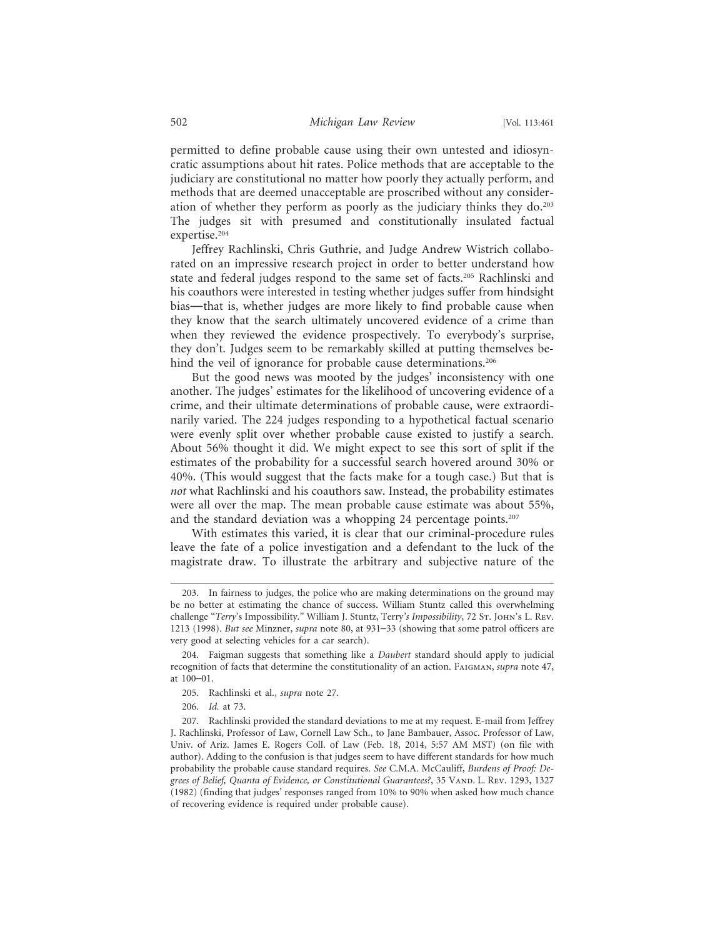permitted to define probable cause using their own untested and idiosyncratic assumptions about hit rates. Police methods that are acceptable to the judiciary are constitutional no matter how poorly they actually perform, and methods that are deemed unacceptable are proscribed without any consideration of whether they perform as poorly as the judiciary thinks they do.203 The judges sit with presumed and constitutionally insulated factual expertise.<sup>204</sup>

Jeffrey Rachlinski, Chris Guthrie, and Judge Andrew Wistrich collaborated on an impressive research project in order to better understand how state and federal judges respond to the same set of facts.205 Rachlinski and his coauthors were interested in testing whether judges suffer from hindsight bias—that is, whether judges are more likely to find probable cause when they know that the search ultimately uncovered evidence of a crime than when they reviewed the evidence prospectively. To everybody's surprise, they don't. Judges seem to be remarkably skilled at putting themselves behind the veil of ignorance for probable cause determinations.<sup>206</sup>

But the good news was mooted by the judges' inconsistency with one another. The judges' estimates for the likelihood of uncovering evidence of a crime, and their ultimate determinations of probable cause, were extraordinarily varied. The 224 judges responding to a hypothetical factual scenario were evenly split over whether probable cause existed to justify a search. About 56% thought it did. We might expect to see this sort of split if the estimates of the probability for a successful search hovered around 30% or 40%. (This would suggest that the facts make for a tough case.) But that is *not* what Rachlinski and his coauthors saw. Instead, the probability estimates were all over the map. The mean probable cause estimate was about 55%, and the standard deviation was a whopping 24 percentage points.<sup>207</sup>

With estimates this varied, it is clear that our criminal-procedure rules leave the fate of a police investigation and a defendant to the luck of the magistrate draw. To illustrate the arbitrary and subjective nature of the

<sup>203.</sup> In fairness to judges, the police who are making determinations on the ground may be no better at estimating the chance of success. William Stuntz called this overwhelming challenge "*Terry's Impossibility."* William J. Stuntz, Terry's Impossibility, 72 Sт. JOHN's L. REV. 1213 (1998). *But see* Minzner, *supra* note 80, at 931–33 (showing that some patrol officers are very good at selecting vehicles for a car search).

<sup>204.</sup> Faigman suggests that something like a *Daubert* standard should apply to judicial recognition of facts that determine the constitutionality of an action. Faigman, *supra* note 47, at 100–01.

<sup>205.</sup> Rachlinski et al., *supra* note 27.

<sup>206.</sup> *Id.* at 73.

<sup>207.</sup> Rachlinski provided the standard deviations to me at my request. E-mail from Jeffrey J. Rachlinski, Professor of Law, Cornell Law Sch., to Jane Bambauer, Assoc. Professor of Law, Univ. of Ariz. James E. Rogers Coll. of Law (Feb. 18, 2014, 5:57 AM MST) (on file with author). Adding to the confusion is that judges seem to have different standards for how much probability the probable cause standard requires. *See* C.M.A. McCauliff, *Burdens of Proof: De*grees of Belief, Quanta of Evidence, or Constitutional Guarantees?, 35 VAND. L. Rev. 1293, 1327 (1982) (finding that judges' responses ranged from 10% to 90% when asked how much chance of recovering evidence is required under probable cause).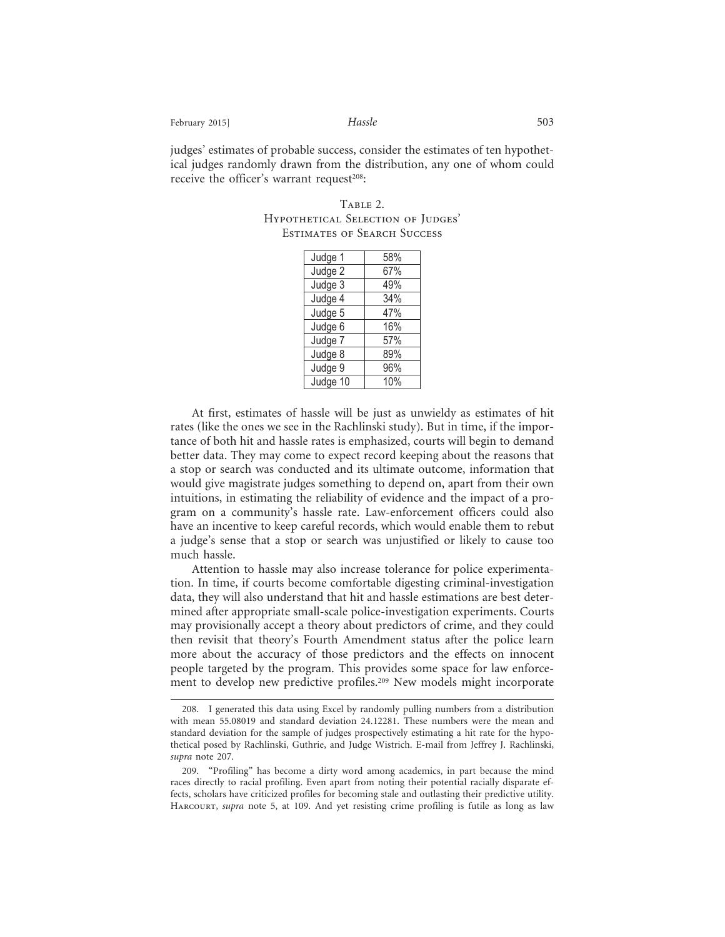February 2015] *Hassle* 503

judges' estimates of probable success, consider the estimates of ten hypothetical judges randomly drawn from the distribution, any one of whom could receive the officer's warrant request $208$ :

TABLE 2. HYPOTHETICAL SELECTION OF JUDGES' Estimates of Search Success

| Judge 1  | 58% |
|----------|-----|
| Judge 2  | 67% |
| Judge 3  | 49% |
| Judge 4  | 34% |
| Judge 5  | 47% |
| Judge 6  | 16% |
| Judge 7  | 57% |
| Judge 8  | 89% |
| Judge 9  | 96% |
| Judge 10 | 10% |

At first, estimates of hassle will be just as unwieldy as estimates of hit rates (like the ones we see in the Rachlinski study). But in time, if the importance of both hit and hassle rates is emphasized, courts will begin to demand better data. They may come to expect record keeping about the reasons that a stop or search was conducted and its ultimate outcome, information that would give magistrate judges something to depend on, apart from their own intuitions, in estimating the reliability of evidence and the impact of a program on a community's hassle rate. Law-enforcement officers could also have an incentive to keep careful records, which would enable them to rebut a judge's sense that a stop or search was unjustified or likely to cause too much hassle.

Attention to hassle may also increase tolerance for police experimentation. In time, if courts become comfortable digesting criminal-investigation data, they will also understand that hit and hassle estimations are best determined after appropriate small-scale police-investigation experiments. Courts may provisionally accept a theory about predictors of crime, and they could then revisit that theory's Fourth Amendment status after the police learn more about the accuracy of those predictors and the effects on innocent people targeted by the program. This provides some space for law enforcement to develop new predictive profiles.209 New models might incorporate

<sup>208.</sup> I generated this data using Excel by randomly pulling numbers from a distribution with mean 55.08019 and standard deviation 24.12281. These numbers were the mean and standard deviation for the sample of judges prospectively estimating a hit rate for the hypothetical posed by Rachlinski, Guthrie, and Judge Wistrich. E-mail from Jeffrey J. Rachlinski, *supra* note 207.

<sup>209. &</sup>quot;Profiling" has become a dirty word among academics, in part because the mind races directly to racial profiling. Even apart from noting their potential racially disparate effects, scholars have criticized profiles for becoming stale and outlasting their predictive utility. Harcourt, *supra* note 5, at 109. And yet resisting crime profiling is futile as long as law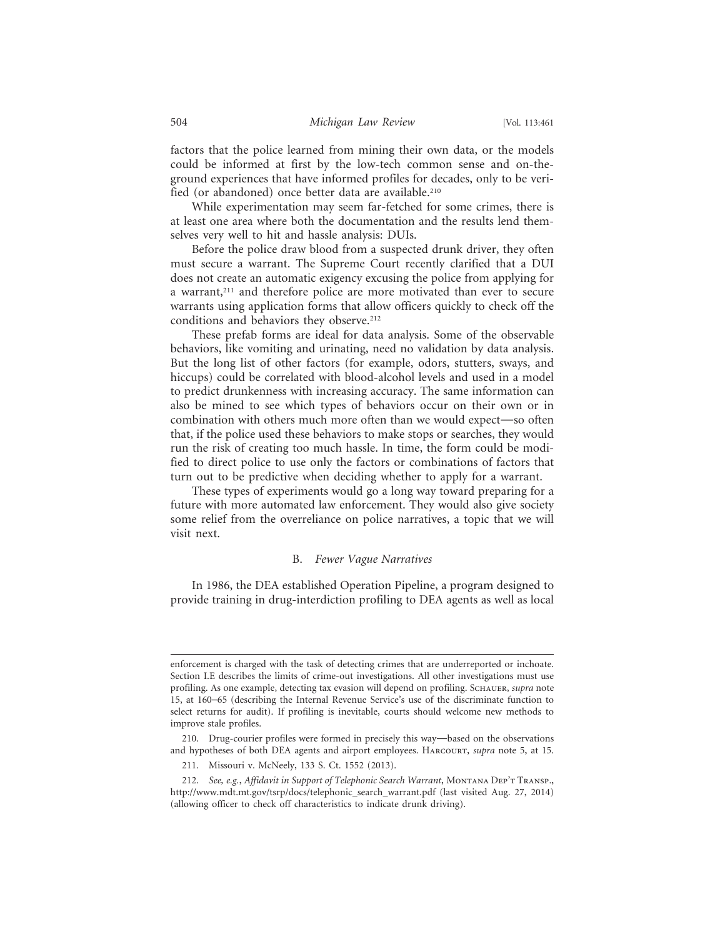factors that the police learned from mining their own data, or the models could be informed at first by the low-tech common sense and on-theground experiences that have informed profiles for decades, only to be verified (or abandoned) once better data are available.210

While experimentation may seem far-fetched for some crimes, there is at least one area where both the documentation and the results lend themselves very well to hit and hassle analysis: DUIs.

Before the police draw blood from a suspected drunk driver, they often must secure a warrant. The Supreme Court recently clarified that a DUI does not create an automatic exigency excusing the police from applying for a warrant,<sup>211</sup> and therefore police are more motivated than ever to secure warrants using application forms that allow officers quickly to check off the conditions and behaviors they observe.<sup>212</sup>

These prefab forms are ideal for data analysis. Some of the observable behaviors, like vomiting and urinating, need no validation by data analysis. But the long list of other factors (for example, odors, stutters, sways, and hiccups) could be correlated with blood-alcohol levels and used in a model to predict drunkenness with increasing accuracy. The same information can also be mined to see which types of behaviors occur on their own or in combination with others much more often than we would expect—so often that, if the police used these behaviors to make stops or searches, they would run the risk of creating too much hassle. In time, the form could be modified to direct police to use only the factors or combinations of factors that turn out to be predictive when deciding whether to apply for a warrant.

These types of experiments would go a long way toward preparing for a future with more automated law enforcement. They would also give society some relief from the overreliance on police narratives, a topic that we will visit next.

### B. *Fewer Vague Narratives*

In 1986, the DEA established Operation Pipeline, a program designed to provide training in drug-interdiction profiling to DEA agents as well as local

enforcement is charged with the task of detecting crimes that are underreported or inchoate. Section I.E describes the limits of crime-out investigations. All other investigations must use profiling. As one example, detecting tax evasion will depend on profiling. Schauer, *supra* note 15, at 160–65 (describing the Internal Revenue Service's use of the discriminate function to select returns for audit). If profiling is inevitable, courts should welcome new methods to improve stale profiles.

<sup>210.</sup> Drug-courier profiles were formed in precisely this way—based on the observations and hypotheses of both DEA agents and airport employees. Harcourt, *supra* note 5, at 15.

<sup>211.</sup> Missouri v. McNeely, 133 S. Ct. 1552 (2013).

<sup>212.</sup> *See, e.g.*, *Affidavit in Support of Telephonic Search Warrant*, Montana Dep't Transp., http://www.mdt.mt.gov/tsrp/docs/telephonic\_search\_warrant.pdf (last visited Aug. 27, 2014) (allowing officer to check off characteristics to indicate drunk driving).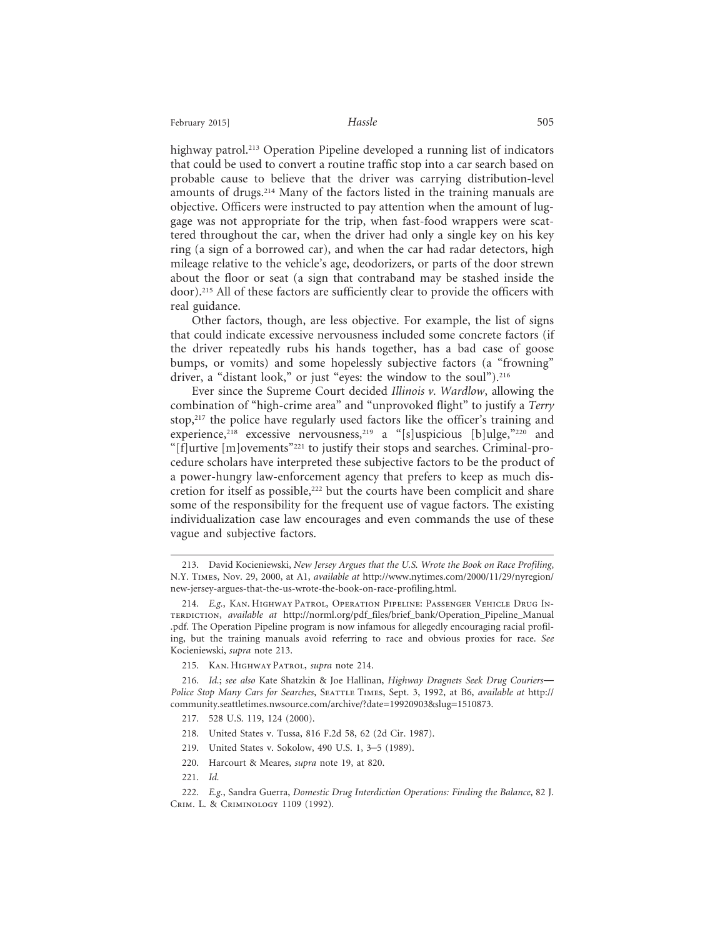highway patrol.<sup>213</sup> Operation Pipeline developed a running list of indicators that could be used to convert a routine traffic stop into a car search based on probable cause to believe that the driver was carrying distribution-level amounts of drugs.214 Many of the factors listed in the training manuals are objective. Officers were instructed to pay attention when the amount of luggage was not appropriate for the trip, when fast-food wrappers were scattered throughout the car, when the driver had only a single key on his key ring (a sign of a borrowed car), and when the car had radar detectors, high mileage relative to the vehicle's age, deodorizers, or parts of the door strewn about the floor or seat (a sign that contraband may be stashed inside the door).215 All of these factors are sufficiently clear to provide the officers with real guidance.

Other factors, though, are less objective. For example, the list of signs that could indicate excessive nervousness included some concrete factors (if the driver repeatedly rubs his hands together, has a bad case of goose bumps, or vomits) and some hopelessly subjective factors (a "frowning" driver, a "distant look," or just "eyes: the window to the soul").216

Ever since the Supreme Court decided *Illinois v. Wardlow*, allowing the combination of "high-crime area" and "unprovoked flight" to justify a *Terry* stop,<sup>217</sup> the police have regularly used factors like the officer's training and experience,<sup>218</sup> excessive nervousness,<sup>219</sup> a "[s]uspicious [b]ulge,"<sup>220</sup> and "[f]urtive [m]ovements"221 to justify their stops and searches. Criminal-procedure scholars have interpreted these subjective factors to be the product of a power-hungry law-enforcement agency that prefers to keep as much discretion for itself as possible,<sup>222</sup> but the courts have been complicit and share some of the responsibility for the frequent use of vague factors. The existing individualization case law encourages and even commands the use of these vague and subjective factors.

- 217. 528 U.S. 119, 124 (2000).
- 218. United States v. Tussa, 816 F.2d 58, 62 (2d Cir. 1987).
- 219. United States v. Sokolow, 490 U.S. 1, 3–5 (1989).
- 220. Harcourt & Meares, *supra* note 19, at 820.
- 221. *Id.*

<sup>213.</sup> David Kocieniewski, *New Jersey Argues that the U.S. Wrote the Book on Race Profiling*, N.Y. Times, Nov. 29, 2000, at A1, *available at* http://www.nytimes.com/2000/11/29/nyregion/ new-jersey-argues-that-the-us-wrote-the-book-on-race-profiling.html.

<sup>214.</sup> *E.g.*, Kan. Highway Patrol, Operation Pipeline: Passenger Vehicle Drug Interdiction, *available at* http://norml.org/pdf\_files/brief\_bank/Operation\_Pipeline\_Manual .pdf. The Operation Pipeline program is now infamous for allegedly encouraging racial profiling, but the training manuals avoid referring to race and obvious proxies for race. *See* Kocieniewski, *supra* note 213.

<sup>215.</sup> Kan. Highway Patrol, *supra* note 214.

<sup>216.</sup> *Id.*; *see also* Kate Shatzkin & Joe Hallinan, *Highway Dragnets Seek Drug Couriers*— *Police Stop Many Cars for Searches*, Seattle Times, Sept. 3, 1992, at B6, *available at* http:// community.seattletimes.nwsource.com/archive/?date=19920903&slug=1510873.

<sup>222.</sup> *E.g.*, Sandra Guerra, *Domestic Drug Interdiction Operations: Finding the Balance*, 82 J. Crim. L. & Criminology 1109 (1992).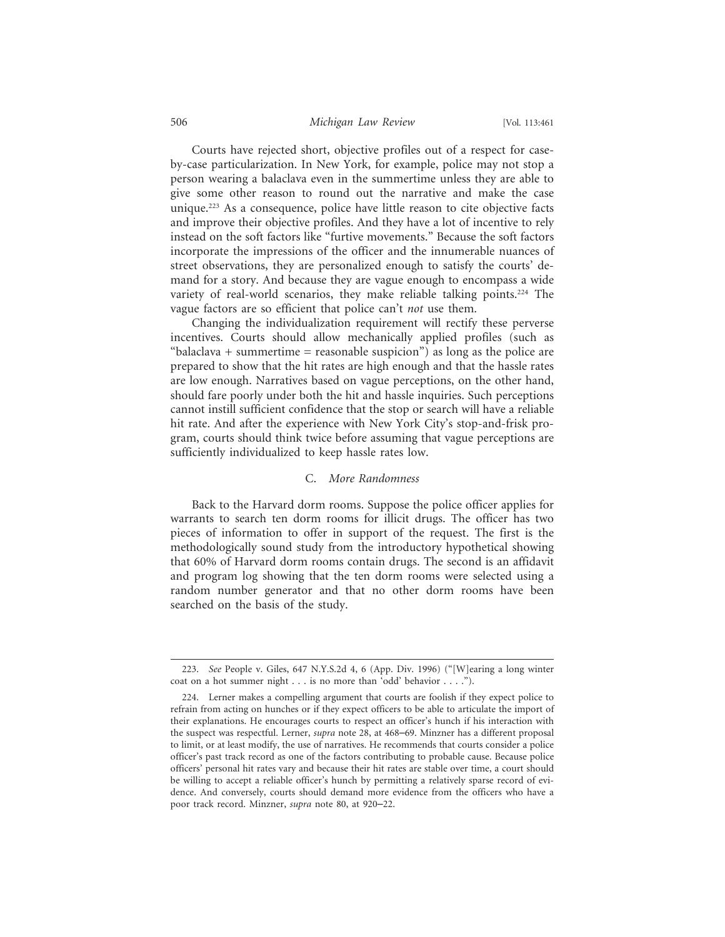#### 506 *Michigan Law Review* [Vol. 113:461

Courts have rejected short, objective profiles out of a respect for caseby-case particularization. In New York, for example, police may not stop a person wearing a balaclava even in the summertime unless they are able to give some other reason to round out the narrative and make the case unique.223 As a consequence, police have little reason to cite objective facts and improve their objective profiles. And they have a lot of incentive to rely instead on the soft factors like "furtive movements." Because the soft factors incorporate the impressions of the officer and the innumerable nuances of street observations, they are personalized enough to satisfy the courts' demand for a story. And because they are vague enough to encompass a wide variety of real-world scenarios, they make reliable talking points.<sup>224</sup> The vague factors are so efficient that police can't *not* use them.

Changing the individualization requirement will rectify these perverse incentives. Courts should allow mechanically applied profiles (such as "balaclava  $+$  summertime  $=$  reasonable suspicion") as long as the police are prepared to show that the hit rates are high enough and that the hassle rates are low enough. Narratives based on vague perceptions, on the other hand, should fare poorly under both the hit and hassle inquiries. Such perceptions cannot instill sufficient confidence that the stop or search will have a reliable hit rate. And after the experience with New York City's stop-and-frisk program, courts should think twice before assuming that vague perceptions are sufficiently individualized to keep hassle rates low.

#### C. *More Randomness*

Back to the Harvard dorm rooms. Suppose the police officer applies for warrants to search ten dorm rooms for illicit drugs. The officer has two pieces of information to offer in support of the request. The first is the methodologically sound study from the introductory hypothetical showing that 60% of Harvard dorm rooms contain drugs. The second is an affidavit and program log showing that the ten dorm rooms were selected using a random number generator and that no other dorm rooms have been searched on the basis of the study.

<sup>223.</sup> *See* People v. Giles, 647 N.Y.S.2d 4, 6 (App. Div. 1996) ("[W]earing a long winter coat on a hot summer night . . . is no more than 'odd' behavior . . . .").

<sup>224.</sup> Lerner makes a compelling argument that courts are foolish if they expect police to refrain from acting on hunches or if they expect officers to be able to articulate the import of their explanations. He encourages courts to respect an officer's hunch if his interaction with the suspect was respectful. Lerner, *supra* note 28, at 468–69. Minzner has a different proposal to limit, or at least modify, the use of narratives. He recommends that courts consider a police officer's past track record as one of the factors contributing to probable cause. Because police officers' personal hit rates vary and because their hit rates are stable over time, a court should be willing to accept a reliable officer's hunch by permitting a relatively sparse record of evidence. And conversely, courts should demand more evidence from the officers who have a poor track record. Minzner, *supra* note 80, at 920–22.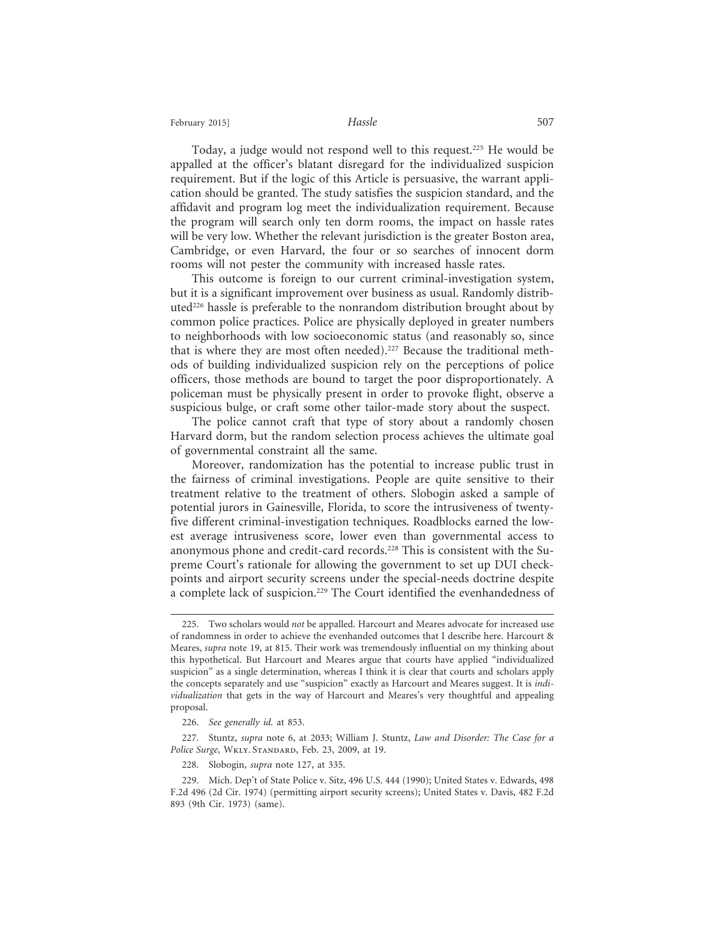#### February 2015] **Hassle Hassle** 507

Today, a judge would not respond well to this request.225 He would be appalled at the officer's blatant disregard for the individualized suspicion requirement. But if the logic of this Article is persuasive, the warrant application should be granted. The study satisfies the suspicion standard, and the affidavit and program log meet the individualization requirement. Because the program will search only ten dorm rooms, the impact on hassle rates will be very low. Whether the relevant jurisdiction is the greater Boston area, Cambridge, or even Harvard, the four or so searches of innocent dorm rooms will not pester the community with increased hassle rates.

This outcome is foreign to our current criminal-investigation system, but it is a significant improvement over business as usual. Randomly distributed226 hassle is preferable to the nonrandom distribution brought about by common police practices. Police are physically deployed in greater numbers to neighborhoods with low socioeconomic status (and reasonably so, since that is where they are most often needed).<sup>227</sup> Because the traditional methods of building individualized suspicion rely on the perceptions of police officers, those methods are bound to target the poor disproportionately. A policeman must be physically present in order to provoke flight, observe a suspicious bulge, or craft some other tailor-made story about the suspect.

The police cannot craft that type of story about a randomly chosen Harvard dorm, but the random selection process achieves the ultimate goal of governmental constraint all the same.

Moreover, randomization has the potential to increase public trust in the fairness of criminal investigations. People are quite sensitive to their treatment relative to the treatment of others. Slobogin asked a sample of potential jurors in Gainesville, Florida, to score the intrusiveness of twentyfive different criminal-investigation techniques. Roadblocks earned the lowest average intrusiveness score, lower even than governmental access to anonymous phone and credit-card records.<sup>228</sup> This is consistent with the Supreme Court's rationale for allowing the government to set up DUI checkpoints and airport security screens under the special-needs doctrine despite a complete lack of suspicion.<sup>229</sup> The Court identified the evenhandedness of

<sup>225.</sup> Two scholars would *not* be appalled. Harcourt and Meares advocate for increased use of randomness in order to achieve the evenhanded outcomes that I describe here. Harcourt & Meares, *supra* note 19, at 815. Their work was tremendously influential on my thinking about this hypothetical. But Harcourt and Meares argue that courts have applied "individualized suspicion" as a single determination, whereas I think it is clear that courts and scholars apply the concepts separately and use "suspicion" exactly as Harcourt and Meares suggest. It is *individualization* that gets in the way of Harcourt and Meares's very thoughtful and appealing proposal.

<sup>226.</sup> *See generally id.* at 853.

<sup>227.</sup> Stuntz, *supra* note 6, at 2033; William J. Stuntz, *Law and Disorder: The Case for a Police Surge*, Wkly. Standard, Feb. 23, 2009, at 19.

<sup>228.</sup> Slobogin, *supra* note 127, at 335.

<sup>229.</sup> Mich. Dep't of State Police v. Sitz, 496 U.S. 444 (1990); United States v. Edwards, 498 F.2d 496 (2d Cir. 1974) (permitting airport security screens); United States v. Davis, 482 F.2d 893 (9th Cir. 1973) (same).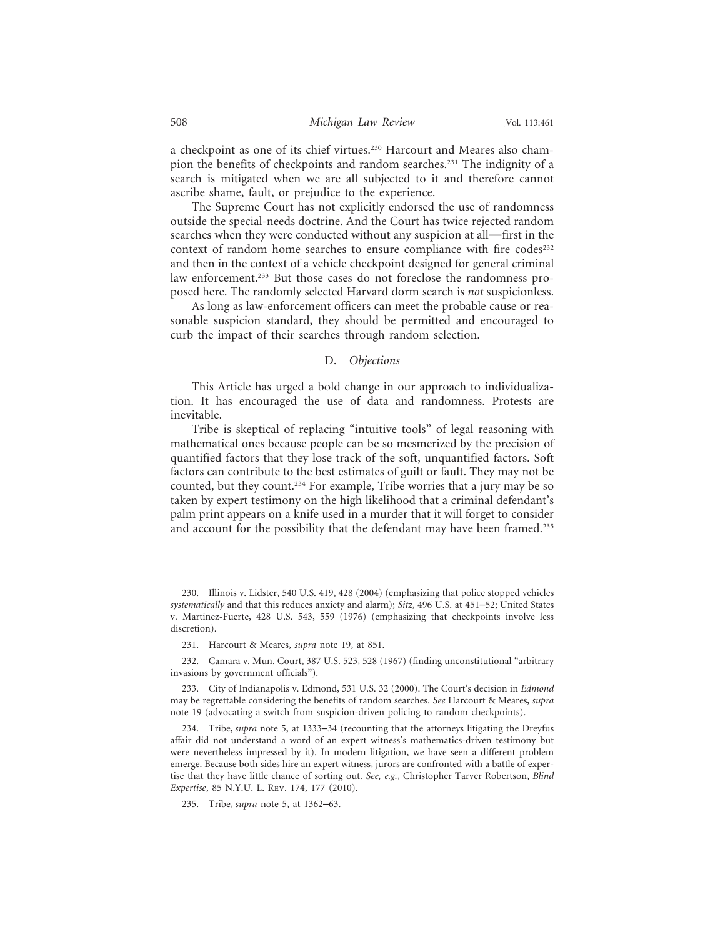a checkpoint as one of its chief virtues.230 Harcourt and Meares also champion the benefits of checkpoints and random searches.231 The indignity of a search is mitigated when we are all subjected to it and therefore cannot ascribe shame, fault, or prejudice to the experience.

The Supreme Court has not explicitly endorsed the use of randomness outside the special-needs doctrine. And the Court has twice rejected random searches when they were conducted without any suspicion at all—first in the context of random home searches to ensure compliance with fire codes<sup>232</sup> and then in the context of a vehicle checkpoint designed for general criminal law enforcement.<sup>233</sup> But those cases do not foreclose the randomness proposed here. The randomly selected Harvard dorm search is *not* suspicionless.

As long as law-enforcement officers can meet the probable cause or reasonable suspicion standard, they should be permitted and encouraged to curb the impact of their searches through random selection.

#### D. *Objections*

This Article has urged a bold change in our approach to individualization. It has encouraged the use of data and randomness. Protests are inevitable.

Tribe is skeptical of replacing "intuitive tools" of legal reasoning with mathematical ones because people can be so mesmerized by the precision of quantified factors that they lose track of the soft, unquantified factors. Soft factors can contribute to the best estimates of guilt or fault. They may not be counted, but they count.234 For example, Tribe worries that a jury may be so taken by expert testimony on the high likelihood that a criminal defendant's palm print appears on a knife used in a murder that it will forget to consider and account for the possibility that the defendant may have been framed.<sup>235</sup>

<sup>230.</sup> Illinois v. Lidster, 540 U.S. 419, 428 (2004) (emphasizing that police stopped vehicles *systematically* and that this reduces anxiety and alarm); *Sitz*, 496 U.S. at 451–52; United States v. Martinez-Fuerte, 428 U.S. 543, 559 (1976) (emphasizing that checkpoints involve less discretion).

<sup>231.</sup> Harcourt & Meares, *supra* note 19, at 851.

<sup>232.</sup> Camara v. Mun. Court, 387 U.S. 523, 528 (1967) (finding unconstitutional "arbitrary invasions by government officials").

<sup>233.</sup> City of Indianapolis v. Edmond, 531 U.S. 32 (2000). The Court's decision in *Edmond* may be regrettable considering the benefits of random searches. *See* Harcourt & Meares, *supra* note 19 (advocating a switch from suspicion-driven policing to random checkpoints).

<sup>234.</sup> Tribe, *supra* note 5, at 1333–34 (recounting that the attorneys litigating the Dreyfus affair did not understand a word of an expert witness's mathematics-driven testimony but were nevertheless impressed by it). In modern litigation, we have seen a different problem emerge. Because both sides hire an expert witness, jurors are confronted with a battle of expertise that they have little chance of sorting out. *See, e.g.*, Christopher Tarver Robertson, *Blind Expertise*, 85 N.Y.U. L. Rev. 174, 177 (2010).

<sup>235.</sup> Tribe, *supra* note 5, at 1362–63.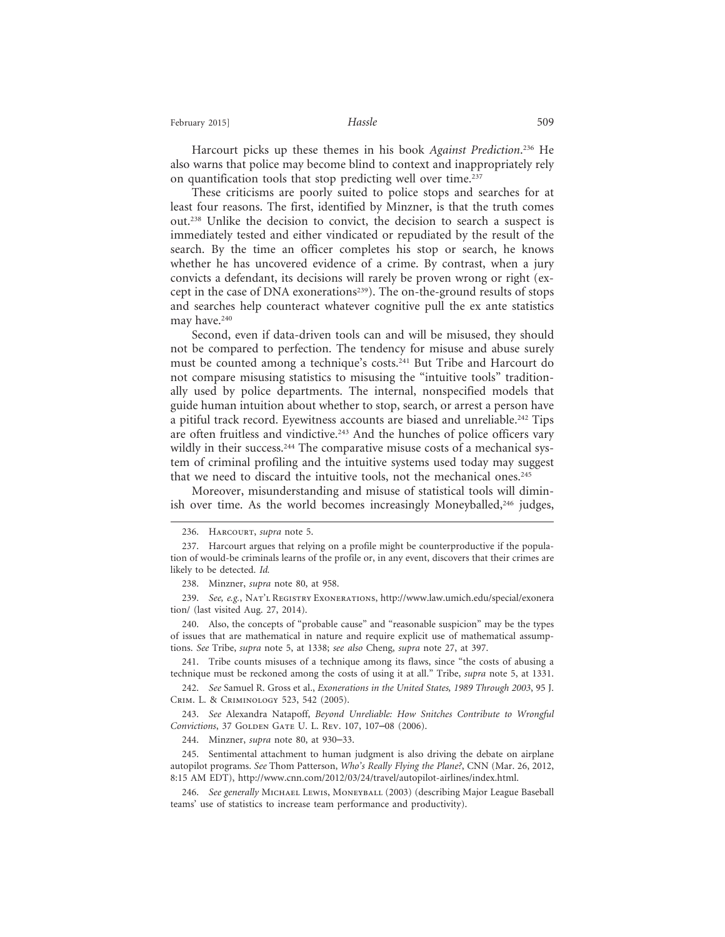February 2015] **Hassle Hassle** 509

Harcourt picks up these themes in his book *Against Prediction*. 236 He also warns that police may become blind to context and inappropriately rely on quantification tools that stop predicting well over time.<sup>237</sup>

These criticisms are poorly suited to police stops and searches for at least four reasons. The first, identified by Minzner, is that the truth comes out.238 Unlike the decision to convict, the decision to search a suspect is immediately tested and either vindicated or repudiated by the result of the search. By the time an officer completes his stop or search, he knows whether he has uncovered evidence of a crime. By contrast, when a jury convicts a defendant, its decisions will rarely be proven wrong or right (except in the case of DNA exonerations<sup>239</sup>). The on-the-ground results of stops and searches help counteract whatever cognitive pull the ex ante statistics may have.<sup>240</sup>

Second, even if data-driven tools can and will be misused, they should not be compared to perfection. The tendency for misuse and abuse surely must be counted among a technique's costs.241 But Tribe and Harcourt do not compare misusing statistics to misusing the "intuitive tools" traditionally used by police departments. The internal, nonspecified models that guide human intuition about whether to stop, search, or arrest a person have a pitiful track record. Eyewitness accounts are biased and unreliable.<sup>242</sup> Tips are often fruitless and vindictive.<sup>243</sup> And the hunches of police officers vary wildly in their success.<sup>244</sup> The comparative misuse costs of a mechanical system of criminal profiling and the intuitive systems used today may suggest that we need to discard the intuitive tools, not the mechanical ones.245

Moreover, misunderstanding and misuse of statistical tools will diminish over time. As the world becomes increasingly Moneyballed,<sup>246</sup> judges,

241. Tribe counts misuses of a technique among its flaws, since "the costs of abusing a technique must be reckoned among the costs of using it at all." Tribe, *supra* note 5, at 1331.

242. *See* Samuel R. Gross et al., *Exonerations in the United States, 1989 Through 2003*, 95 J. Crim. L. & Criminology 523, 542 (2005).

243. *See* Alexandra Natapoff, *Beyond Unreliable: How Snitches Contribute to Wrongful* Convictions, 37 GOLDEN GATE U. L. REV. 107, 107-08 (2006).

244. Minzner, *supra* note 80, at 930–33.

245. Sentimental attachment to human judgment is also driving the debate on airplane autopilot programs. *See* Thom Patterson, *Who's Really Flying the Plane?*, CNN (Mar. 26, 2012, 8:15 AM EDT), http://www.cnn.com/2012/03/24/travel/autopilot-airlines/index.html.

246. *See generally* Michael Lewis, Moneyball (2003) (describing Major League Baseball teams' use of statistics to increase team performance and productivity).

<sup>236.</sup> Harcourt, *supra* note 5.

<sup>237.</sup> Harcourt argues that relying on a profile might be counterproductive if the population of would-be criminals learns of the profile or, in any event, discovers that their crimes are likely to be detected. *Id.*

<sup>238.</sup> Minzner, *supra* note 80, at 958.

<sup>239.</sup> *See, e.g.*, Nat'l Registry Exonerations, http://www.law.umich.edu/special/exonera tion/ (last visited Aug. 27, 2014).

<sup>240.</sup> Also, the concepts of "probable cause" and "reasonable suspicion" may be the types of issues that are mathematical in nature and require explicit use of mathematical assumptions. *See* Tribe, *supra* note 5, at 1338; *see also* Cheng, *supra* note 27, at 397.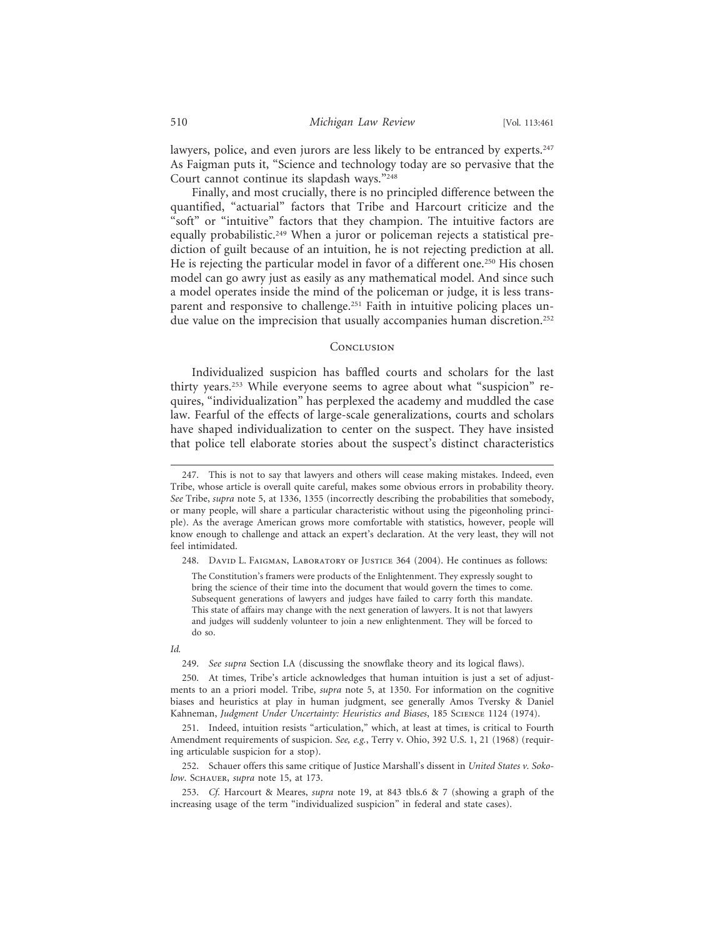lawyers, police, and even jurors are less likely to be entranced by experts.<sup>247</sup> As Faigman puts it, "Science and technology today are so pervasive that the Court cannot continue its slapdash ways."248

Finally, and most crucially, there is no principled difference between the quantified, "actuarial" factors that Tribe and Harcourt criticize and the "soft" or "intuitive" factors that they champion. The intuitive factors are equally probabilistic.<sup>249</sup> When a juror or policeman rejects a statistical prediction of guilt because of an intuition, he is not rejecting prediction at all. He is rejecting the particular model in favor of a different one.<sup>250</sup> His chosen model can go awry just as easily as any mathematical model. And since such a model operates inside the mind of the policeman or judge, it is less transparent and responsive to challenge.<sup>251</sup> Faith in intuitive policing places undue value on the imprecision that usually accompanies human discretion.<sup>252</sup>

#### **CONCLUSION**

Individualized suspicion has baffled courts and scholars for the last thirty years.253 While everyone seems to agree about what "suspicion" requires, "individualization" has perplexed the academy and muddled the case law. Fearful of the effects of large-scale generalizations, courts and scholars have shaped individualization to center on the suspect. They have insisted that police tell elaborate stories about the suspect's distinct characteristics

#### *Id.*

249. *See supra* Section I.A (discussing the snowflake theory and its logical flaws).

<sup>247.</sup> This is not to say that lawyers and others will cease making mistakes. Indeed, even Tribe, whose article is overall quite careful, makes some obvious errors in probability theory. *See* Tribe, *supra* note 5, at 1336, 1355 (incorrectly describing the probabilities that somebody, or many people, will share a particular characteristic without using the pigeonholing principle). As the average American grows more comfortable with statistics, however, people will know enough to challenge and attack an expert's declaration. At the very least, they will not feel intimidated.

<sup>248.</sup> DAVID L. FAIGMAN, LABORATORY OF JUSTICE 364 (2004). He continues as follows:

The Constitution's framers were products of the Enlightenment. They expressly sought to bring the science of their time into the document that would govern the times to come. Subsequent generations of lawyers and judges have failed to carry forth this mandate. This state of affairs may change with the next generation of lawyers. It is not that lawyers and judges will suddenly volunteer to join a new enlightenment. They will be forced to do so.

<sup>250.</sup> At times, Tribe's article acknowledges that human intuition is just a set of adjustments to an a priori model. Tribe, *supra* note 5, at 1350. For information on the cognitive biases and heuristics at play in human judgment, see generally Amos Tversky & Daniel Kahneman, *Judgment Under Uncertainty: Heuristics and Biases*, 185 Science 1124 (1974).

<sup>251.</sup> Indeed, intuition resists "articulation," which, at least at times, is critical to Fourth Amendment requirements of suspicion. *See, e.g.*, Terry v. Ohio, 392 U.S. 1, 21 (1968) (requiring articulable suspicion for a stop).

<sup>252.</sup> Schauer offers this same critique of Justice Marshall's dissent in *United States v. Sokolow*. Schauer, *supra* note 15, at 173.

<sup>253.</sup> *Cf.* Harcourt & Meares, *supra* note 19, at 843 tbls.6 & 7 (showing a graph of the increasing usage of the term "individualized suspicion" in federal and state cases).